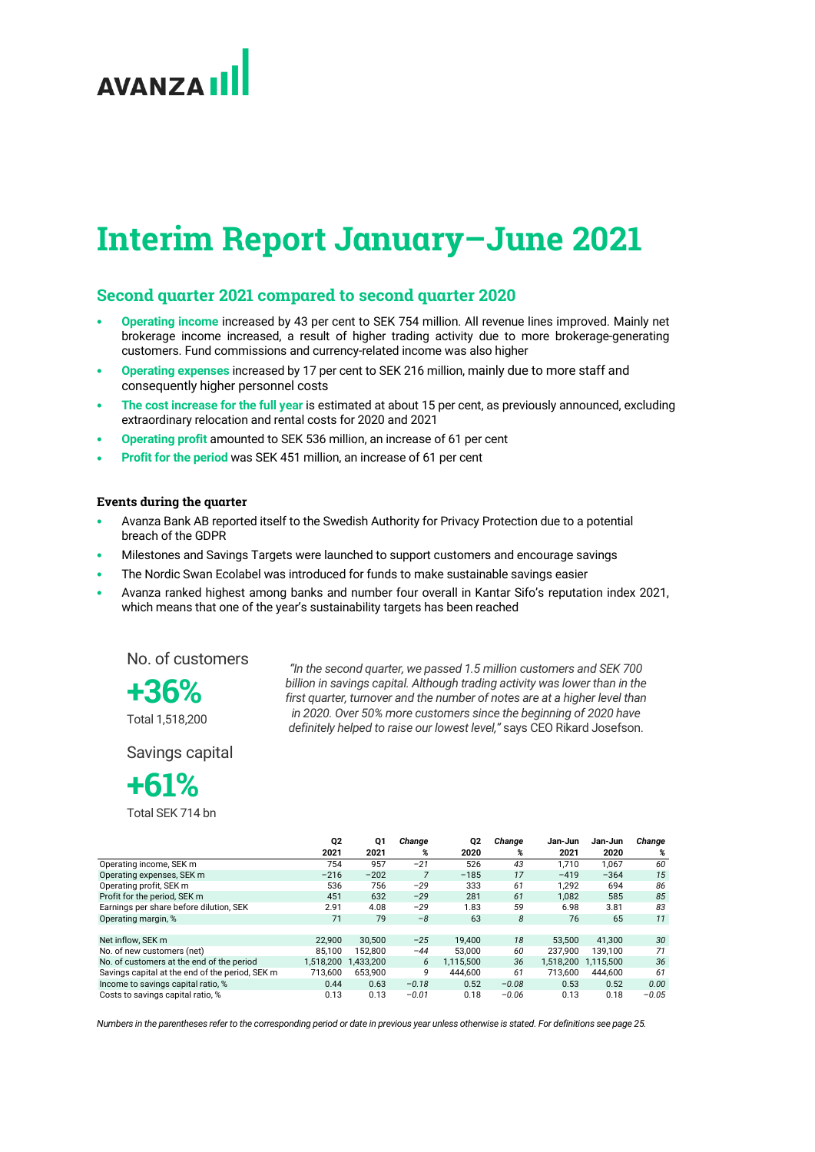# **AVANZA**

# **Interim Report January–June 2021**

# **Second quarter 2021 compared to second quarter 2020**

- **Operating income** increased by 43 per cent to SEK 754 million. All revenue lines improved. Mainly net brokerage income increased, a result of higher trading activity due to more brokerage-generating customers. Fund commissions and currency-related income was also higher
- **Operating expenses** increased by 17 per cent to SEK 216 million, mainly due to more staff and consequently higher personnel costs
- **The cost increase for the full year** is estimated at about 15 per cent, as previously announced, excluding extraordinary relocation and rental costs for 2020 and 2021
- **Operating profit** amounted to SEK 536 million, an increase of 61 per cent
- **Profit for the period** was SEK 451 million, an increase of 61 per cent

# **Events during the quarter**

- Avanza Bank AB reported itself to the Swedish Authority for Privacy Protection due to a potential breach of the GDPR
- Milestones and Savings Targets were launched to support customers and encourage savings
- The Nordic Swan Ecolabel was introduced for funds to make sustainable savings easier
- Avanza ranked highest among banks and number four overall in Kantar Sifo's reputation index 2021, which means that one of the year's sustainability targets has been reached

No. of customers

**+36%** 

Total 1,518,200

*"In the second quarter, we passed 1.5 million customers and SEK 700 billion in savings capital. Although trading activity was lower than in the first quarter, turnover and the number of notes are at a higher level than in 2020. Over 50% more customers since the beginning of 2020 have definitely helped to raise our lowest level,"* says CEO Rikard Josefson.

Savings capital

# **+61%**

Total SEK 714 bn

|                                                 | Q2        | Q1        | Change  | Q2        | Change  | Jan-Jun   | Jan-Jun   | Change  |
|-------------------------------------------------|-----------|-----------|---------|-----------|---------|-----------|-----------|---------|
|                                                 | 2021      | 2021      | %       | 2020      | %       | 2021      | 2020      | %       |
| Operating income, SEK m                         | 754       | 957       | $-21$   | 526       | 43      | 1.710     | 1,067     | 60      |
| Operating expenses, SEK m                       | $-216$    | $-202$    |         | $-185$    | 17      | $-419$    | $-364$    | 15      |
| Operating profit, SEK m                         | 536       | 756       | $-29$   | 333       | 61      | 1.292     | 694       | 86      |
| Profit for the period, SEK m                    | 451       | 632       | $-29$   | 281       | 61      | 1,082     | 585       | 85      |
| Earnings per share before dilution. SEK         | 2.91      | 4.08      | $-29$   | 1.83      | 59      | 6.98      | 3.81      | 83      |
| Operating margin, %                             | 71        | 79        | $-8$    | 63        | 8       | 76        | 65        | 11      |
|                                                 |           |           |         |           |         |           |           |         |
| Net inflow, SEK m                               | 22.900    | 30.500    | $-25$   | 19.400    | 18      | 53.500    | 41.300    | 30      |
| No. of new customers (net)                      | 85.100    | 152.800   | $-44$   | 53.000    | 60      | 237.900   | 139.100   | 71      |
| No. of customers at the end of the period       | 1,518,200 | 1.433.200 | 6       | 1.115.500 | 36      | 1.518.200 | 1.115.500 | 36      |
| Savings capital at the end of the period, SEK m | 713.600   | 653.900   | 9       | 444.600   | 61      | 713.600   | 444.600   | 61      |
| Income to savings capital ratio, %              | 0.44      | 0.63      | $-0.18$ | 0.52      | $-0.08$ | 0.53      | 0.52      | 0.00    |
| Costs to savings capital ratio, %               | 0.13      | 0.13      | $-0.01$ | 0.18      | $-0.06$ | 0.13      | 0.18      | $-0.05$ |

*Numbers in the parentheses refer to the corresponding period or date in previous year unless otherwise is stated. For definitions see page 25.*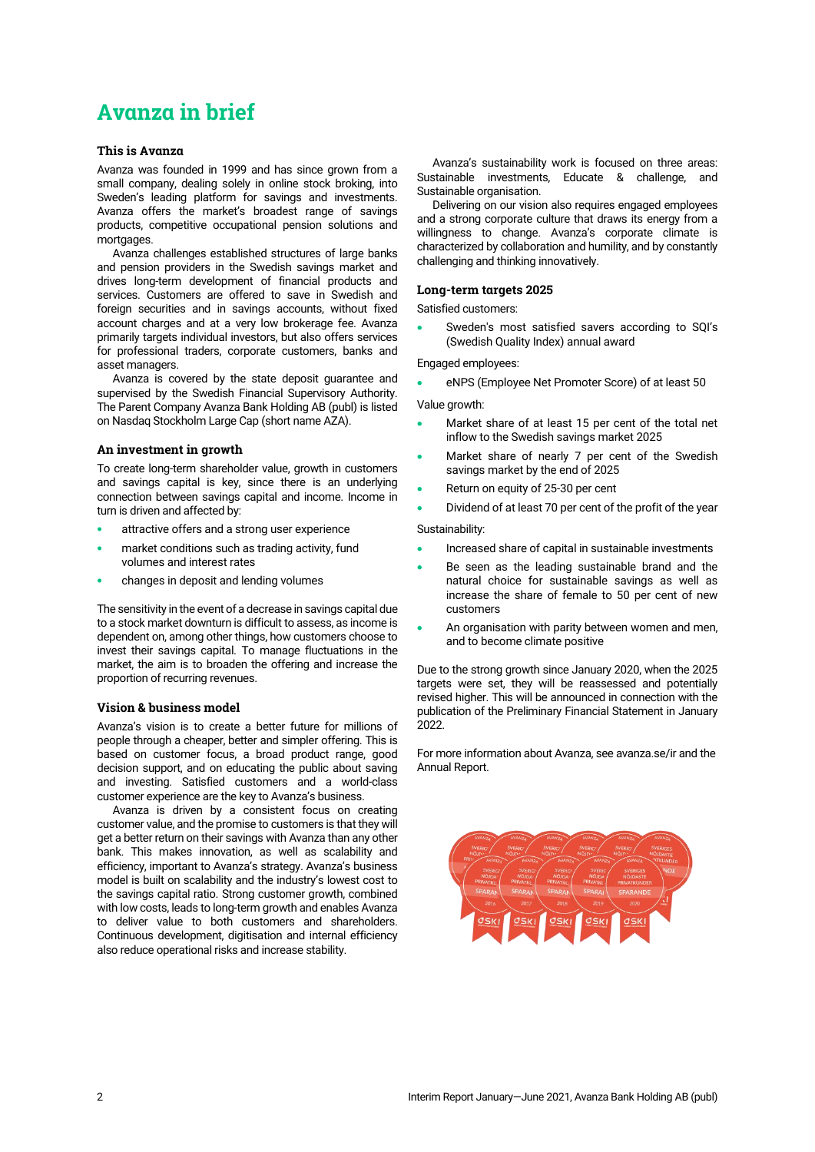# **Avanza in brief**

# **This is Avanza**

Avanza was founded in 1999 and has since grown from a small company, dealing solely in online stock broking, into Sweden's leading platform for savings and investments. Avanza offers the market's broadest range of savings products, competitive occupational pension solutions and mortgages

Avanza challenges established structures of large banks and pension providers in the Swedish savings market and drives long-term development of financial products and services. Customers are offered to save in Swedish and foreign securities and in savings accounts, without fixed account charges and at a very low brokerage fee. Avanza primarily targets individual investors, but also offers services for professional traders, corporate customers, banks and asset managers.

Avanza is covered by the state deposit guarantee and supervised by the Swedish Financial Supervisory Authority. The Parent Company Avanza Bank Holding AB (publ) is listed on Nasdaq Stockholm Large Cap (short name AZA).

### **An investment in growth**

To create long-term shareholder value, growth in customers and savings capital is key, since there is an underlying connection between savings capital and income. Income in turn is driven and affected by:

- attractive offers and a strong user experience
- market conditions such as trading activity, fund volumes and interest rates
- changes in deposit and lending volumes

The sensitivity in the event of a decrease in savings capital due to a stock market downturn is difficult to assess, as income is dependent on, among other things, how customers choose to invest their savings capital. To manage fluctuations in the market, the aim is to broaden the offering and increase the proportion of recurring revenues.

### **Vision & business model**

Avanza's vision is to create a better future for millions of people through a cheaper, better and simpler offering. This is based on customer focus, a broad product range, good decision support, and on educating the public about saving and investing. Satisfied customers and a world-class customer experience are the key to Avanza's business.

Avanza is driven by a consistent focus on creating customer value, and the promise to customers is that they will get a better return on their savings with Avanza than any other bank. This makes innovation, as well as scalability and efficiency, important to Avanza's strategy. Avanza's business model is built on scalability and the industry's lowest cost to the savings capital ratio. Strong customer growth, combined with low costs, leads to long-term growth and enables Avanza to deliver value to both customers and shareholders. Continuous development, digitisation and internal efficiency also reduce operational risks and increase stability.

Avanza's sustainability work is focused on three areas: Sustainable investments, Educate & challenge, and Sustainable organisation.

Delivering on our vision also requires engaged employees and a strong corporate culture that draws its energy from a willingness to change. Avanza's corporate climate is characterized by collaboration and humility, and by constantly challenging and thinking innovatively.

# **Long-term targets 2025**

Satisfied customers:

• Sweden's most satisfied savers according to SQI's (Swedish Quality Index) annual award

Engaged employees:

• eNPS (Employee Net Promoter Score) of at least 50

Value growth:

- Market share of at least 15 per cent of the total net inflow to the Swedish savings market 2025
- Market share of nearly 7 per cent of the Swedish savings market by the end of 2025
- Return on equity of 25-30 per cent
- Dividend of at least 70 per cent of the profit of the year

Sustainability:

- Increased share of capital in sustainable investments
- Be seen as the leading sustainable brand and the natural choice for sustainable savings as well as increase the share of female to 50 per cent of new customers
- An organisation with parity between women and men, and to become climate positive

Due to the strong growth since January 2020, when the 2025 targets were set, they will be reassessed and potentially revised higher. This will be announced in connection with the publication of the Preliminary Financial Statement in January  $2022$ 

For more information about Avanza, see [avanza.se/ir](https://avanza.se/ir) and the [Annual Report.](https://investors.avanza.se/en/ir/reports/annual-and-interim-reports/avanza-publishes-the-annual-and-sustainability-report-for-2019/)

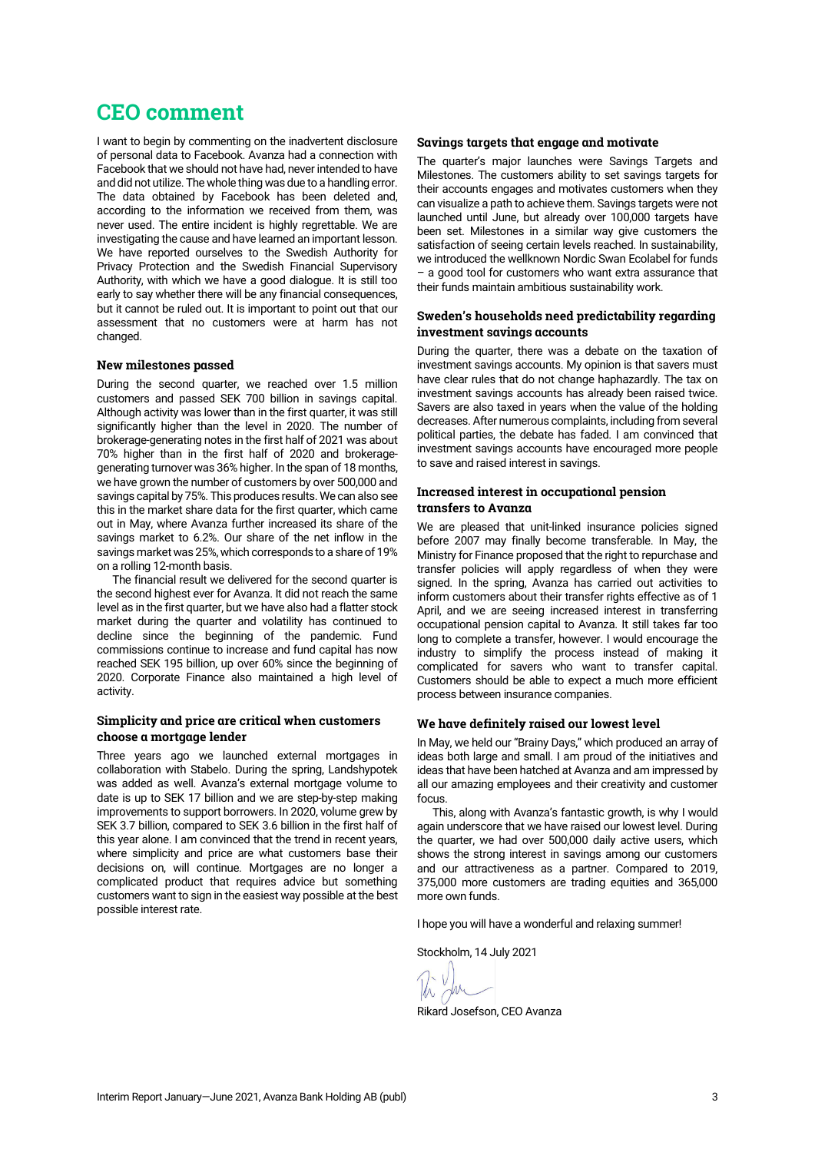# **CEO comment**

I want to begin by commenting on the inadvertent disclosure of personal data to Facebook. Avanza had a connection with Facebook that we should not have had, never intended to have and did not utilize. The whole thing was due to a handling error. The data obtained by Facebook has been deleted and, according to the information we received from them, was never used. The entire incident is highly regrettable. We are investigating the cause and have learned an important lesson. We have reported ourselves to the Swedish Authority for Privacy Protection and the Swedish Financial Supervisory Authority, with which we have a good dialogue. It is still too early to say whether there will be any financial consequences, but it cannot be ruled out. It is important to point out that our assessment that no customers were at harm has not changed.

# **New milestones passed**

During the second quarter, we reached over 1.5 million customers and passed SEK 700 billion in savings capital. Although activity was lower than in the first quarter, it was still significantly higher than the level in 2020. The number of brokerage-generating notes in the first half of 2021 was about 70% higher than in the first half of 2020 and brokeragegenerating turnover was 36% higher. In the span of 18 months, we have grown the number of customers by over 500,000 and savings capital by 75%. This produces results. We can also see this in the market share data for the first quarter, which came out in May, where Avanza further increased its share of the savings market to 6.2%. Our share of the net inflow in the savings market was 25%, which corresponds to a share of 19% on a rolling 12-month basis.

The financial result we delivered for the second quarter is the second highest ever for Avanza. It did not reach the same level as in the first quarter, but we have also had a flatter stock market during the quarter and volatility has continued to decline since the beginning of the pandemic. Fund commissions continue to increase and fund capital has now reached SEK 195 billion, up over 60% since the beginning of 2020. Corporate Finance also maintained a high level of activity.

# **Simplicity and price are critical when customers choose a mortgage lender**

Three years ago we launched external mortgages in collaboration with Stabelo. During the spring, Landshypotek was added as well. Avanza's external mortgage volume to date is up to SEK 17 billion and we are step-by-step making improvements to support borrowers. In 2020, volume grew by SEK 3.7 billion, compared to SEK 3.6 billion in the first half of this year alone. I am convinced that the trend in recent years, where simplicity and price are what customers base their decisions on, will continue. Mortgages are no longer a complicated product that requires advice but something customers want to sign in the easiest way possible at the best possible interest rate.

# **Savings targets that engage and motivate**

The quarter's major launches were Savings Targets and Milestones. The customers ability to set savings targets for their accounts engages and motivates customers when they can visualize a path to achieve them. Savings targets were not launched until June, but already over 100,000 targets have been set. Milestones in a similar way give customers the satisfaction of seeing certain levels reached. In sustainability, we introduced the wellknown Nordic Swan Ecolabel for funds – a good tool for customers who want extra assurance that their funds maintain ambitious sustainability work.

# **Sweden's households need predictability regarding investment savings accounts**

During the quarter, there was a debate on the taxation of investment savings accounts. My opinion is that savers must have clear rules that do not change haphazardly. The tax on investment savings accounts has already been raised twice. Savers are also taxed in years when the value of the holding decreases. After numerous complaints, including from several political parties, the debate has faded. I am convinced that investment savings accounts have encouraged more people to save and raised interest in savings.

# **Increased interest in occupational pension transfers to Avanza**

We are pleased that unit-linked insurance policies signed before 2007 may finally become transferable. In May, the Ministry for Finance proposed that the right to repurchase and transfer policies will apply regardless of when they were signed. In the spring, Avanza has carried out activities to inform customers about their transfer rights effective as of 1 April, and we are seeing increased interest in transferring occupational pension capital to Avanza. It still takes far too long to complete a transfer, however. I would encourage the industry to simplify the process instead of making it complicated for savers who want to transfer capital. Customers should be able to expect a much more efficient process between insurance companies.

### **We have definitely raised our lowest level**

In May, we held our "Brainy Days," which produced an array of ideas both large and small. I am proud of the initiatives and ideas that have been hatched at Avanza and am impressed by all our amazing employees and their creativity and customer focus.

This, along with Avanza's fantastic growth, is why I would again underscore that we have raised our lowest level. During the quarter, we had over 500,000 daily active users, which shows the strong interest in savings among our customers and our attractiveness as a partner. Compared to 2019, 375,000 more customers are trading equities and 365,000 more own funds.

I hope you will have a wonderful and relaxing summer!

Stockholm, 14 July 2021

Rikard Josefson, CEO Avanza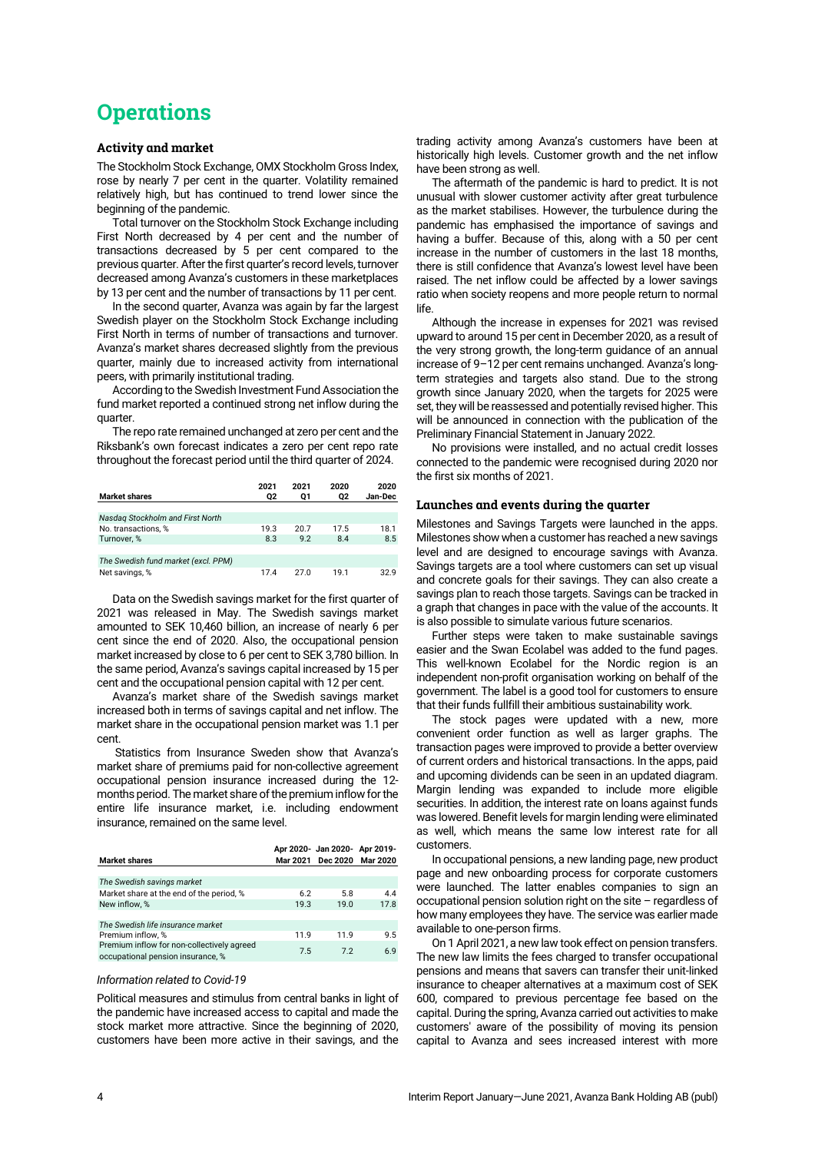# **Operations**

### **Activity and market**

The Stockholm Stock Exchange, OMX Stockholm Gross Index, rose by nearly 7 per cent in the quarter. Volatility remained relatively high, but has continued to trend lower since the beginning of the pandemic.

Total turnover on the Stockholm Stock Exchange including First North decreased by 4 per cent and the number of transactions decreased by 5 per cent compared to the previous quarter. After the first quarter's record levels, turnover decreased among Avanza's customers in these marketplaces by 13 per cent and the number of transactions by 11 per cent.

In the second quarter, Avanza was again by far the largest Swedish player on the Stockholm Stock Exchange including First North in terms of number of transactions and turnover. Avanza's market shares decreased slightly from the previous quarter, mainly due to increased activity from international peers, with primarily institutional trading.

According to the Swedish Investment Fund Association the fund market reported a continued strong net inflow during the quarter.

The repo rate remained unchanged at zero per cent and the Riksbank's own forecast indicates a zero per cent repo rate throughout the forecast period until the third quarter of 2024.

| <b>Market shares</b>                | 2021<br>02 | 2021<br>01 | 2020<br>02 | 2020<br>Jan-Dec |
|-------------------------------------|------------|------------|------------|-----------------|
|                                     |            |            |            |                 |
| Nasdag Stockholm and First North    |            |            |            |                 |
| No. transactions. %                 | 19.3       | 20.7       | 17.5       | 18.1            |
| Turnover. %                         | 8.3        | 9.2        | 8.4        | 8.5             |
|                                     |            |            |            |                 |
| The Swedish fund market (excl. PPM) |            |            |            |                 |
| Net savings, %                      | 17.4       | 270        | 19.1       | 32.9            |

Data on the Swedish savings market for the first quarter of 2021 was released in May. The Swedish savings market amounted to SEK 10,460 billion, an increase of nearly 6 per cent since the end of 2020. Also, the occupational pension market increased by close to 6 per cent to SEK 3,780 billion. In the same period, Avanza's savings capital increased by 15 per cent and the occupational pension capital with 12 per cent.

Avanza's market share of the Swedish savings market increased both in terms of savings capital and net inflow. The market share in the occupational pension market was 1.1 per cent.

Statistics from Insurance Sweden show that Avanza's market share of premiums paid for non-collective agreement occupational pension insurance increased during the 12 months period. The market share of the premium inflow for the entire life insurance market, i.e. including endowment insurance, remained on the same level.

|                                                                                 |      | Apr 2020- Jan 2020- Apr 2019- |      |
|---------------------------------------------------------------------------------|------|-------------------------------|------|
| <b>Market shares</b>                                                            |      | Mar 2021 Dec 2020 Mar 2020    |      |
| The Swedish savings market                                                      |      |                               |      |
| Market share at the end of the period, %                                        | 6.2  | 5.8                           | 44   |
| New inflow. %                                                                   | 19.3 | 19.0                          | 17.8 |
|                                                                                 |      |                               |      |
| The Swedish life insurance market                                               |      |                               |      |
| Premium inflow, %                                                               | 119  | 119                           | 9.5  |
| Premium inflow for non-collectively agreed<br>occupational pension insurance, % | 7.5  | 72                            | 6.9  |

### *Information related to Covid-19*

Political measures and stimulus from central banks in light of the pandemic have increased access to capital and made the stock market more attractive. Since the beginning of 2020, customers have been more active in their savings, and the

trading activity among Avanza's customers have been at historically high levels. Customer growth and the net inflow have been strong as well.

The aftermath of the pandemic is hard to predict. It is not unusual with slower customer activity after great turbulence as the market stabilises. However, the turbulence during the pandemic has emphasised the importance of savings and having a buffer. Because of this, along with a 50 per cent increase in the number of customers in the last 18 months, there is still confidence that Avanza's lowest level have been raised. The net inflow could be affected by a lower savings ratio when society reopens and more people return to normal life.

Although the increase in expenses for 2021 was revised upward to around 15 per cent in December 2020, as a result of the very strong growth, the long-term guidance of an annual increase of 9–12 per cent remains unchanged. Avanza's longterm strategies and targets also stand. Due to the strong growth since January 2020, when the targets for 2025 were set, they will be reassessed and potentially revised higher. This will be announced in connection with the publication of the Preliminary Financial Statement in January 2022.

No provisions were installed, and no actual credit losses connected to the pandemic were recognised during 2020 nor the first six months of 2021.

### **Launches and events during the quarter**

Milestones and Savings Targets were launched in the apps. Milestones show when a customer has reached a new savings level and are designed to encourage savings with Avanza. Savings targets are a tool where customers can set up visual and concrete goals for their savings. They can also create a savings plan to reach those targets. Savings can be tracked in a graph that changes in pace with the value of the accounts. It is also possible to simulate various future scenarios.

Further steps were taken to make sustainable savings easier and the Swan Ecolabel was added to the fund pages. This well-known Ecolabel for the Nordic region is an independent non-profit organisation working on behalf of the government. The label is a good tool for customers to ensure that their funds fullfill their ambitious sustainability work.

The stock pages were updated with a new, more convenient order function as well as larger graphs. The transaction pages were improved to provide a better overview of current orders and historical transactions. In the apps, paid and upcoming dividends can be seen in an updated diagram. Margin lending was expanded to include more eligible securities. In addition, the interest rate on loans against funds was lowered. Benefit levels for margin lending were eliminated as well, which means the same low interest rate for all customers.

In occupational pensions, a new landing page, new product page and new onboarding process for corporate customers were launched. The latter enables companies to sign an occupational pension solution right on the site – regardless of how many employees they have. The service was earlier made available to one-person firms.

On 1 April 2021, a new law took effect on pension transfers. The new law limits the fees charged to transfer occupational pensions and means that savers can transfer their unit-linked insurance to cheaper alternatives at a maximum cost of SEK 600, compared to previous percentage fee based on the capital. During the spring, Avanza carried out activities to make customers' aware of the possibility of moving its pension capital to Avanza and sees increased interest with more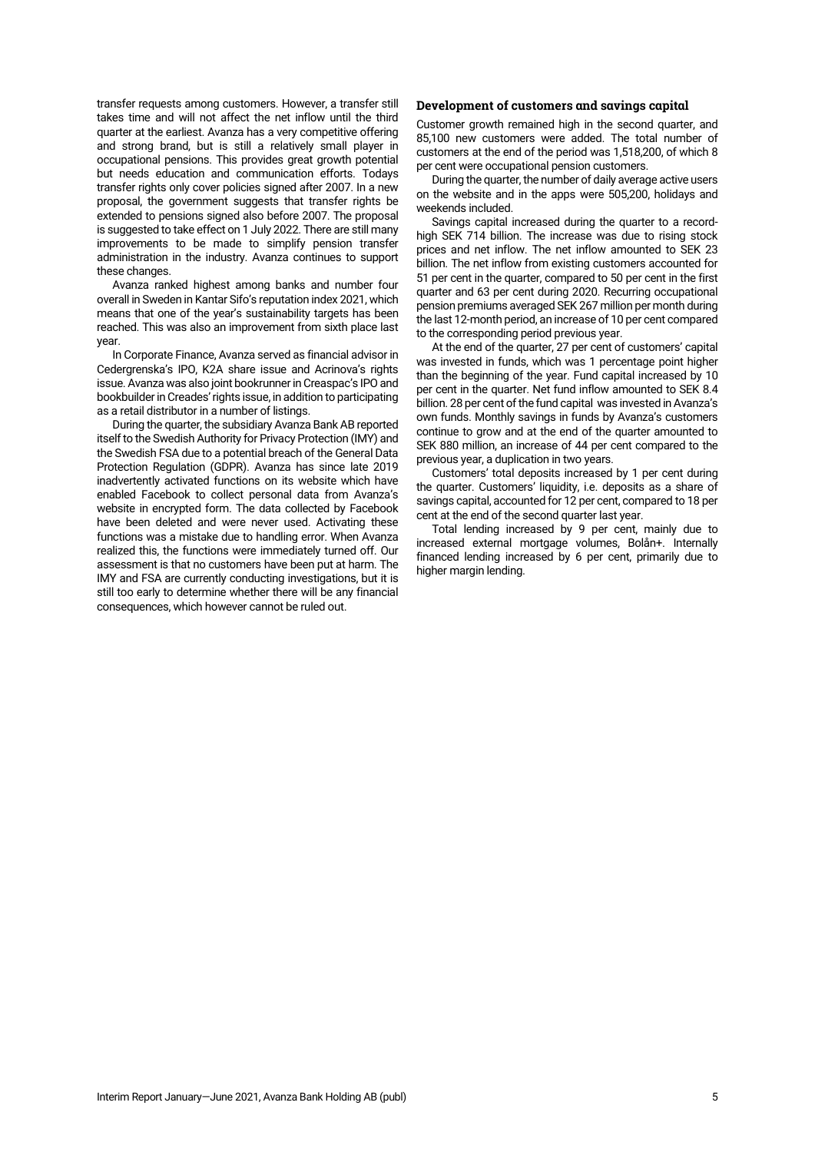transfer requests among customers. However, a transfer still takes time and will not affect the net inflow until the third quarter at the earliest. Avanza has a very competitive offering and strong brand, but is still a relatively small player in occupational pensions. This provides great growth potential but needs education and communication efforts. Todays transfer rights only cover policies signed after 2007. In a new proposal, the government suggests that transfer rights be extended to pensions signed also before 2007. The proposal is suggested to take effect on 1 July 2022. There are still many improvements to be made to simplify pension transfer administration in the industry. Avanza continues to support these changes.

Avanza ranked highest among banks and number four overall in Sweden in Kantar Sifo's reputation index 2021, which means that one of the year's sustainability targets has been reached. This was also an improvement from sixth place last year.

In Corporate Finance, Avanza served as financial advisor in Cedergrenska's IPO, K2A share issue and Acrinova's rights issue. Avanza was also joint bookrunner in Creaspac's IPO and bookbuilder in Creades' rights issue, in addition to participating as a retail distributor in a number of listings.

During the quarter, the subsidiary Avanza Bank AB reported itself to the Swedish Authority for Privacy Protection (IMY) and the Swedish FSA due to a potential breach of the General Data Protection Regulation (GDPR). Avanza has since late 2019 inadvertently activated functions on its website which have enabled Facebook to collect personal data from Avanza's website in encrypted form. The data collected by Facebook have been deleted and were never used. Activating these functions was a mistake due to handling error. When Avanza realized this, the functions were immediately turned off. Our assessment is that no customers have been put at harm. The IMY and FSA are currently conducting investigations, but it is still too early to determine whether there will be any financial consequences, which however cannot be ruled out.

### **Development of customers and savings capital**

Customer growth remained high in the second quarter, and 85,100 new customers were added. The total number of customers at the end of the period was 1,518,200, of which 8 per cent were occupational pension customers.

During the quarter, the number of daily average active users on the website and in the apps were 505,200, holidays and weekends included.

Savings capital increased during the quarter to a recordhigh SEK 714 billion. The increase was due to rising stock prices and net inflow. The net inflow amounted to SEK 23 billion. The net inflow from existing customers accounted for 51 per cent in the quarter, compared to 50 per cent in the first quarter and 63 per cent during 2020. Recurring occupational pension premiums averaged SEK 267 million per month during the last 12-month period, an increase of 10 per cent compared to the corresponding period previous year.

At the end of the quarter, 27 per cent of customers' capital was invested in funds, which was 1 percentage point higher than the beginning of the year. Fund capital increased by 10 per cent in the quarter. Net fund inflow amounted to SEK 8.4 billion. 28 per cent of the fund capital was invested in Avanza's own funds. Monthly savings in funds by Avanza's customers continue to grow and at the end of the quarter amounted to SEK 880 million, an increase of 44 per cent compared to the previous year, a duplication in two years.

Customers' total deposits increased by 1 per cent during the quarter. Customers' liquidity, i.e. deposits as a share of savings capital, accounted for 12 per cent, compared to 18 per cent at the end of the second quarter last year.

Total lending increased by 9 per cent, mainly due to increased external mortgage volumes, Bolån+. Internally financed lending increased by 6 per cent, primarily due to higher margin lending.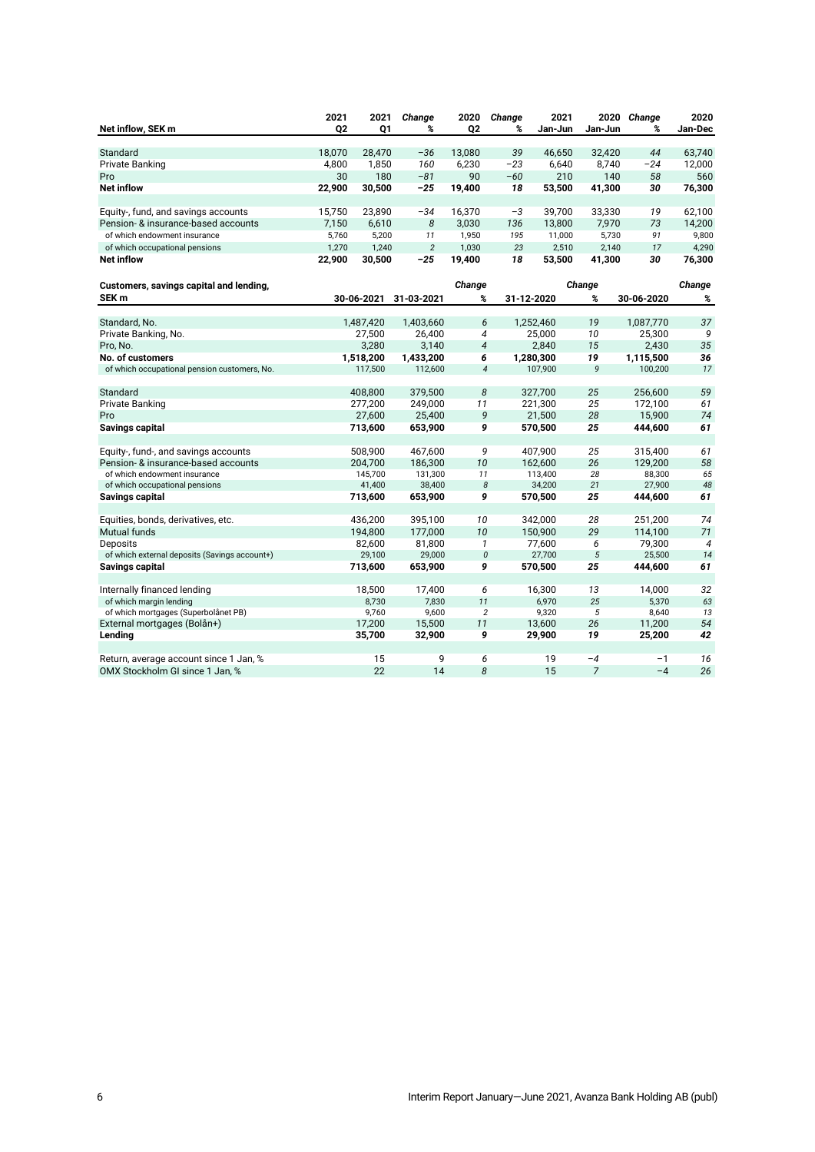|                                               | 2021           | 2021       | Change         | 2020           | Change                   | 2021       |                | 2020 Change | 2020           |
|-----------------------------------------------|----------------|------------|----------------|----------------|--------------------------|------------|----------------|-------------|----------------|
| Net inflow, SEK m                             | Q <sub>2</sub> | Q1         | %              | Q <sub>2</sub> | %                        | Jan-Jun    | Jan-Jun        | %           | Jan-Dec        |
| Standard                                      | 18,070         | 28,470     | $-36$          | 13,080         | 39                       | 46,650     | 32,420         | 44          | 63,740         |
| <b>Private Banking</b>                        | 4,800          | 1,850      | 160            | 6,230          | $-23$                    | 6,640      | 8,740          | $-24$       | 12,000         |
| Pro                                           | 30             | 180        | $-81$          | 90             | $-60$                    | 210        | 140            | 58          | 560            |
| <b>Net inflow</b>                             | 22,900         | 30,500     | -25            | 19,400         | 18                       | 53,500     | 41,300         | 30          | 76,300         |
|                                               |                |            |                |                |                          |            |                |             |                |
| Equity-, fund, and savings accounts           | 15,750         | 23,890     | $-34$          | 16,370         | $-3$                     | 39,700     | 33,330         | 19          | 62,100         |
| Pension- & insurance-based accounts           | 7,150          | 6,610      | 8              | 3,030          | 136                      | 13,800     | 7,970          | 73          | 14,200         |
| of which endowment insurance                  | 5,760          | 5,200      | 11             | 1,950          | 195                      | 11,000     | 5,730          | 91          | 9,800          |
| of which occupational pensions                | 1,270          | 1,240      | $\overline{2}$ | 1,030          | 23                       | 2,510      | 2,140          | 17          | 4,290          |
| <b>Net inflow</b>                             | 22,900         | 30,500     | $-25$          | 19,400         | 18                       | 53,500     | 41,300         | 30          | 76,300         |
| Customers, savings capital and lending,       |                |            |                | Change         |                          |            | Change         |             | Change         |
| SEK <sub>m</sub>                              |                | 30-06-2021 | 31-03-2021     | %              |                          | 31-12-2020 | %              | 30-06-2020  | %              |
|                                               |                |            |                |                |                          |            |                |             |                |
| Standard, No.                                 |                | 1,487,420  | 1,403,660      | 6              |                          | 1,252,460  | 19             | 1,087,770   | 37             |
| Private Banking, No.                          |                | 27,500     | 26,400         | 4              |                          | 25,000     | 10             | 25,300      | 9              |
| Pro, No.                                      |                | 3,280      | 3,140          | $\overline{4}$ |                          | 2,840      | 15             | 2,430       | 35             |
| No. of customers                              |                | 1,518,200  | 1,433,200      | 6              |                          | 1,280,300  | 19             | 1,115,500   | 36             |
| of which occupational pension customers, No.  |                | 117,500    | 112,600        |                | $\overline{\mathcal{A}}$ | 107,900    | 9              | 100,200     | 17             |
|                                               |                |            |                |                |                          |            |                |             |                |
| Standard                                      |                | 408,800    | 379,500        | 8              |                          | 327,700    | 25             | 256,600     | 59             |
| <b>Private Banking</b>                        |                | 277,200    | 249,000        | 11             |                          | 221,300    | 25             | 172,100     | 61             |
| Pro                                           |                | 27,600     | 25,400         | 9              |                          | 21,500     | 28             | 15,900      | 74             |
| Savings capital                               |                | 713,600    | 653,900        | 9              |                          | 570,500    | 25             | 444,600     | 61             |
|                                               |                |            |                |                |                          |            |                |             |                |
| Equity-, fund-, and savings accounts          |                | 508,900    | 467,600        |                | 9                        | 407,900    | 25             | 315,400     | 61             |
| Pension- & insurance-based accounts           |                | 204,700    | 186,300        | 10             |                          | 162,600    | 26             | 129,200     | 58             |
| of which endowment insurance                  |                | 145,700    | 131,300        | 11             |                          | 113,400    | 28             | 88,300      | 65             |
| of which occupational pensions                |                | 41,400     | 38,400         |                | 8                        | 34,200     | 21             | 27,900      | 48             |
| Savings capital                               |                | 713,600    | 653,900        | 9              |                          | 570,500    | 25             | 444,600     | 61             |
| Equities, bonds, derivatives, etc.            |                | 436,200    | 395,100        | 10             |                          | 342,000    | 28             | 251,200     | 74             |
| <b>Mutual funds</b>                           |                | 194,800    | 177,000        | 10             |                          | 150,900    | 29             | 114,100     | 71             |
| <b>Deposits</b>                               |                | 82,600     | 81,800         | $\mathbf{1}$   |                          | 77,600     | 6              | 79,300      | $\overline{4}$ |
| of which external deposits (Savings account+) |                | 29,100     | 29,000         |                | 0                        | 27,700     | $\sqrt{5}$     | 25,500      | 14             |
| Savings capital                               |                | 713,600    | 653,900        | 9              |                          | 570,500    | 25             | 444,600     | 61             |
|                                               |                |            |                |                |                          |            |                |             |                |
| Internally financed lending                   |                | 18,500     | 17,400         | 6              |                          | 16,300     | 13             | 14,000      | 32             |
| of which margin lending                       |                | 8,730      | 7,830          | 11             |                          | 6,970      | 25             | 5,370       | 63             |
| of which mortgages (Superbolånet PB)          |                | 9,760      | 9,600          |                | $\overline{c}$           | 9,320      | 5              | 8,640       | 13             |
| External mortgages (Bolån+)                   |                | 17,200     | 15,500         | 11             |                          | 13,600     | 26             | 11,200      | 54             |
| Lending                                       |                | 35,700     | 32,900         | 9              |                          | 29,900     | 19             | 25,200      | 42             |
|                                               |                |            |                |                |                          |            |                |             |                |
| Return, average account since 1 Jan, %        |                | 15         | 9              |                | 6                        | 19         | $-4$           | $-1$        | 16             |
| OMX Stockholm GI since 1 Jan, %               |                | 22         | 14             | 8              |                          | 15         | $\overline{7}$ | $-4$        | 26             |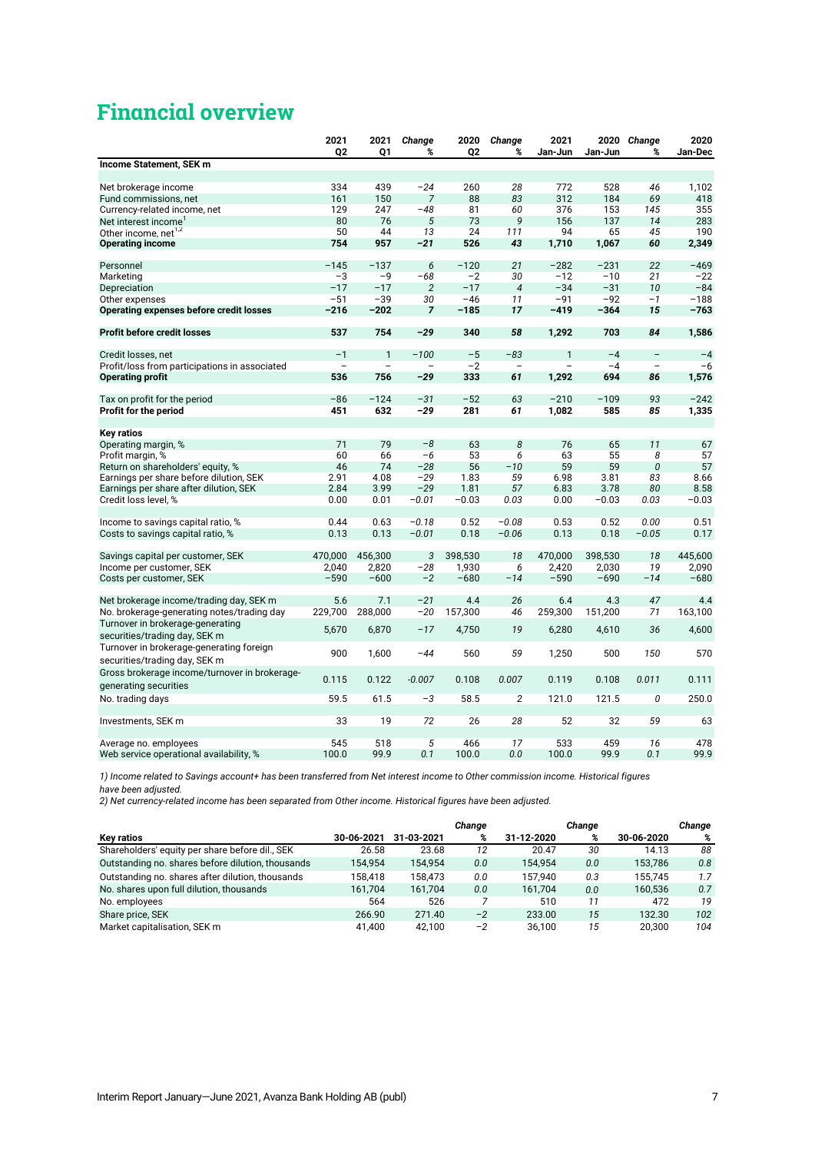# **Financial overview**

|                                                | 2021      | 2021         | Change         | 2020           | Change         | 2021         |             | 2020 Change              | 2020         |
|------------------------------------------------|-----------|--------------|----------------|----------------|----------------|--------------|-------------|--------------------------|--------------|
|                                                | 02        | 01           | %              | Q <sub>2</sub> | %              | Jan-Jun      | Jan-Jun     | %                        | Jan-Dec      |
| Income Statement, SEK m                        |           |              |                |                |                |              |             |                          |              |
|                                                |           |              |                |                |                |              |             |                          |              |
| Net brokerage income                           | 334       | 439          | $-24$          | 260            | 28             | 772          | 528         | 46                       | 1,102        |
| Fund commissions, net                          | 161       | 150          | $\overline{7}$ | 88             | 83             | 312          | 184         | 69                       | 418          |
| Currency-related income, net                   | 129       | 247          | $-48$          | 81             | 60             | 376          | 153         | 145                      | 355          |
| Net interest income                            | 80        | 76<br>44     | 5              | 73<br>24       | 9              | 156<br>94    | 137         | 14<br>45                 | 283          |
| Other income, net <sup>1,2</sup>               | 50<br>754 | 957          | 13<br>$-21$    | 526            | 111<br>43      | 1,710        | 65<br>1,067 | 60                       | 190<br>2,349 |
| <b>Operating income</b>                        |           |              |                |                |                |              |             |                          |              |
| Personnel                                      | $-145$    | $-137$       | 6              | $-120$         | 21             | $-282$       | $-231$      | 22                       | $-469$       |
| Marketing                                      | $-3$      | $-9$         | $-68$          | $-2$           | 30             | $-12$        | $-10$       | 21                       | $-22$        |
| Depreciation                                   | $-17$     | $-17$        | $\overline{2}$ | $-17$          | $\overline{4}$ | $-34$        | $-31$       | 10                       | $-84$        |
| Other expenses                                 | $-51$     | $-39$        | 30             | $-46$          | 11             | $-91$        | $-92$       | $-1$                     | $-188$       |
| <b>Operating expenses before credit losses</b> | $-216$    | $-202$       | $\overline{7}$ | $-185$         | 17             | $-419$       | $-364$      | 15                       | $-763$       |
|                                                |           |              |                |                |                |              |             |                          |              |
| <b>Profit before credit losses</b>             | 537       | 754          | $-29$          | 340            | 58             | 1,292        | 703         | 84                       | 1,586        |
| Credit losses, net                             | $-1$      | $\mathbf{1}$ | $-100$         | $-5$           | $-83$          | $\mathbf{1}$ | $-4$        | $\overline{\phantom{a}}$ | $-4$         |
| Profit/loss from participations in associated  |           |              |                | $-2$           |                |              | $-4$        | $\overline{\phantom{a}}$ | $-6$         |
| <b>Operating profit</b>                        | 536       | 756          | $-29$          | 333            | 61             | 1,292        | 694         | 86                       | 1,576        |
|                                                |           |              |                |                |                |              |             |                          |              |
| Tax on profit for the period                   | $-86$     | $-124$       | $-31$          | $-52$          | 63             | $-210$       | $-109$      | 93                       | $-242$       |
| Profit for the period                          | 451       | 632          | $-29$          | 281            | 61             | 1,082        | 585         | 85                       | 1,335        |
|                                                |           |              |                |                |                |              |             |                          |              |
| <b>Key ratios</b>                              |           |              |                |                |                |              |             |                          |              |
| Operating margin, %                            | 71        | 79           | $-8$           | 63             | 8              | 76           | 65          | 11                       | 67           |
| Profit margin, %                               | 60        | 66           | $-6$           | 53             | 6              | 63           | 55          | 8                        | 57           |
| Return on shareholders' equity, %              | 46        | 74           | $-28$          | 56             | $-10$          | 59           | 59          | $\mathcal{O}$            | 57           |
| Earnings per share before dilution, SEK        | 2.91      | 4.08         | $-29$          | 1.83           | 59             | 6.98         | 3.81        | 83                       | 8.66         |
| Earnings per share after dilution, SEK         | 2.84      | 3.99         | $-29$          | 1.81           | 57             | 6.83         | 3.78        | 80                       | 8.58         |
| Credit loss level, %                           | 0.00      | 0.01         | $-0.01$        | $-0.03$        | 0.03           | 0.00         | $-0.03$     | 0.03                     | $-0.03$      |
|                                                |           |              |                |                |                |              |             |                          |              |
| Income to savings capital ratio, %             | 0.44      | 0.63         | $-0.18$        | 0.52           | $-0.08$        | 0.53         | 0.52        | 0.00                     | 0.51         |
| Costs to savings capital ratio, %              | 0.13      | 0.13         | $-0.01$        | 0.18           | $-0.06$        | 0.13         | 0.18        | $-0.05$                  | 0.17         |
|                                                |           |              |                |                |                |              |             |                          |              |
| Savings capital per customer, SEK              | 470,000   | 456,300      | 3              | 398,530        | 18             | 470.000      | 398,530     | 18                       | 445.600      |
| Income per customer, SEK                       | 2,040     | 2,820        | $-28$          | 1,930          | 6              | 2,420        | 2,030       | 19                       | 2,090        |
| Costs per customer, SEK                        | $-590$    | $-600$       | $-2$           | $-680$         | $-14$          | $-590$       | $-690$      | $-14$                    | $-680$       |
| Net brokerage income/trading day, SEK m        | 5.6       | 7.1          | $-21$          | 4.4            | 26             | 6.4          | 4.3         | 47                       | 4.4          |
| No. brokerage-generating notes/trading day     | 229,700   | 288,000      | $-20$          | 157,300        | 46             | 259,300      | 151,200     | 71                       | 163,100      |
| Turnover in brokerage-generating               | 5,670     | 6,870        | $-17$          | 4,750          | 19             | 6,280        | 4,610       | 36                       | 4,600        |
| securities/trading day, SEK m                  |           |              |                |                |                |              |             |                          |              |
| Turnover in brokerage-generating foreign       | 900       | 1,600        | $-44$          | 560            | 59             | 1,250        | 500         | 150                      | 570          |
| securities/trading day, SEK m                  |           |              |                |                |                |              |             |                          |              |
| Gross brokerage income/turnover in brokerage-  | 0.115     | 0.122        | $-0.007$       | 0.108          | 0.007          | 0.119        | 0.108       | 0.011                    | 0.111        |
| generating securities                          |           |              |                |                |                |              |             |                          |              |
| No. trading days                               | 59.5      | 61.5         | $-3$           | 58.5           | 2              | 121.0        | 121.5       | $\Omega$                 | 250.0        |
|                                                | 33        | 19           | 72             | 26             | 28             | 52           | 32          | 59                       | 63           |
| Investments, SEK m                             |           |              |                |                |                |              |             |                          |              |
| Average no. employees                          | 545       | 518          | 5              | 466            | 17             | 533          | 459         | 16                       | 478          |
| Web service operational availability, %        | 100.0     | 99.9         | 0.1            | 100.0          | 0.0            | 100.0        | 99.9        | 0.1                      | 99.9         |

*1) Income related to Savings account+ has been transferred from Net interest income to Other commission income. Historical figures* 

*have been adjusted.*

*2) Net currency-related income has been separated from Other income. Historical figures have been adjusted.*

|                                                   |            |            | Change |            | Change |            | Change |
|---------------------------------------------------|------------|------------|--------|------------|--------|------------|--------|
| <b>Key ratios</b>                                 | 30-06-2021 | 31-03-2021 | %      | 31-12-2020 | %      | 30-06-2020 | %      |
| Shareholders' equity per share before dil., SEK   | 26.58      | 23.68      | 12     | 20.47      | 30     | 14.13      | 88     |
| Outstanding no. shares before dilution, thousands | 154.954    | 154.954    | 0.0    | 154.954    | 0.0    | 153.786    | 0.8    |
| Outstanding no. shares after dilution, thousands  | 158.418    | 158.473    | 0.0    | 157.940    | 0.3    | 155.745    | 1.7    |
| No. shares upon full dilution, thousands          | 161.704    | 161.704    | 0.0    | 161.704    | 0.0    | 160.536    | 0.7    |
| No. employees                                     | 564        | 526        |        | 510        | 11     | 472        | 19     |
| Share price, SEK                                  | 266.90     | 271.40     | $-2$   | 233.00     | 15     | 132.30     | 102    |
| Market capitalisation. SEK m                      | 41.400     | 42.100     | $-2$   | 36.100     | 15     | 20.300     | 104    |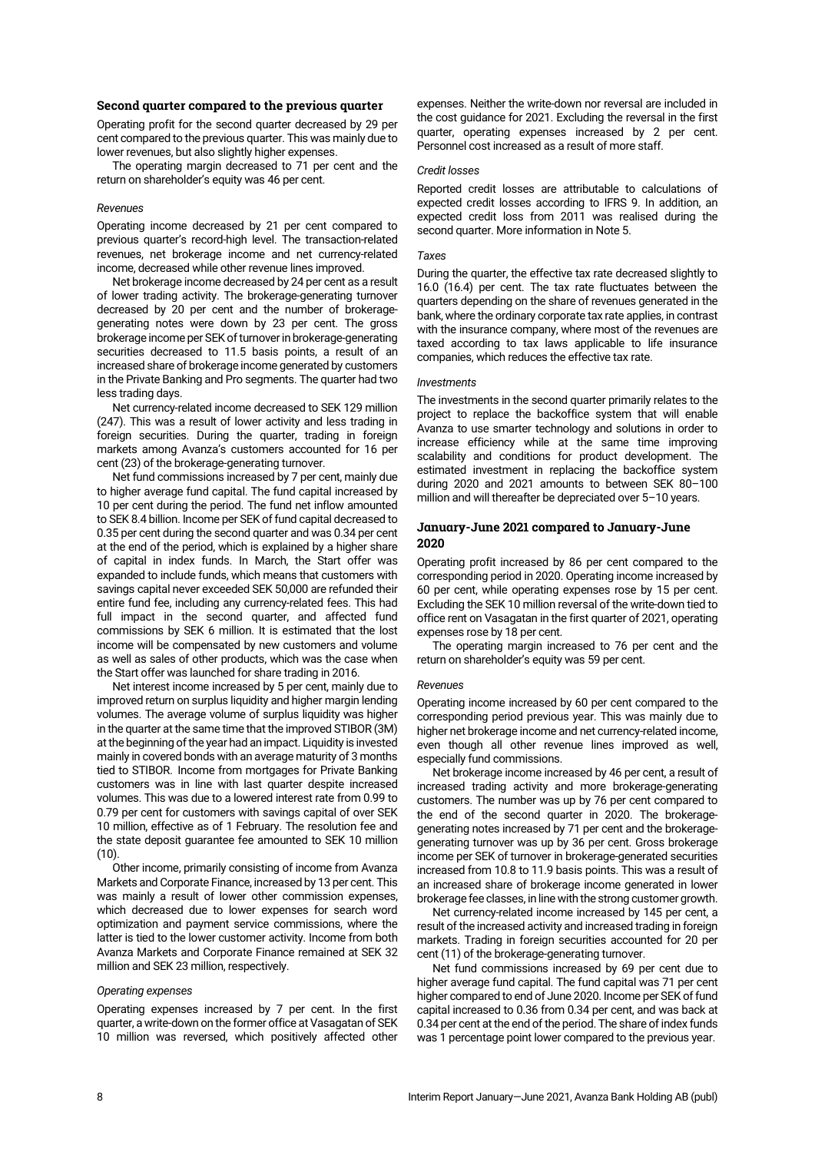### **Second quarter compared to the previous quarter**

Operating profit for the second quarter decreased by 29 per cent compared to the previous quarter. This was mainly due to lower revenues, but also slightly higher expenses.

The operating margin decreased to 71 per cent and the return on shareholder's equity was 46 per cent.

### *Revenues*

Operating income decreased by 21 per cent compared to previous quarter's record-high level. The transaction-related revenues, net brokerage income and net currency-related income, decreased while other revenue lines improved.

Net brokerage income decreased by 24 per cent as a result of lower trading activity. The brokerage-generating turnover decreased by 20 per cent and the number of brokeragegenerating notes were down by 23 per cent. The gross brokerage income per SEK of turnoverin brokerage-generating securities decreased to 11.5 basis points, a result of an increased share of brokerage income generated by customers in the Private Banking and Pro segments. The quarter had two less trading days.

Net currency-related income decreased to SEK 129 million (247). This was a result of lower activity and less trading in foreign securities. During the quarter, trading in foreign markets among Avanza's customers accounted for 16 per cent (23) of the brokerage-generating turnover.

Net fund commissions increased by 7 per cent, mainly due to higher average fund capital. The fund capital increased by 10 per cent during the period. The fund net inflow amounted to SEK 8.4 billion. Income per SEK of fund capital decreased to 0.35 per cent during the second quarter and was 0.34 per cent at the end of the period, which is explained by a higher share of capital in index funds. In March, the Start offer was expanded to include funds, which means that customers with savings capital never exceeded SEK 50,000 are refunded their entire fund fee, including any currency-related fees. This had full impact in the second quarter, and affected fund commissions by SEK 6 million. It is estimated that the lost income will be compensated by new customers and volume as well as sales of other products, which was the case when the Start offer was launched for share trading in 2016.

Net interest income increased by 5 per cent, mainly due to improved return on surplus liquidity and higher margin lending volumes. The average volume of surplus liquidity was higher in the quarter at the same time that the improved STIBOR (3M) at the beginning of the year had an impact. Liquidity is invested mainly in covered bonds with an average maturity of 3 months tied to STIBOR. Income from mortgages for Private Banking customers was in line with last quarter despite increased volumes. This was due to a lowered interest rate from 0.99 to 0.79 per cent for customers with savings capital of over SEK 10 million, effective as of 1 February. The resolution fee and the state deposit guarantee fee amounted to SEK 10 million  $(10)$ 

Other income, primarily consisting of income from Avanza Markets and Corporate Finance, increased by 13 per cent. This was mainly a result of lower other commission expenses, which decreased due to lower expenses for search word optimization and payment service commissions, where the latter is tied to the lower customer activity. Income from both Avanza Markets and Corporate Finance remained at SEK 32 million and SEK 23 million, respectively.

### *Operating expenses*

Operating expenses increased by 7 per cent. In the first quarter, a write-down on the former office at Vasagatan of SEK 10 million was reversed, which positively affected other

expenses. Neither the write-down nor reversal are included in the cost guidance for 2021. Excluding the reversal in the first quarter, operating expenses increased by 2 per cent. Personnel cost increased as a result of more staff.

## *Credit losses*

Reported credit losses are attributable to calculations of expected credit losses according to IFRS 9. In addition, an expected credit loss from 2011 was realised during the second quarter. More information in Note 5.

### *Taxes*

During the quarter, the effective tax rate decreased slightly to 16.0 (16.4) per cent. The tax rate fluctuates between the quarters depending on the share of revenues generated in the bank, where the ordinary corporate tax rate applies, in contrast with the insurance company, where most of the revenues are taxed according to tax laws applicable to life insurance companies, which reduces the effective tax rate.

### *Investments*

The investments in the second quarter primarily relates to the project to replace the backoffice system that will enable Avanza to use smarter technology and solutions in order to increase efficiency while at the same time improving scalability and conditions for product development. The estimated investment in replacing the backoffice system during 2020 and 2021 amounts to between SEK 80–100 million and will thereafter be depreciated over 5–10 years.

## **January-June 2021 compared to January-June 2020**

Operating profit increased by 86 per cent compared to the corresponding period in 2020. Operating income increased by 60 per cent, while operating expenses rose by 15 per cent. Excluding the SEK 10 million reversal of the write-down tied to office rent on Vasagatan in the first quarter of 2021, operating expenses rose by 18 per cent.

The operating margin increased to 76 per cent and the return on shareholder's equity was 59 per cent.

### *Revenues*

Operating income increased by 60 per cent compared to the corresponding period previous year. This was mainly due to higher net brokerage income and net currency-related income, even though all other revenue lines improved as well, especially fund commissions.

Net brokerage income increased by 46 per cent, a result of increased trading activity and more brokerage-generating customers. The number was up by 76 per cent compared to the end of the second quarter in 2020. The brokeragegenerating notes increased by 71 per cent and the brokeragegenerating turnover was up by 36 per cent. Gross brokerage income per SEK of turnover in brokerage-generated securities increased from 10.8 to 11.9 basis points. This was a result of an increased share of brokerage income generated in lower brokerage fee classes, in line with the strong customer growth.

Net currency-related income increased by 145 per cent, a result of the increased activity and increased trading in foreign markets. Trading in foreign securities accounted for 20 per cent (11) of the brokerage-generating turnover.

Net fund commissions increased by 69 per cent due to higher average fund capital. The fund capital was 71 per cent higher compared to end of June 2020. Income per SEK of fund capital increased to 0.36 from 0.34 per cent, and was back at 0.34 per cent at the end of the period. The share of index funds was 1 percentage point lower compared to the previous year.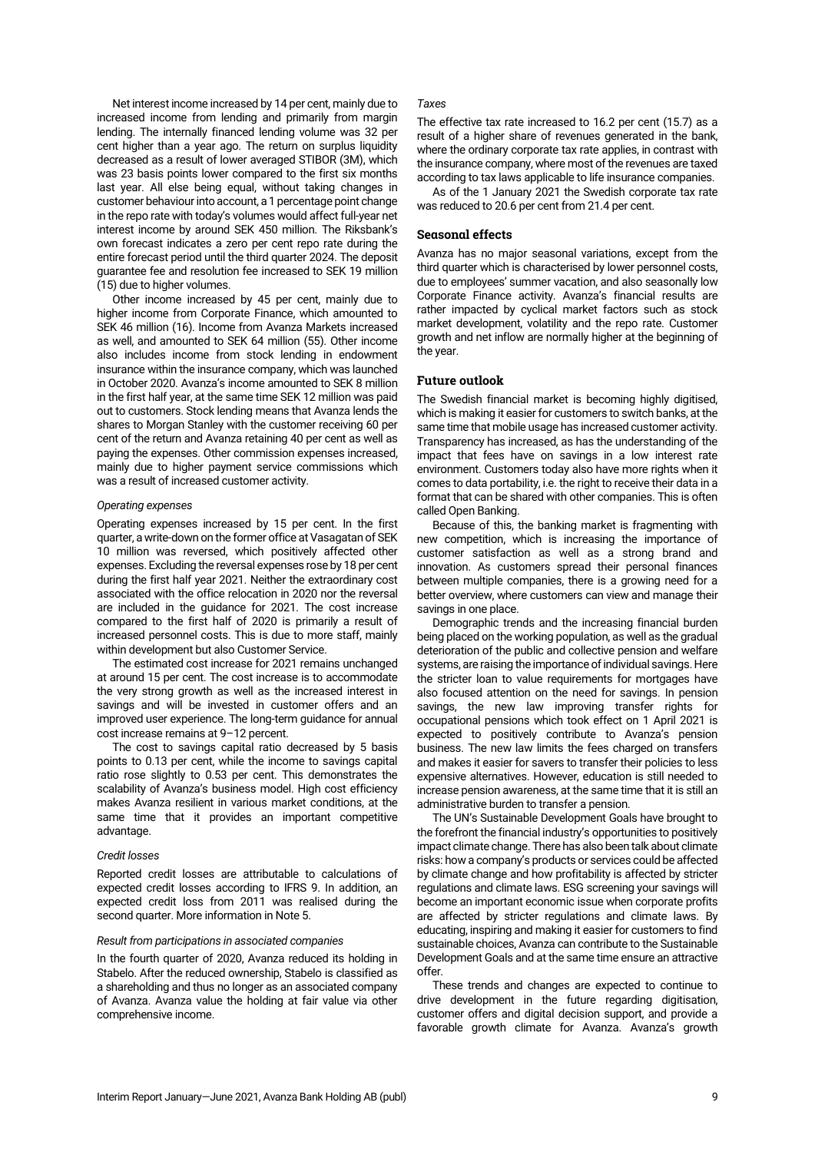Net interest income increased by 14 per cent, mainly due to increased income from lending and primarily from margin lending. The internally financed lending volume was 32 per cent higher than a year ago. The return on surplus liquidity decreased as a result of lower averaged STIBOR (3M), which was 23 basis points lower compared to the first six months last year. All else being equal, without taking changes in customer behaviour into account, a 1 percentage point change in the repo rate with today's volumes would affect full-year net interest income by around SEK 450 million. The Riksbank's own forecast indicates a zero per cent repo rate during the entire forecast period until the third quarter 2024. The deposit guarantee fee and resolution fee increased to SEK 19 million (15) due to higher volumes.

Other income increased by 45 per cent, mainly due to higher income from Corporate Finance, which amounted to SEK 46 million (16). Income from Avanza Markets increased as well, and amounted to SEK 64 million (55). Other income also includes income from stock lending in endowment insurance within the insurance company, which was launched in October 2020. Avanza's income amounted to SEK 8 million in the first half year, at the same time SEK 12 million was paid out to customers. Stock lending means that Avanza lends the shares to Morgan Stanley with the customer receiving 60 per cent of the return and Avanza retaining 40 per cent as well as paying the expenses. Other commission expenses increased, mainly due to higher payment service commissions which was a result of increased customer activity.

### *Operating expenses*

Operating expenses increased by 15 per cent. In the first quarter, a write-down on the former office at Vasagatan of SEK 10 million was reversed, which positively affected other expenses. Excluding the reversal expenses rose by 18 per cent during the first half year 2021. Neither the extraordinary cost associated with the office relocation in 2020 nor the reversal are included in the guidance for 2021. The cost increase compared to the first half of 2020 is primarily a result of increased personnel costs. This is due to more staff, mainly within development but also Customer Service.

The estimated cost increase for 2021 remains unchanged at around 15 per cent. The cost increase is to accommodate the very strong growth as well as the increased interest in savings and will be invested in customer offers and an improved user experience. The long-term guidance for annual cost increase remains at 9–12 percent.

The cost to savings capital ratio decreased by 5 basis points to 0.13 per cent, while the income to savings capital ratio rose slightly to 0.53 per cent. This demonstrates the scalability of Avanza's business model. High cost efficiency makes Avanza resilient in various market conditions, at the same time that it provides an important competitive advantage.

### *Credit losses*

Reported credit losses are attributable to calculations of expected credit losses according to IFRS 9. In addition, an expected credit loss from 2011 was realised during the second quarter. More information in Note 5.

### *Result from participations in associated companies*

In the fourth quarter of 2020, Avanza reduced its holding in Stabelo. After the reduced ownership, Stabelo is classified as a shareholding and thus no longer as an associated company of Avanza. Avanza value the holding at fair value via other comprehensive income.

### *Taxes*

The effective tax rate increased to 16.2 per cent (15.7) as a result of a higher share of revenues generated in the bank, where the ordinary corporate tax rate applies, in contrast with the insurance company, where most of the revenues are taxed according to tax laws applicable to life insurance companies.

As of the 1 January 2021 the Swedish corporate tax rate was reduced to 20.6 per cent from 21.4 per cent.

### **Seasonal effects**

Avanza has no major seasonal variations, except from the third quarter which is characterised by lower personnel costs, due to employees' summer vacation, and also seasonally low Corporate Finance activity. Avanza's financial results are rather impacted by cyclical market factors such as stock market development, volatility and the repo rate. Customer growth and net inflow are normally higher at the beginning of the year.

# **Future outlook**

The Swedish financial market is becoming highly digitised, which is making it easier for customers to switch banks, at the same time that mobile usage has increased customer activity. Transparency has increased, as has the understanding of the impact that fees have on savings in a low interest rate environment. Customers today also have more rights when it comes to data portability, i.e. the right to receive their data in a format that can be shared with other companies. This is often called Open Banking.

Because of this, the banking market is fragmenting with new competition, which is increasing the importance of customer satisfaction as well as a strong brand and innovation. As customers spread their personal finances between multiple companies, there is a growing need for a better overview, where customers can view and manage their savings in one place.

Demographic trends and the increasing financial burden being placed on the working population, as well as the gradual deterioration of the public and collective pension and welfare systems, are raising the importance of individual savings. Here the stricter loan to value requirements for mortgages have also focused attention on the need for savings. In pension savings, the new law improving transfer rights for occupational pensions which took effect on 1 April 2021 is expected to positively contribute to Avanza's pension business. The new law limits the fees charged on transfers and makes it easier for savers to transfer their policies to less expensive alternatives. However, education is still needed to increase pension awareness, at the same time that it is still an administrative burden to transfer a pension.

The UN's Sustainable Development Goals have brought to the forefront the financial industry's opportunities to positively impact climate change. There has also been talk about climate risks: how a company's products or services could be affected by climate change and how profitability is affected by stricter regulations and climate laws. ESG screening your savings will become an important economic issue when corporate profits are affected by stricter regulations and climate laws. By educating, inspiring and making it easier for customers to find sustainable choices, Avanza can contribute to the Sustainable Development Goals and at the same time ensure an attractive offer.

These trends and changes are expected to continue to drive development in the future regarding digitisation, customer offers and digital decision support, and provide a favorable growth climate for Avanza. Avanza's growth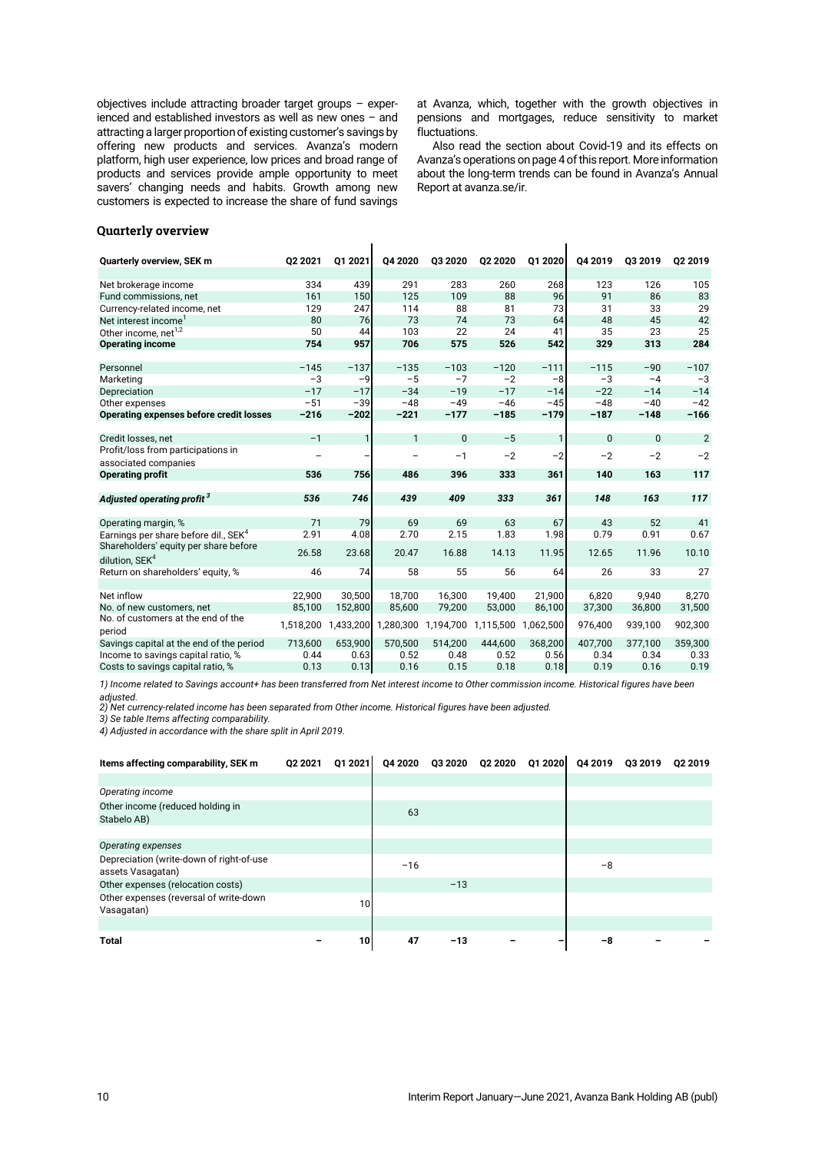objectives include attracting broader target groups – experienced and established investors as well as new ones – and attracting a larger proportion of existing customer's savings by offering new products and services. Avanza's modern platform, high user experience, low prices and broad range of products and services provide ample opportunity to meet savers' changing needs and habits. Growth among new customers is expected to increase the share of fund savings

at Avanza, which, together with the growth objectives in pensions and mortgages, reduce sensitivity to market fluctuations.

Also read the section about Covid-19 and its effects on Avanza's operations on page 4of this report. More information about the long-term trends can be found in Avanza's Annual Report at [avanza.se/ir.](https://www.avanza.se/ir)

 $\mathbf{I}$ 

## **Quarterly overview**

| Quarterly overview, SEK m                      | 02 2021   | Q1 2021   | Q4 2020      | Q3 2020      | Q2 2020   | Q1 2020      | Q4 2019 | Q3 2019      | 02 2019        |
|------------------------------------------------|-----------|-----------|--------------|--------------|-----------|--------------|---------|--------------|----------------|
| Net brokerage income                           | 334       | 439       | 291          | 283          | 260       | 268          | 123     | 126          | 105            |
| Fund commissions, net                          | 161       | 150       | 125          | 109          | 88        | 96           | 91      | 86           | 83             |
| Currency-related income, net                   | 129       | 247       | 114          | 88           | 81        | 73           | 31      | 33           | 29             |
| Net interest income <sup>1</sup>               | 80        | 76        | 73           | 74           | 73        | 64           | 48      | 45           | 42             |
| Other income, net <sup>1,2</sup>               | 50        | 44        | 103          | 22           | 24        | 41           | 35      | 23           | 25             |
| <b>Operating income</b>                        | 754       | 957       | 706          | 575          | 526       | 542          | 329     | 313          | 284            |
|                                                |           |           |              |              |           |              |         |              |                |
| Personnel                                      | $-145$    | $-137$    | $-135$       | $-103$       | $-120$    | $-111$       | $-115$  | $-90$        | $-107$         |
| Marketing                                      | $-3$      | $-9$      | $-5$         | $-7$         | $-2$      | $-8$         | $-3$    | $-4$         | $-3$           |
| Depreciation                                   | $-17$     | $-17$     | $-34$        | $-19$        | $-17$     | $-14$        | $-22$   | $-14$        | $-14$          |
| Other expenses                                 | $-51$     | $-39$     | $-48$        | $-49$        | $-46$     | $-45$        | $-48$   | $-40$        | $-42$          |
| Operating expenses before credit losses        | $-216$    | $-202$    | $-221$       | $-177$       | $-185$    | $-179$       | $-187$  | $-148$       | $-166$         |
|                                                |           |           |              |              |           |              |         |              |                |
| Credit losses, net                             | $-1$      | 1         | $\mathbf{1}$ | $\mathbf{0}$ | $-5$      | $\mathbf{1}$ | 0       | $\mathbf{0}$ | $\overline{2}$ |
| Profit/loss from participations in             |           |           |              | $-1$         | $-2$      | $-2$         | $-2$    | $-2$         | $-2$           |
| associated companies                           |           |           |              |              |           |              |         |              |                |
| <b>Operating profit</b>                        | 536       | 756       | 486          | 396          | 333       | 361          | 140     | 163          | 117            |
| Adjusted operating profit <sup>3</sup>         | 536       | 746       | 439          | 409          | 333       | 361          | 148     | 163          | 117            |
|                                                |           |           |              |              |           |              |         |              |                |
| Operating margin, %                            | 71        | 79        | 69           | 69           | 63        | 67           | 43      | 52           | 41             |
| Earnings per share before dil SEK <sup>4</sup> | 2.91      | 4.08      | 2.70         | 2.15         | 1.83      | 1.98         | 0.79    | 0.91         | 0.67           |
| Shareholders' equity per share before          | 26.58     | 23.68     | 20.47        | 16.88        | 14.13     | 11.95        | 12.65   | 11.96        | 10.10          |
| dilution, SEK <sup>4</sup>                     |           |           |              |              |           |              |         |              |                |
| Return on shareholders' equity, %              | 46        | 74        | 58           | 55           | 56        | 64           | 26      | 33           | 27             |
|                                                |           |           |              |              |           |              |         |              |                |
| Net inflow                                     | 22,900    | 30,500    | 18,700       | 16,300       | 19,400    | 21,900       | 6,820   | 9.940        | 8,270          |
| No. of new customers, net                      | 85,100    | 152,800   | 85,600       | 79,200       | 53,000    | 86,100       | 37,300  | 36,800       | 31,500         |
| No. of customers at the end of the<br>period   | 1,518,200 | 1,433,200 | 1,280,300    | 1,194,700    | 1,115,500 | 1,062,500    | 976,400 | 939,100      | 902,300        |
| Savings capital at the end of the period       | 713,600   | 653,900   | 570,500      | 514,200      | 444,600   | 368,200      | 407,700 | 377,100      | 359,300        |
| Income to savings capital ratio, %             | 0.44      | 0.63      | 0.52         | 0.48         | 0.52      | 0.56         | 0.34    | 0.34         | 0.33           |
| Costs to savings capital ratio, %              | 0.13      | 0.13      | 0.16         | 0.15         | 0.18      | 0.18         | 0.19    | 0.16         | 0.19           |

 $\mathbf{I}$ 

*1) Income related to Savings account+ has been transferred from Net interest income to Other commission income. Historical figures have been adjusted.*

*2) Net currency-related income has been separated from Other income. Historical figures have been adjusted.*

*3) Se table Items affecting comparability.*

*4) Adjusted in accordance with the share split in April 2019.*

| Items affecting comparability, SEK m                          | 02 2021 | Q1 2021 |       | Q4 2020 Q3 2020 Q2 2020 | Q1 2020 | Q4 2019 | Q3 2019 | Q2 2019 |
|---------------------------------------------------------------|---------|---------|-------|-------------------------|---------|---------|---------|---------|
|                                                               |         |         |       |                         |         |         |         |         |
| Operating income                                              |         |         |       |                         |         |         |         |         |
| Other income (reduced holding in<br>Stabelo AB)               |         |         | 63    |                         |         |         |         |         |
|                                                               |         |         |       |                         |         |         |         |         |
| Operating expenses                                            |         |         |       |                         |         |         |         |         |
| Depreciation (write-down of right-of-use<br>assets Vasagatan) |         |         | $-16$ |                         |         | $-8$    |         |         |
| Other expenses (relocation costs)                             |         |         |       | $-13$                   |         |         |         |         |
| Other expenses (reversal of write-down<br>Vasagatan)          |         | 10      |       |                         |         |         |         |         |
|                                                               |         |         |       |                         |         |         |         |         |
| <b>Total</b>                                                  |         | 10      | 47    | $-13$                   |         | -8      |         |         |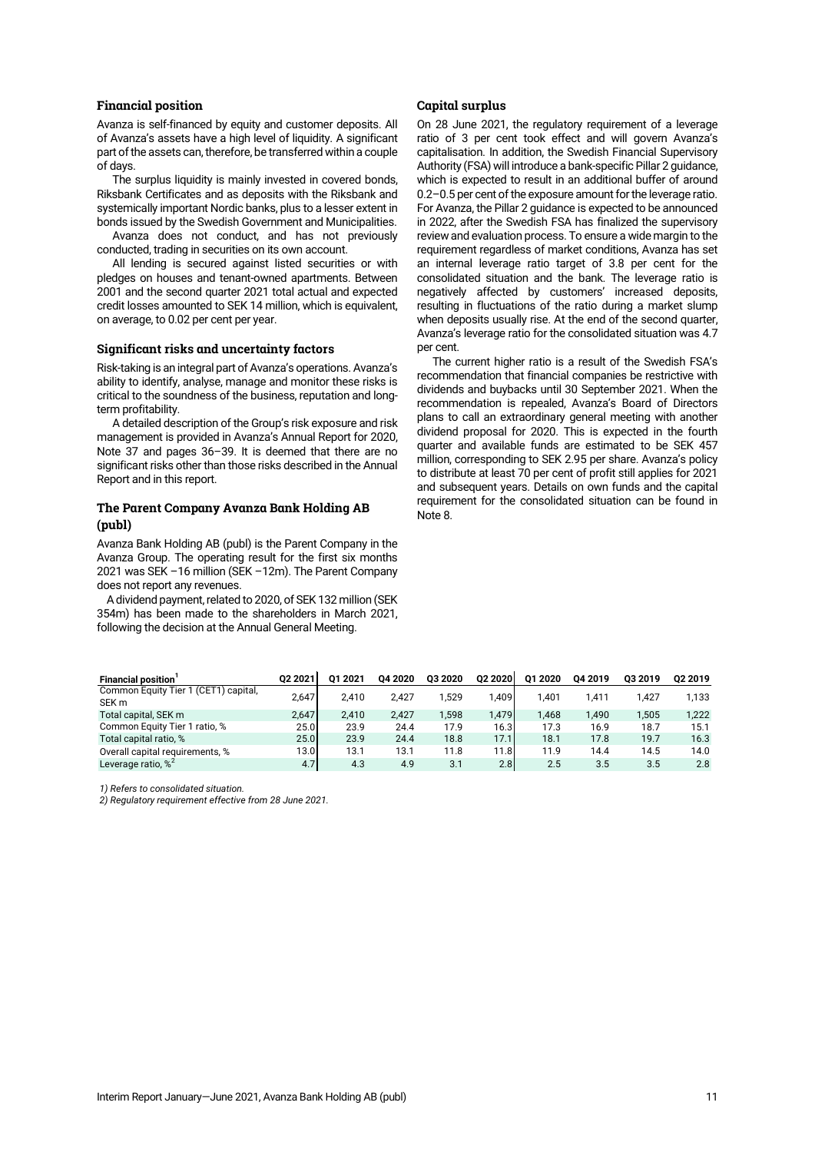### **Financial position**

Avanza is self-financed by equity and customer deposits. All of Avanza's assets have a high level of liquidity. A significant part of the assets can, therefore, be transferred within a couple of days.

The surplus liquidity is mainly invested in covered bonds, Riksbank Certificates and as deposits with the Riksbank and systemically important Nordic banks, plus to a lesser extent in bonds issued by the Swedish Government and Municipalities.

Avanza does not conduct, and has not previously conducted, trading in securities on its own account.

All lending is secured against listed securities or with pledges on houses and tenant-owned apartments. Between 2001 and the second quarter 2021 total actual and expected credit losses amounted to SEK 14 million, which is equivalent, on average, to 0.02 per cent per year.

### **Significant risks and uncertainty factors**

Risk-taking is an integral part of Avanza's operations. Avanza's ability to identify, analyse, manage and monitor these risks is critical to the soundness of the business, reputation and longterm profitability.

A detailed description of the Group's risk exposure and risk management is provided in Avanza's Annual Report for 2020, Note 37 and pages 36–39. It is deemed that there are no significant risks other than those risks described in the Annual Report and in this report.

# **The Parent Company Avanza Bank Holding AB (publ)**

Avanza Bank Holding AB (publ) is the Parent Company in the Avanza Group. The operating result for the first six months 2021 was SEK –16 million (SEK –12m). The Parent Company does not report any revenues.

A dividend payment, related to 2020, of SEK 132 million (SEK 354m) has been made to the shareholders in March 2021, following the decision at the Annual General Meeting.

### **Capital surplus**

On 28 June 2021, the regulatory requirement of a leverage ratio of 3 per cent took effect and will govern Avanza's capitalisation. In addition, the Swedish Financial Supervisory Authority (FSA) will introduce a bank-specific Pillar 2 guidance, which is expected to result in an additional buffer of around 0.2–0.5 per cent of the exposure amount for the leverage ratio. For Avanza, the Pillar 2 guidance is expected to be announced in 2022, after the Swedish FSA has finalized the supervisory review and evaluation process. To ensure a wide margin to the requirement regardless of market conditions, Avanza has set an internal leverage ratio target of 3.8 per cent for the consolidated situation and the bank. The leverage ratio is negatively affected by customers' increased deposits, resulting in fluctuations of the ratio during a market slump when deposits usually rise. At the end of the second quarter, Avanza's leverage ratio for the consolidated situation was 4.7 per cent.

The current higher ratio is a result of the Swedish FSA's recommendation that financial companies be restrictive with dividends and buybacks until 30 September 2021. When the recommendation is repealed, Avanza's Board of Directors plans to call an extraordinary general meeting with another dividend proposal for 2020. This is expected in the fourth quarter and available funds are estimated to be SEK 457 million, corresponding to SEK 2.95 per share. Avanza's policy to distribute at least 70 per cent of profit still applies for 2021 and subsequent years. Details on own funds and the capital requirement for the consolidated situation can be found in Note 8.

| <b>Financial position</b>                                | 02 2021 | 01 2021 | 04 20 20 | 03 20 20 | 02 20 20 | 01 2020 | 04 2019 | 03 2019 | 02 2019 |
|----------------------------------------------------------|---------|---------|----------|----------|----------|---------|---------|---------|---------|
| Common Equity Tier 1 (CET1) capital.<br>SEK <sub>m</sub> | 2.647   | 2.410   | 2.427    | .529     | 1.409    | 1.401   | 1.411   | 1.427   | 1.133   |
| Total capital, SEK m                                     | 2.647   | 2.410   | 2.427    | 1.598    | 1.479    | 1.468   | 1.490   | 1.505   | 1,222   |
| Common Equity Tier 1 ratio, %                            | 25.0    | 23.9    | 24.4     | 17.9     | 16.3     | 17.3    | 16.9    | 18.7    | 15.1    |
| Total capital ratio, %                                   | 25.0    | 23.9    | 24.4     | 18.8     | 17.1     | 18.1    | 17.8    | 19.7    | 16.3    |
| Overall capital requirements, %                          | 13.0    | 13.1    | 13.1     | 11.8     | 11.8     | 11.9    | 14.4    | 14.5    | 14.0    |
| Leverage ratio, $\%^2$                                   | 4.7     | 4.3     | 4.9      | 3.1      | 2.8      | 2.5     | 3.5     | 3.5     | 2.8     |

*1) Refers to consolidated situation.*

*2) Regulatory requirement effective from 28 June 2021.*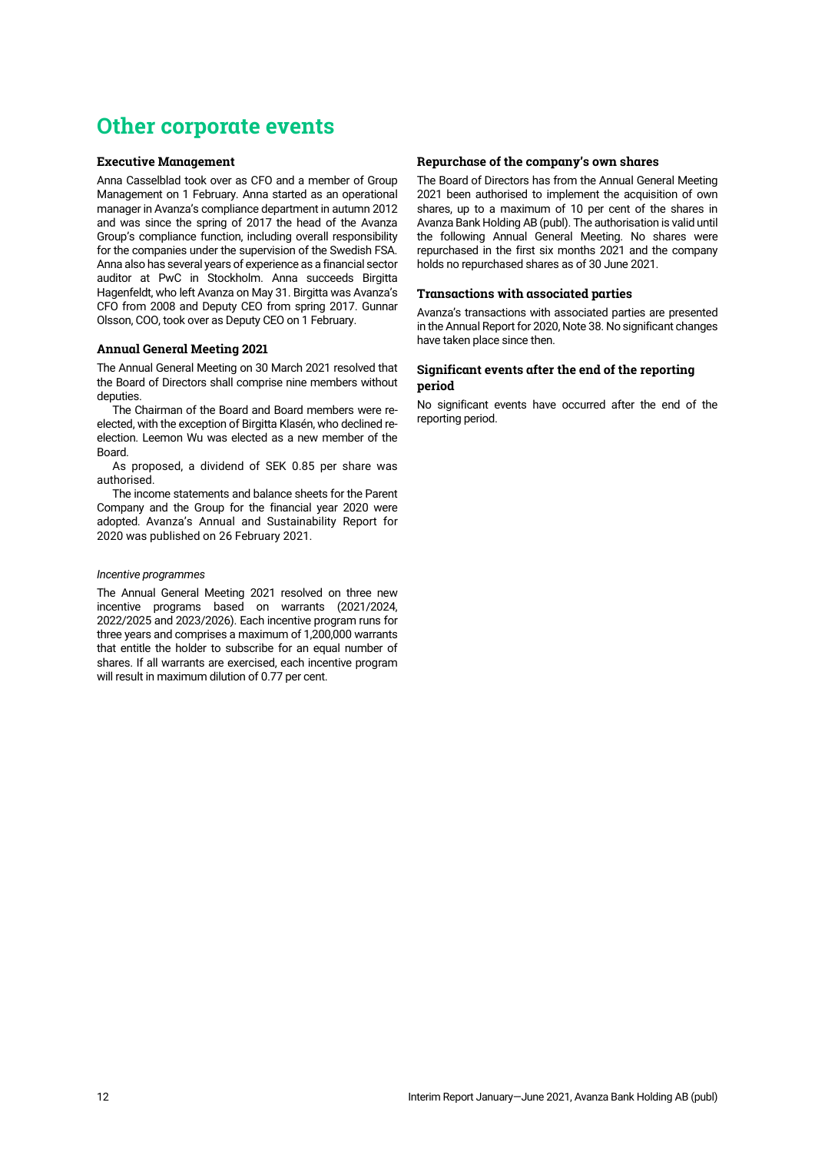# **Other corporate events**

## **Executive Management**

Anna Casselblad took over as CFO and a member of Group Management on 1 February. Anna started as an operational manager in Avanza's compliance department in autumn 2012 and was since the spring of 2017 the head of the Avanza Group's compliance function, including overall responsibility for the companies under the supervision of the Swedish FSA. Anna also has several years of experience as a financial sector auditor at PwC in Stockholm. Anna succeeds Birgitta Hagenfeldt, who left Avanza on May 31. Birgitta was Avanza's CFO from 2008 and Deputy CEO from spring 2017. Gunnar Olsson, COO, took over as Deputy CEO on 1 February.

# **Annual General Meeting 2021**

The Annual General Meeting on 30 March 2021 resolved that the Board of Directors shall comprise nine members without deputies.

The Chairman of the Board and Board members were reelected, with the exception of Birgitta Klasén, who declined reelection. Leemon Wu was elected as a new member of the Board.

As proposed, a dividend of SEK 0.85 per share was authorised.

The income statements and balance sheets for the Parent Company and the Group for the financial year 2020 were adopted. Avanza's Annual and Sustainability Report for 2020 was published on 26 February 2021.

### *Incentive programmes*

The Annual General Meeting 2021 resolved on three new incentive programs based on warrants (2021/2024, 2022/2025 and 2023/2026). Each incentive program runs for three years and comprises a maximum of 1,200,000 warrants that entitle the holder to subscribe for an equal number of shares. If all warrants are exercised, each incentive program will result in maximum dilution of 0.77 per cent.

## **Repurchase of the company's own shares**

The Board of Directors has from the Annual General Meeting 2021 been authorised to implement the acquisition of own shares, up to a maximum of 10 per cent of the shares in Avanza Bank Holding AB (publ). The authorisation is valid until the following Annual General Meeting. No shares were repurchased in the first six months 2021 and the company holds no repurchased shares as of 30 June 2021.

### **Transactions with associated parties**

Avanza's transactions with associated parties are presented in the Annual Report for 2020, Note 38. No significant changes have taken place since then.

# **Significant events after the end of the reporting period**

No significant events have occurred after the end of the reporting period.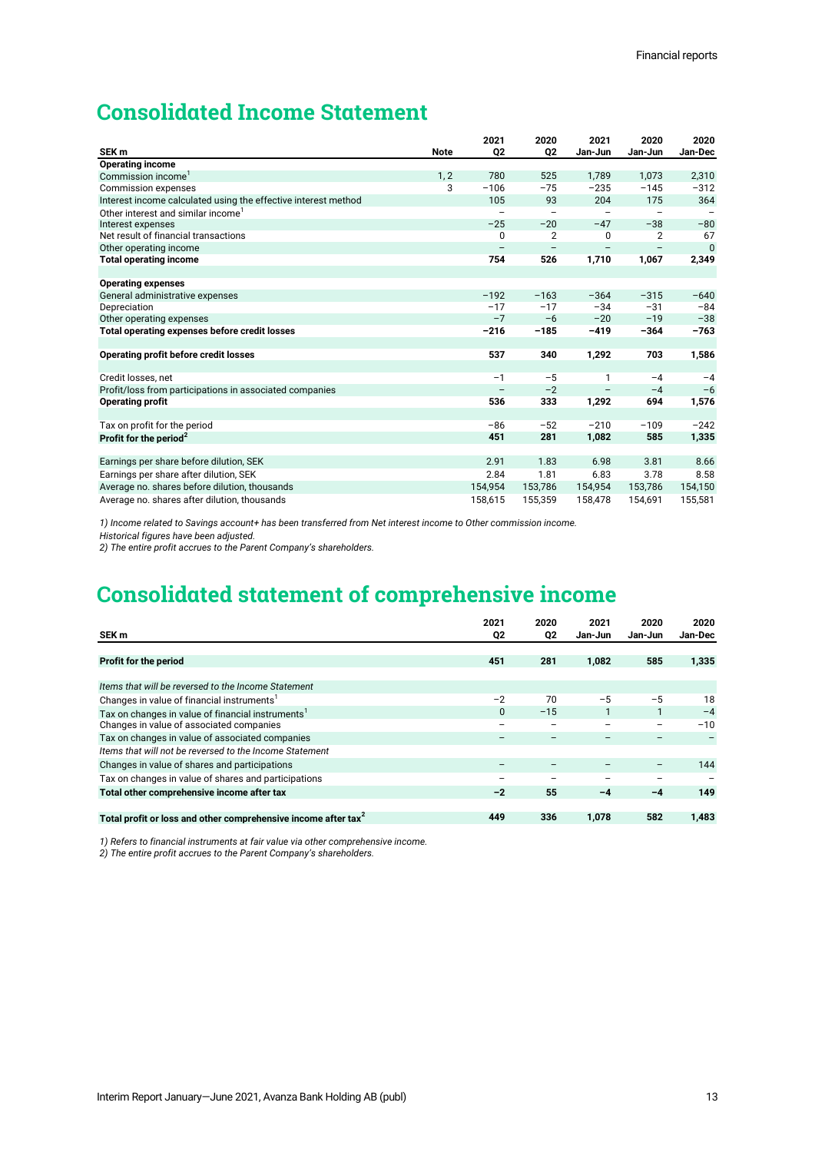# **Consolidated Income Statement**

| SEK <sub>m</sub>                                               | <b>Note</b> | 2021<br>02        | 2020<br>Q <sub>2</sub> | 2021<br>Jan-Jun   | 2020<br>Jan-Jun          | 2020<br>Jan-Dec |
|----------------------------------------------------------------|-------------|-------------------|------------------------|-------------------|--------------------------|-----------------|
| <b>Operating income</b>                                        |             |                   |                        |                   |                          |                 |
| Commission income <sup>1</sup>                                 | 1, 2        | 780               | 525                    | 1,789             | 1,073                    | 2,310           |
| <b>Commission expenses</b>                                     | 3           | $-106$            | $-75$                  | $-235$            | $-145$                   | $-312$          |
| Interest income calculated using the effective interest method |             | 105               | 93                     | 204               | 175                      | 364             |
| Other interest and similar income                              |             | $\qquad \qquad -$ | -                      | $\qquad \qquad -$ | $\overline{\phantom{m}}$ |                 |
| Interest expenses                                              |             | $-25$             | $-20$                  | $-47$             | $-38$                    | $-80$           |
| Net result of financial transactions                           |             | 0                 | $\overline{2}$         | 0                 | $\overline{2}$           | 67              |
| Other operating income                                         |             | $\qquad \qquad -$ | $\qquad \qquad -$      |                   |                          | $\Omega$        |
| <b>Total operating income</b>                                  |             | 754               | 526                    | 1,710             | 1,067                    | 2,349           |
|                                                                |             |                   |                        |                   |                          |                 |
| <b>Operating expenses</b>                                      |             |                   |                        |                   |                          |                 |
| General administrative expenses                                |             | $-192$            | $-163$                 | $-364$            | $-315$                   | $-640$          |
| Depreciation                                                   |             | $-17$             | $-17$                  | $-34$             | $-31$                    | $-84$           |
| Other operating expenses                                       |             | $-7$              | $-6$                   | $-20$             | $-19$                    | $-38$           |
| Total operating expenses before credit losses                  |             | $-216$            | $-185$                 | $-419$            | $-364$                   | $-763$          |
|                                                                |             |                   |                        |                   |                          |                 |
| Operating profit before credit losses                          |             | 537               | 340                    | 1,292             | 703                      | 1,586           |
|                                                                |             |                   |                        |                   |                          |                 |
| Credit losses, net                                             |             | $-1$              | $-5$                   | 1                 | $-4$                     | $-4$            |
| Profit/loss from participations in associated companies        |             | $\qquad \qquad -$ | $-2$                   | $\qquad \qquad -$ | $-4$                     | $-6$            |
| <b>Operating profit</b>                                        |             | 536               | 333                    | 1,292             | 694                      | 1,576           |
|                                                                |             | $-86$             | $-52$                  | $-210$            | $-109$                   | $-242$          |
| Tax on profit for the period                                   |             |                   |                        |                   |                          |                 |
| Profit for the period <sup>2</sup>                             |             | 451               | 281                    | 1,082             | 585                      | 1,335           |
| Earnings per share before dilution, SEK                        |             | 2.91              | 1.83                   | 6.98              | 3.81                     | 8.66            |
| Earnings per share after dilution, SEK                         |             | 2.84              | 1.81                   | 6.83              | 3.78                     | 8.58            |
|                                                                |             |                   |                        |                   |                          |                 |
| Average no. shares before dilution, thousands                  |             | 154,954           | 153,786                | 154,954           | 153,786                  | 154,150         |
| Average no. shares after dilution, thousands                   |             | 158,615           | 155,359                | 158.478           | 154.691                  | 155,581         |

*1) Income related to Savings account+ has been transferred from Net interest income to Other commission income.* 

*Historical figures have been adjusted.*

*2) The entire profit accrues to the Parent Company's shareholders.*

# **Consolidated statement of comprehensive income**

| SEK m                                                                    | 2021<br>Q2 | 2020<br>Q2 | 2021<br>Jan-Jun | 2020<br>Jan-Jun          | 2020<br>Jan-Dec |
|--------------------------------------------------------------------------|------------|------------|-----------------|--------------------------|-----------------|
|                                                                          |            |            |                 |                          |                 |
| Profit for the period                                                    | 451        | 281        | 1,082           | 585                      | 1,335           |
|                                                                          |            |            |                 |                          |                 |
| Items that will be reversed to the Income Statement                      |            |            |                 |                          |                 |
| Changes in value of financial instruments <sup>1</sup>                   | $-2$       | 70         | $-5$            | $-5$                     | 18              |
| Tax on changes in value of financial instruments <sup>1</sup>            | $\Omega$   | $-15$      | 1               |                          | $-4$            |
| Changes in value of associated companies                                 |            | —          | -               | $\overline{\phantom{m}}$ | $-10$           |
| Tax on changes in value of associated companies                          |            |            |                 |                          |                 |
| Items that will not be reversed to the Income Statement                  |            |            |                 |                          |                 |
| Changes in value of shares and participations                            |            |            |                 |                          | 144             |
| Tax on changes in value of shares and participations                     |            |            |                 |                          |                 |
| Total other comprehensive income after tax                               | $-2$       | 55         | -4              | $-4$                     | 149             |
|                                                                          |            |            |                 |                          |                 |
| Total profit or loss and other comprehensive income after $\text{tax}^2$ | 449        | 336        | 1,078           | 582                      | 1,483           |

*1) Refers to financial instruments at fair value via other comprehensive income.*

*2) The entire profit accrues to the Parent Company's shareholders.*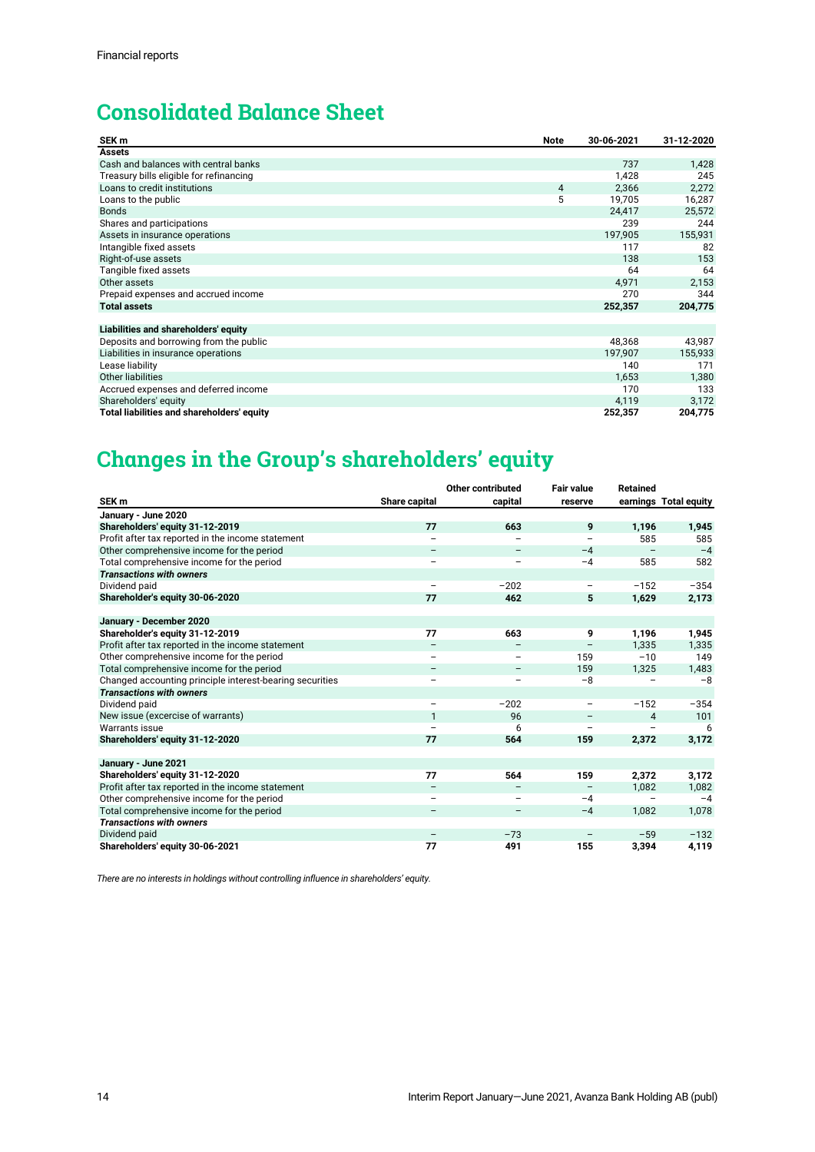# **Consolidated Balance Sheet**

| SEK <sub>m</sub>                           | Note | 30-06-2021 | 31-12-2020 |
|--------------------------------------------|------|------------|------------|
| Assets                                     |      |            |            |
| Cash and balances with central banks       |      | 737        | 1,428      |
| Treasury bills eligible for refinancing    |      | 1,428      | 245        |
| Loans to credit institutions               | 4    | 2,366      | 2,272      |
| Loans to the public                        | 5    | 19,705     | 16,287     |
| <b>Bonds</b>                               |      | 24,417     | 25,572     |
| Shares and participations                  |      | 239        | 244        |
| Assets in insurance operations             |      | 197,905    | 155,931    |
| Intangible fixed assets                    |      | 117        | 82         |
| Right-of-use assets                        |      | 138        | 153        |
| Tangible fixed assets                      |      | 64         | 64         |
| Other assets                               |      | 4,971      | 2,153      |
| Prepaid expenses and accrued income        |      | 270        | 344        |
| <b>Total assets</b>                        |      | 252,357    | 204,775    |
|                                            |      |            |            |
| Liabilities and shareholders' equity       |      |            |            |
| Deposits and borrowing from the public     |      | 48,368     | 43,987     |
| Liabilities in insurance operations        |      | 197,907    | 155,933    |
| Lease liability                            |      | 140        | 171        |
| <b>Other liabilities</b>                   |      | 1,653      | 1,380      |
| Accrued expenses and deferred income       |      | 170        | 133        |
| Shareholders' equity                       |      | 4,119      | 3,172      |
| Total liabilities and shareholders' equity |      | 252,357    | 204,775    |

# **Changes in the Group's shareholders' equity**

|                                                          |                          | Other contributed | <b>Fair value</b> | <b>Retained</b> |                       |
|----------------------------------------------------------|--------------------------|-------------------|-------------------|-----------------|-----------------------|
| SEK <sub>m</sub>                                         | Share capital            | capital           | reserve           |                 | earnings Total equity |
| January - June 2020                                      |                          |                   |                   |                 |                       |
| Shareholders' equity 31-12-2019                          | 77                       | 663               | 9                 | 1,196           | 1,945                 |
| Profit after tax reported in the income statement        |                          |                   |                   | 585             | 585                   |
| Other comprehensive income for the period                | $\qquad \qquad -$        |                   | $-4$              |                 | $-4$                  |
| Total comprehensive income for the period                | $\qquad \qquad -$        |                   | $-4$              | 585             | 582                   |
| <b>Transactions with owners</b>                          |                          |                   |                   |                 |                       |
| Dividend paid                                            |                          | $-202$            | $\qquad \qquad -$ | $-152$          | $-354$                |
| Shareholder's equity 30-06-2020                          | 77                       | 462               | 5                 | 1,629           | 2,173                 |
| January - December 2020                                  |                          |                   |                   |                 |                       |
|                                                          | 77                       |                   |                   |                 |                       |
| Shareholder's equity 31-12-2019                          |                          | 663               | 9                 | 1,196           | 1,945                 |
| Profit after tax reported in the income statement        | $\qquad \qquad -$        |                   |                   | 1,335           | 1,335                 |
| Other comprehensive income for the period                |                          |                   | 159               | $-10$           | 149                   |
| Total comprehensive income for the period                |                          |                   | 159               | 1,325           | 1,483                 |
| Changed accounting principle interest-bearing securities | $\overline{\phantom{0}}$ | -                 | $-8$              |                 | $-8$                  |
| <b>Transactions with owners</b>                          |                          |                   |                   |                 |                       |
| Dividend paid                                            | $\overline{\phantom{0}}$ | $-202$            | -                 | $-152$          | $-354$                |
| New issue (excercise of warrants)                        | $\mathbf{1}$             | 96                |                   | 4               | 101                   |
| Warrants issue                                           |                          | 6                 |                   |                 | 6                     |
| Shareholders' equity 31-12-2020                          | 77                       | 564               | 159               | 2,372           | 3,172                 |
| January - June 2021                                      |                          |                   |                   |                 |                       |
| Shareholders' equity 31-12-2020                          | 77                       | 564               | 159               | 2,372           | 3,172                 |
| Profit after tax reported in the income statement        | $\overline{\phantom{0}}$ |                   |                   | 1,082           | 1,082                 |
| Other comprehensive income for the period                | $\overline{\phantom{m}}$ |                   | $-4$              |                 | $-4$                  |
| Total comprehensive income for the period                | $\qquad \qquad -$        | $\qquad \qquad -$ | $-4$              | 1,082           | 1,078                 |
| <b>Transactions with owners</b>                          |                          |                   |                   |                 |                       |
|                                                          |                          |                   |                   |                 |                       |
| Dividend paid                                            |                          | $-73$             |                   | $-59$           | $-132$                |
| Shareholders' equity 30-06-2021                          | 77                       | 491               | 155               | 3,394           | 4,119                 |

*There are no interests in holdings without controlling influence in shareholders' equity.*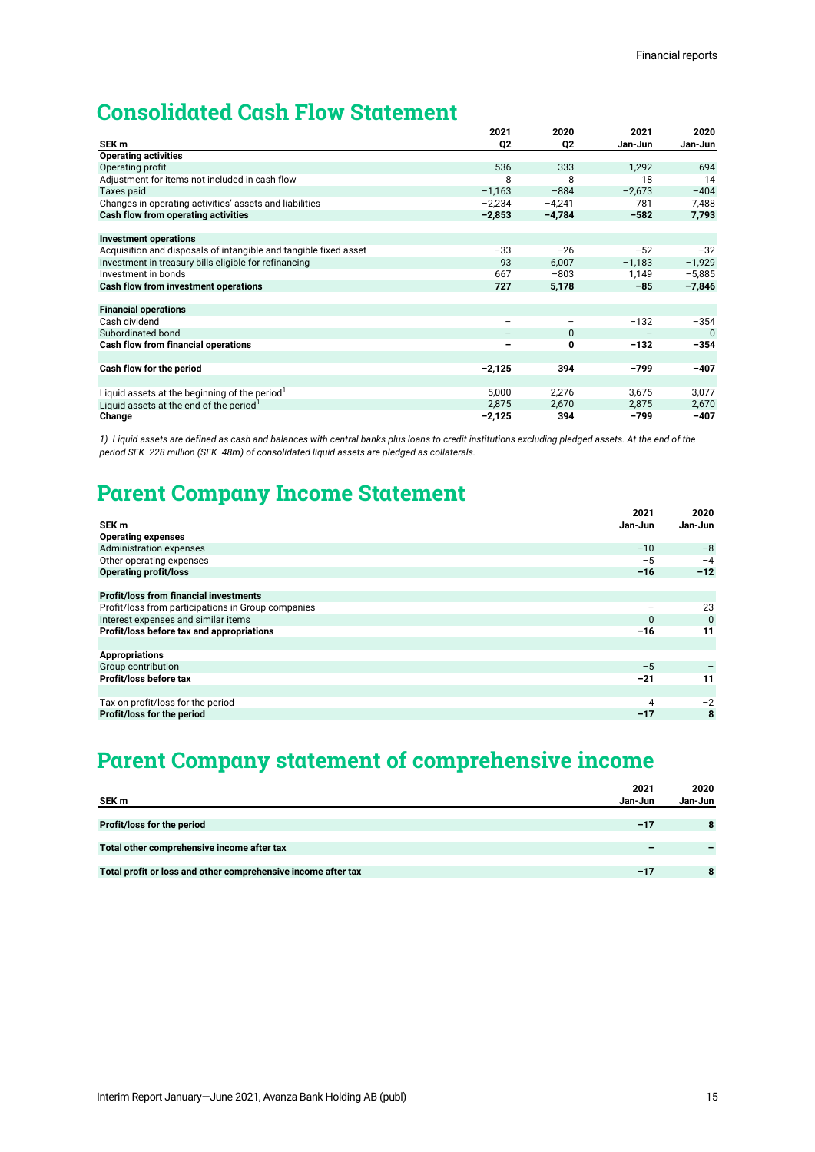# **Consolidated Cash Flow Statement**

|                                                                  | 2021                     | 2020              | 2021            | 2020     |
|------------------------------------------------------------------|--------------------------|-------------------|-----------------|----------|
| SEK <sub>m</sub>                                                 | Q <sub>2</sub>           | Q <sub>2</sub>    | Jan-Jun         | Jan-Jun  |
| <b>Operating activities</b>                                      |                          |                   |                 |          |
| Operating profit                                                 | 536                      | 333               | 1,292           | 694      |
| Adjustment for items not included in cash flow                   | 8                        | 8                 | 18              | 14       |
| Taxes paid                                                       | $-1,163$                 | $-884$            | $-2,673$        | $-404$   |
| Changes in operating activities' assets and liabilities          | $-2,234$                 | $-4,241$          | 781             | 7,488    |
| Cash flow from operating activities                              | $-2,853$                 | $-4,784$          | $-582$          | 7,793    |
|                                                                  |                          |                   |                 |          |
| <b>Investment operations</b>                                     |                          |                   |                 |          |
| Acquisition and disposals of intangible and tangible fixed asset | $-33$                    | $-26$             | $-52$           | $-32$    |
| Investment in treasury bills eligible for refinancing            | 93                       | 6,007             | $-1,183$        | $-1,929$ |
| Investment in bonds                                              | 667                      | $-803$            | 1,149           | $-5,885$ |
| Cash flow from investment operations                             | 727                      | 5,178             | $-85$           | $-7,846$ |
|                                                                  |                          |                   |                 |          |
| <b>Financial operations</b>                                      |                          |                   |                 |          |
| Cash dividend                                                    | $\overline{\phantom{m}}$ | $\qquad \qquad -$ | $-132$          | $-354$   |
| Subordinated bond                                                | $\overline{\phantom{m}}$ | 0                 | $\qquad \qquad$ | $\Omega$ |
| Cash flow from financial operations                              | -                        | 0                 | $-132$          | $-354$   |
|                                                                  |                          |                   |                 |          |
| Cash flow for the period                                         | $-2,125$                 | 394               | $-799$          | $-407$   |
|                                                                  |                          |                   |                 |          |
| Liquid assets at the beginning of the period                     | 5,000                    | 2,276             | 3,675           | 3,077    |
| Liquid assets at the end of the period                           | 2,875                    | 2,670             | 2,875           | 2,670    |
| Change                                                           | $-2,125$                 | 394               | -799            | $-407$   |

*1) Liquid assets are defined as cash and balances with central banks plus loans to credit institutions excluding pledged assets. At the end of the period SEK 228 million (SEK 48m) of consolidated liquid assets are pledged as collaterals.*

# **Parent Company Income Statement**

|                                                    | 2021     | 2020        |
|----------------------------------------------------|----------|-------------|
| SEK m                                              | Jan-Jun  | Jan-Jun     |
| <b>Operating expenses</b>                          |          |             |
| <b>Administration expenses</b>                     | $-10$    | $-8$        |
| Other operating expenses                           | $-5$     | $-4$        |
| <b>Operating profit/loss</b>                       | $-16$    | $-12$       |
|                                                    |          |             |
| <b>Profit/loss from financial investments</b>      |          |             |
| Profit/loss from participations in Group companies |          | 23          |
| Interest expenses and similar items                | $\Omega$ | $\mathbf 0$ |
| Profit/loss before tax and appropriations          | $-16$    | 11          |
|                                                    |          |             |
| <b>Appropriations</b>                              |          |             |
| Group contribution                                 | $-5$     |             |
| Profit/loss before tax                             | $-21$    | 11          |
|                                                    |          |             |
| Tax on profit/loss for the period                  | 4        | $-2$        |
| Profit/loss for the period                         | $-17$    | 8           |

# **Parent Company statement of comprehensive income**

|                                                               | 2021    | 2020    |
|---------------------------------------------------------------|---------|---------|
| SEK m                                                         | Jan-Jun | Jan-Jun |
|                                                               |         |         |
| Profit/loss for the period                                    | $-17$   | 8       |
|                                                               |         |         |
| Total other comprehensive income after tax                    |         |         |
|                                                               |         |         |
| Total profit or loss and other comprehensive income after tax | $-17$   |         |
|                                                               |         |         |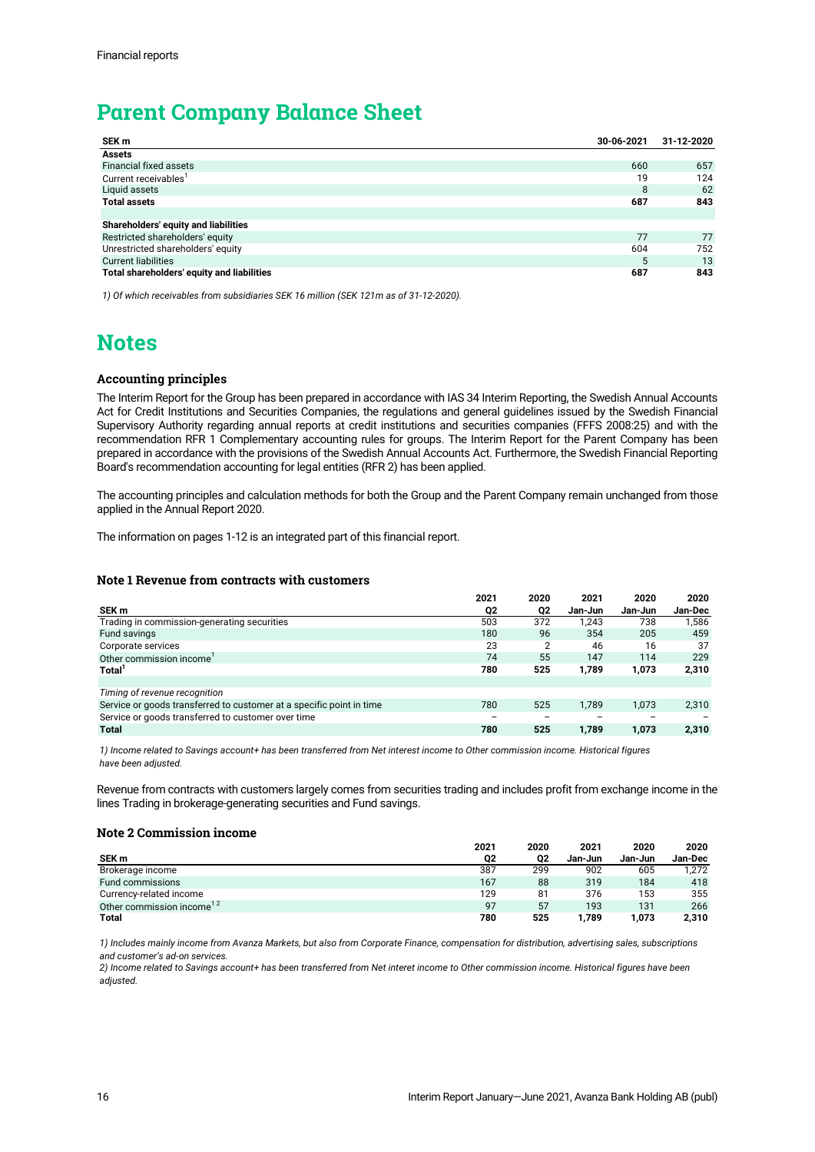# **Parent Company Balance Sheet**

| SEK m                                      | 30-06-2021 | 31-12-2020 |
|--------------------------------------------|------------|------------|
| <b>Assets</b>                              |            |            |
| <b>Financial fixed assets</b>              | 660        | 657        |
| Current receivables                        | 19         | 124        |
| Liquid assets                              | 8          | 62         |
| <b>Total assets</b>                        | 687        | 843        |
|                                            |            |            |
| Shareholders' equity and liabilities       |            |            |
| Restricted shareholders' equity            | 77         | 77         |
| Unrestricted shareholders' equity          | 604        | 752        |
| <b>Current liabilities</b>                 | 5          | 13         |
| Total shareholders' equity and liabilities | 687        | 843        |

*1) Of which receivables from subsidiaries SEK 16 million (SEK 121m as of 31-12-2020).*

# **Notes**

# **Accounting principles**

The Interim Report for the Group has been prepared in accordance with IAS 34 Interim Reporting, the Swedish Annual Accounts Act for Credit Institutions and Securities Companies, the regulations and general guidelines issued by the Swedish Financial Supervisory Authority regarding annual reports at credit institutions and securities companies (FFFS 2008:25) and with the recommendation RFR 1 Complementary accounting rules for groups. The Interim Report for the Parent Company has been prepared in accordance with the provisions of the Swedish Annual Accounts Act. Furthermore, the Swedish Financial Reporting Board's recommendation accounting for legal entities (RFR 2) has been applied.

The accounting principles and calculation methods for both the Group and the Parent Company remain unchanged from those applied in the Annual Report 2020.

The information on pages 1-12 is an integrated part of this financial report.

# **Note 1 Revenue from contracts with customers**

|                                                                      | 2021                     | 2020           | 2021    | 2020    | 2020    |
|----------------------------------------------------------------------|--------------------------|----------------|---------|---------|---------|
| SEK m                                                                | Q2                       | Q2             | Jan-Jun | Jan-Jun | Jan-Dec |
| Trading in commission-generating securities                          | 503                      | 372            | 1.243   | 738     | 1,586   |
| Fund savings                                                         | 180                      | 96             | 354     | 205     | 459     |
| Corporate services                                                   | 23                       | $\overline{2}$ | 46      | 16      | 37      |
| Other commission income                                              | 74                       | 55             | 147     | 114     | 229     |
| Total <sup>'</sup>                                                   | 780                      | 525            | 1.789   | 1,073   | 2,310   |
|                                                                      |                          |                |         |         |         |
| Timing of revenue recognition                                        |                          |                |         |         |         |
| Service or goods transferred to customer at a specific point in time | 780                      | 525            | 1.789   | 1,073   | 2,310   |
| Service or goods transferred to customer over time                   | $\overline{\phantom{m}}$ |                |         |         |         |
| <b>Total</b>                                                         | 780                      | 525            | 1.789   | 1.073   | 2.310   |

*1) Income related to Savings account+ has been transferred from Net interest income to Other commission income. Historical figures have been adjusted.*

Revenue from contracts with customers largely comes from securities trading and includes profit from exchange income in the lines Trading in brokerage-generating securities and Fund savings.

### **Note 2 Commission income**

|                                       | 2021 | 2020 | 2021    | 2020    | 2020    |
|---------------------------------------|------|------|---------|---------|---------|
| SEK m                                 | 02   | 02   | Jan-Jun | Jan-Jun | Jan-Dec |
| Brokerage income                      | 387  | 299  | 902     | 605     | 1.272   |
| Fund commissions                      | 167  | 88   | 319     | 184     | 418     |
| Currency-related income               | 129  | 81   | 376     | 153     | 355     |
| Other commission income <sup>12</sup> | 97   | 57   | 193     | 131     | 266     |
| <b>Total</b>                          | 780  | 525  | 1.789   | 1.073   | 2,310   |

*1) Includes mainly income from Avanza Markets, but also from Corporate Finance, compensation for distribution, advertising sales, subscriptions and customer's ad-on services.*

*2) Income related to Savings account+ has been transferred from Net interet income to Other commission income. Historical figures have been adjusted.*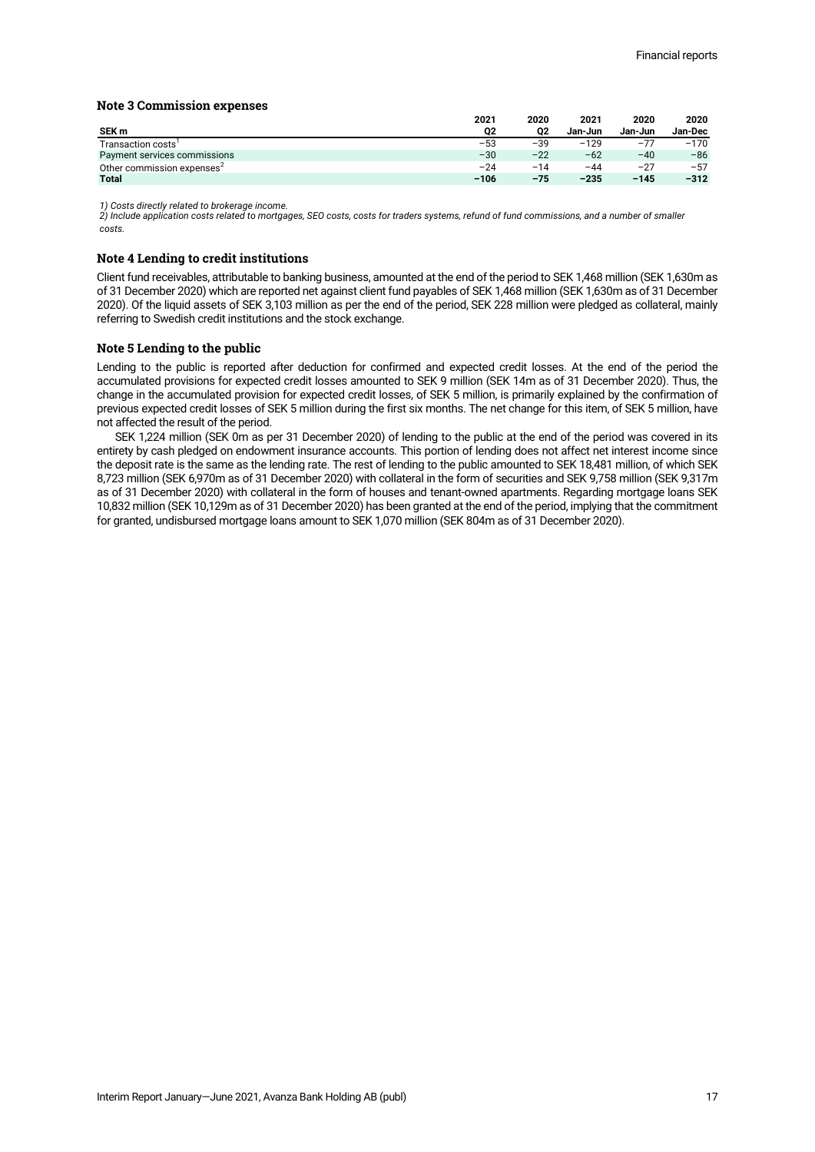# **Note 3 Commission expenses**

|                                        | 2021   | 2020  | 2021    | 2020    | 2020    |
|----------------------------------------|--------|-------|---------|---------|---------|
| SEK m                                  | Q2     | 02    | Jan-Jun | Jan-Jun | Jan-Dec |
| Transaction costs                      | $-53$  | $-39$ | $-129$  | $-77$   | $-170$  |
| Payment services commissions           | $-30$  | $-22$ | $-62$   | $-40$   | $-86$   |
| Other commission expenses <sup>2</sup> | $-24$  | $-14$ | $-44$   | $-27$   | $-57$   |
| <b>Total</b>                           | $-106$ | $-75$ | $-235$  | $-145$  | $-312$  |

*1) Costs directly related to brokerage income. 2) Include application costs related to mortgages, SEO costs, costs for traders systems, refund of fund commissions, and a number of smaller costs.*

# **Note 4 Lending to credit institutions**

Client fund receivables, attributable to banking business, amounted at the end of the period to SEK 1,468 million (SEK 1,630m as of 31 December 2020) which are reported net against client fund payables of SEK 1,468 million (SEK 1,630m as of 31 December 2020). Of the liquid assets of SEK 3,103 million as per the end of the period, SEK 228 million were pledged as collateral, mainly referring to Swedish credit institutions and the stock exchange.

# **Note 5 Lending to the public**

Lending to the public is reported after deduction for confirmed and expected credit losses. At the end of the period the accumulated provisions for expected credit losses amounted to SEK 9 million (SEK 14m as of 31 December 2020). Thus, the change in the accumulated provision for expected credit losses, of SEK 5 million, is primarily explained by the confirmation of previous expected credit losses of SEK 5 million during the first six months. The net change for this item, of SEK 5 million, have not affected the result of the period.

SEK 1,224 million (SEK 0m as per 31 December 2020) of lending to the public at the end of the period was covered in its entirety by cash pledged on endowment insurance accounts. This portion of lending does not affect net interest income since the deposit rate is the same as the lending rate. The rest of lending to the public amounted to SEK 18,481 million, of which SEK 8,723 million (SEK 6,970m as of 31 December 2020) with collateral in the form of securities and SEK 9,758 million (SEK 9,317m as of 31 December 2020) with collateral in the form of houses and tenant-owned apartments. Regarding mortgage loans SEK 10,832 million (SEK 10,129m as of 31 December 2020) has been granted at the end of the period, implying that the commitment for granted, undisbursed mortgage loans amount to SEK 1,070 million (SEK 804m as of 31 December 2020).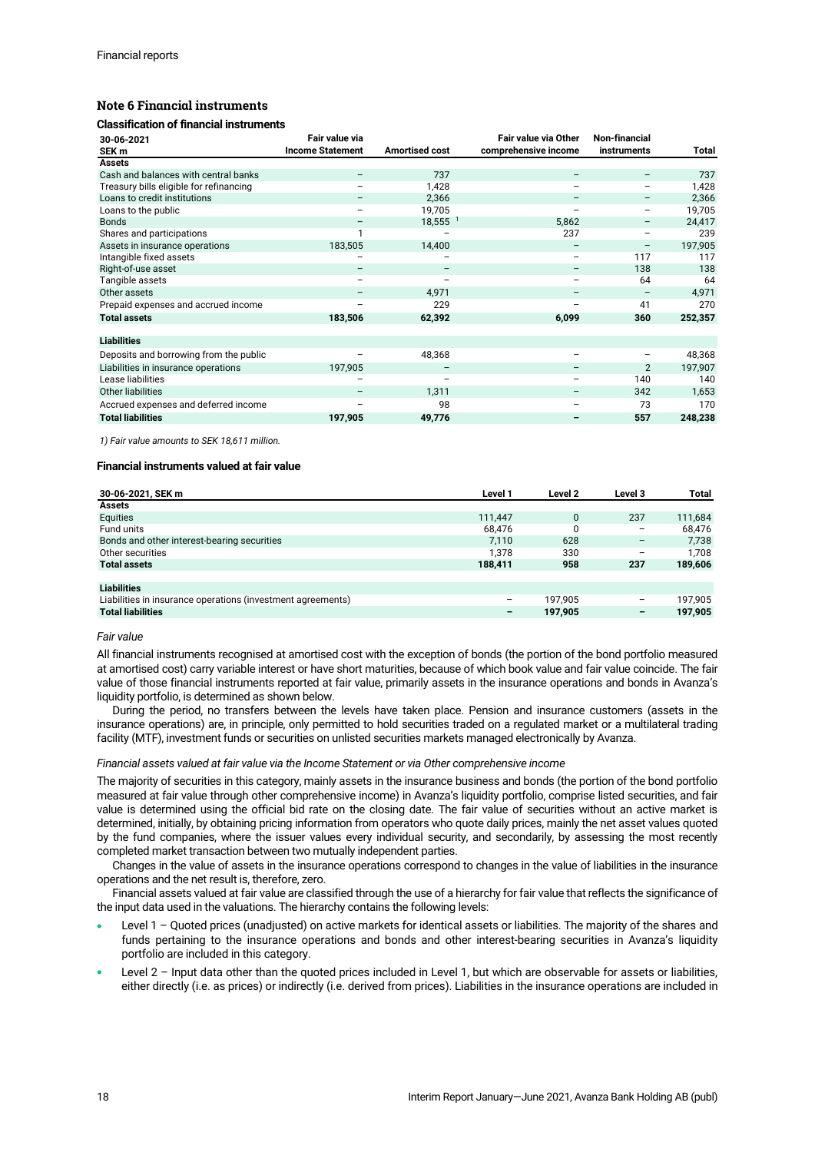# **Note 6 Financial instruments**

### **Classification of financial instruments**

| 30-06-2021                              | Fair value via           |                       | <b>Fair value via Other</b> | Non-financial      |         |
|-----------------------------------------|--------------------------|-----------------------|-----------------------------|--------------------|---------|
| SEK <sub>m</sub>                        | <b>Income Statement</b>  | <b>Amortised cost</b> | comprehensive income        | <b>instruments</b> | Total   |
| <b>Assets</b>                           |                          |                       |                             |                    |         |
| Cash and balances with central banks    |                          | 737                   | $\overline{\phantom{0}}$    |                    | 737     |
| Treasury bills eligible for refinancing |                          | 1,428                 |                             | -                  | 1,428   |
| Loans to credit institutions            |                          | 2,366                 | -                           | -                  | 2,366   |
| Loans to the public                     | -                        | 19,705                | -                           | -                  | 19,705  |
| <b>Bonds</b>                            | $\overline{\phantom{0}}$ | $18,555$ <sup>1</sup> | 5,862                       | -                  | 24,417  |
| Shares and participations               | 1                        |                       | 237                         | -                  | 239     |
| Assets in insurance operations          | 183,505                  | 14,400                | $\qquad \qquad -$           | -                  | 197,905 |
| Intangible fixed assets                 | -                        | -                     | $\overline{\phantom{a}}$    | 117                | 117     |
| Right-of-use asset                      | $\overline{\phantom{m}}$ | $\qquad \qquad -$     | $\overline{\phantom{m}}$    | 138                | 138     |
| Tangible assets                         | $\qquad \qquad -$        | $\qquad \qquad -$     | $\overline{\phantom{0}}$    | 64                 | 64      |
| Other assets                            | -                        | 4,971                 | $\qquad \qquad -$           | -                  | 4,971   |
| Prepaid expenses and accrued income     | $\overline{\phantom{0}}$ | 229                   |                             | 41                 | 270     |
| <b>Total assets</b>                     | 183,506                  | 62,392                | 6,099                       | 360                | 252,357 |
|                                         |                          |                       |                             |                    |         |
| <b>Liabilities</b>                      |                          |                       |                             |                    |         |
| Deposits and borrowing from the public  |                          | 48,368                | -                           | -                  | 48,368  |
| Liabilities in insurance operations     | 197,905                  |                       |                             | 2                  | 197,907 |
| Lease liabilities                       |                          |                       | -                           | 140                | 140     |
| <b>Other liabilities</b>                | -                        | 1,311                 | -                           | 342                | 1,653   |
| Accrued expenses and deferred income    |                          | 98                    |                             | 73                 | 170     |
| <b>Total liabilities</b>                | 197,905                  | 49,776                |                             | 557                | 248,238 |

*1) Fair value amounts to SEK 18,611 million.*

### **Financial instruments valued at fair value**

| 30-06-2021, SEK m                                           | Level 1 | Level 2 | Level 3 | Total   |
|-------------------------------------------------------------|---------|---------|---------|---------|
| <b>Assets</b>                                               |         |         |         |         |
| Equities                                                    | 111.447 | 0       | 237     | 111.684 |
| Fund units                                                  | 68.476  | 0       | -       | 68,476  |
| Bonds and other interest-bearing securities                 | 7.110   | 628     | -       | 7,738   |
| Other securities                                            | 1.378   | 330     | -       | 1.708   |
| <b>Total assets</b>                                         | 188,411 | 958     | 237     | 189,606 |
|                                                             |         |         |         |         |
| <b>Liabilities</b>                                          |         |         |         |         |
| Liabilities in insurance operations (investment agreements) | -       | 197.905 | -       | 197.905 |
| <b>Total liabilities</b>                                    | -       | 197.905 | -       | 197.905 |

### *Fair value*

All financial instruments recognised at amortised cost with the exception of bonds (the portion of the bond portfolio measured at amortised cost) carry variable interest or have short maturities, because of which book value and fair value coincide. The fair value of those financial instruments reported at fair value, primarily assets in the insurance operations and bonds in Avanza's liquidity portfolio, is determined as shown below.

During the period, no transfers between the levels have taken place. Pension and insurance customers (assets in the insurance operations) are, in principle, only permitted to hold securities traded on a regulated market or a multilateral trading facility (MTF), investment funds or securities on unlisted securities markets managed electronically by Avanza.

### *Financial assets valued at fair value via the Income Statement or via Other comprehensive income*

The majority of securities in this category, mainly assets in the insurance business and bonds (the portion of the bond portfolio measured at fair value through other comprehensive income) in Avanza's liquidity portfolio, comprise listed securities, and fair value is determined using the official bid rate on the closing date. The fair value of securities without an active market is determined, initially, by obtaining pricing information from operators who quote daily prices, mainly the net asset values quoted by the fund companies, where the issuer values every individual security, and secondarily, by assessing the most recently completed market transaction between two mutually independent parties.

Changes in the value of assets in the insurance operations correspond to changes in the value of liabilities in the insurance operations and the net result is, therefore, zero.

Financial assets valued at fair value are classified through the use of a hierarchy for fair value that reflects the significance of the input data used in the valuations. The hierarchy contains the following levels:

- Level 1 Quoted prices (unadjusted) on active markets for identical assets or liabilities. The majority of the shares and funds pertaining to the insurance operations and bonds and other interest-bearing securities in Avanza's liquidity portfolio are included in this category.
- Level 2 Input data other than the quoted prices included in Level 1, but which are observable for assets or liabilities, either directly (i.e. as prices) or indirectly (i.e. derived from prices). Liabilities in the insurance operations are included in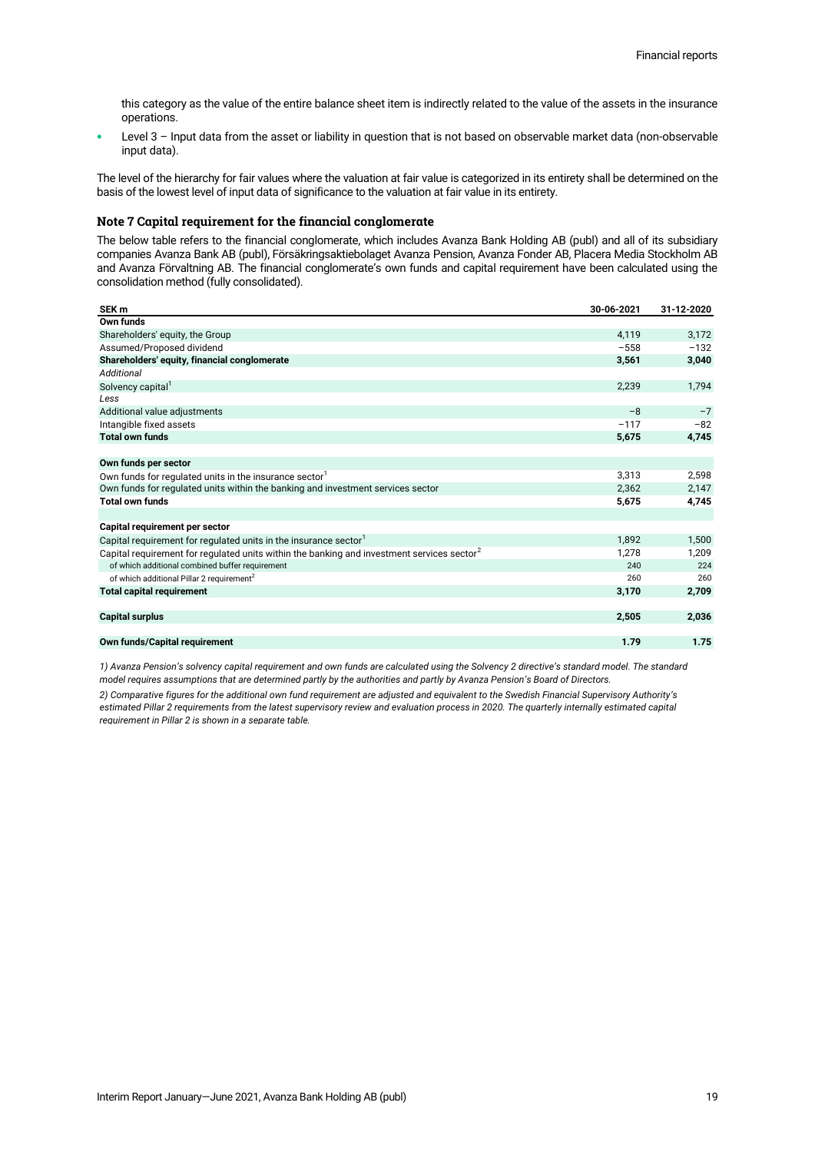this category as the value of the entire balance sheet item is indirectly related to the value of the assets in the insurance operations.

Level 3 - Input data from the asset or liability in question that is not based on observable market data (non-observable input data).

The level of the hierarchy for fair values where the valuation at fair value is categorized in its entirety shall be determined on the basis of the lowest level of input data of significance to the valuation at fair value in its entirety.

### **Note 7 Capital requirement for the financial conglomerate**

The below table refers to the financial conglomerate, which includes Avanza Bank Holding AB (publ) and all of its subsidiary companies Avanza Bank AB (publ), Försäkringsaktiebolaget Avanza Pension, Avanza Fonder AB, Placera Media Stockholm AB and Avanza Förvaltning AB. The financial conglomerate's own funds and capital requirement have been calculated using the consolidation method (fully consolidated).

| SEK <sub>m</sub>                                                                                       | 30-06-2021 | 31-12-2020 |
|--------------------------------------------------------------------------------------------------------|------------|------------|
| Own funds                                                                                              |            |            |
| Shareholders' equity, the Group                                                                        | 4,119      | 3,172      |
| Assumed/Proposed dividend                                                                              | $-558$     | $-132$     |
| Shareholders' equity, financial conglomerate                                                           | 3,561      | 3,040      |
| <b>Additional</b>                                                                                      |            |            |
| Solvency capital <sup>1</sup>                                                                          | 2.239      | 1,794      |
| Less                                                                                                   |            |            |
| Additional value adjustments                                                                           | $-8$       | $-7$       |
| Intangible fixed assets                                                                                | $-117$     | $-82$      |
| <b>Total own funds</b>                                                                                 | 5,675      | 4,745      |
|                                                                                                        |            |            |
| Own funds per sector                                                                                   |            |            |
| Own funds for regulated units in the insurance sector <sup>1</sup>                                     | 3,313      | 2,598      |
| Own funds for regulated units within the banking and investment services sector                        | 2,362      | 2,147      |
| <b>Total own funds</b>                                                                                 | 5,675      | 4,745      |
|                                                                                                        |            |            |
| Capital requirement per sector                                                                         |            |            |
| Capital requirement for regulated units in the insurance sector                                        | 1,892      | 1,500      |
| Capital requirement for requlated units within the banking and investment services sector <sup>2</sup> | 1.278      | 1,209      |
| of which additional combined buffer requirement                                                        | 240        | 224        |
| of which additional Pillar 2 requirement <sup>2</sup>                                                  | 260        | 260        |
| <b>Total capital requirement</b>                                                                       | 3,170      | 2,709      |
|                                                                                                        |            |            |
| <b>Capital surplus</b>                                                                                 | 2,505      | 2,036      |
|                                                                                                        |            |            |
| Own funds/Capital requirement                                                                          | 1.79       | 1.75       |

*1) Avanza Pension's solvency capital requirement and own funds are calculated using the Solvency 2 directive's standard model. The standard model requires assumptions that are determined partly by the authorities and partly by Avanza Pension's Board of Directors.*

*2) Comparative figures for the additional own fund requirement are adjusted and equivalent to the Swedish Financial Supervisory Authority's estimated Pillar 2 requirements from the latest supervisory review and evaluation process in 2020. The quarterly internally estimated capital requirement in Pillar 2 is shown in a separate table.*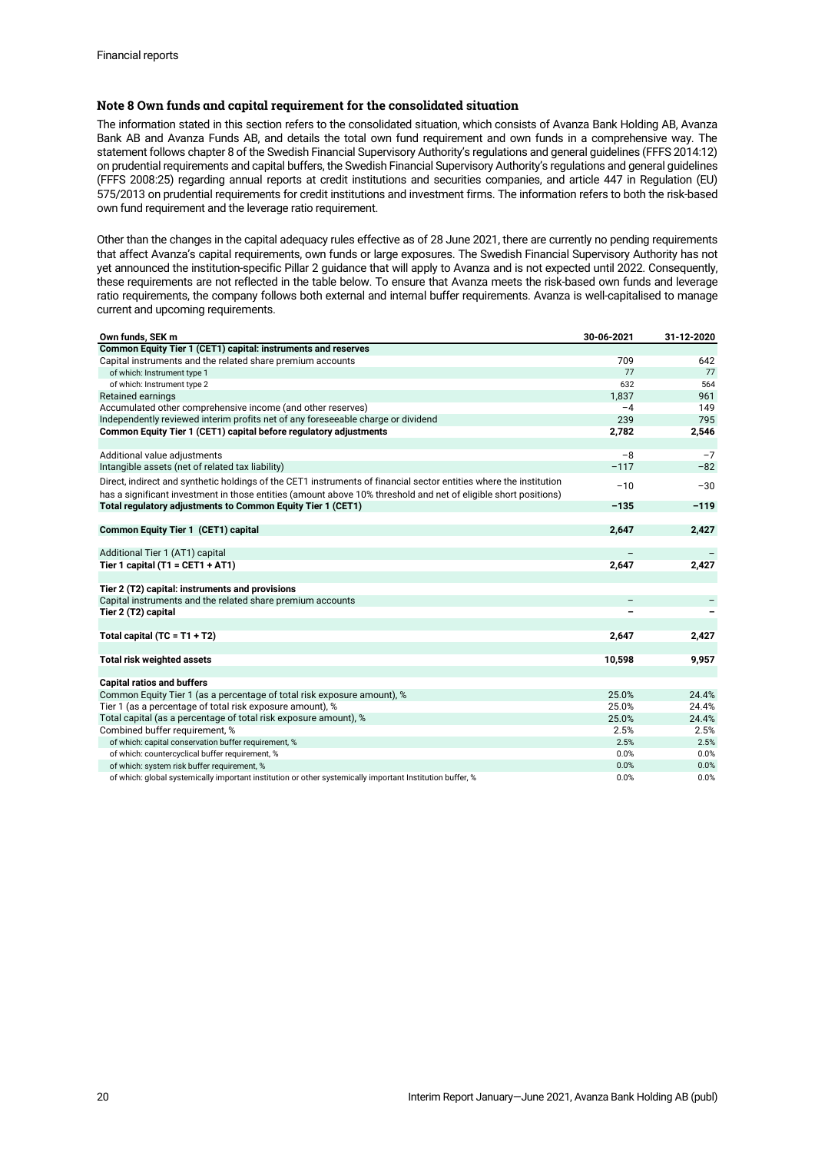# **Note 8 Own funds and capital requirement for the consolidated situation**

The information stated in this section refers to the consolidated situation, which consists of Avanza Bank Holding AB, Avanza Bank AB and Avanza Funds AB, and details the total own fund requirement and own funds in a comprehensive way. The statement follows chapter 8 of the Swedish Financial Supervisory Authority's regulations and general guidelines (FFFS 2014:12) on prudential requirements and capital buffers, the Swedish Financial Supervisory Authority's regulations and general guidelines (FFFS 2008:25) regarding annual reports at credit institutions and securities companies, and article 447 in Regulation (EU) 575/2013 on prudential requirements for credit institutions and investment firms. The information refers to both the risk-based own fund requirement and the leverage ratio requirement.

Other than the changes in the capital adequacy rules effective as of 28 June 2021, there are currently no pending requirements that affect Avanza's capital requirements, own funds or large exposures. The Swedish Financial Supervisory Authority has not yet announced the institution-specific Pillar 2 guidance that will apply to Avanza and is not expected until 2022. Consequently, these requirements are not reflected in the table below. To ensure that Avanza meets the risk-based own funds and leverage ratio requirements, the company follows both external and internal buffer requirements. Avanza is well-capitalised to manage current and upcoming requirements.

| Common Equity Tier 1 (CET1) capital: instruments and reserves<br>709<br>Capital instruments and the related share premium accounts<br>642<br>77<br>77<br>of which: Instrument type 1<br>632<br>564<br>of which: Instrument type 2<br>1,837<br>Retained earnings<br>961<br>Accumulated other comprehensive income (and other reserves)<br>$-4$<br>149<br>239<br>795<br>Independently reviewed interim profits net of any foreseeable charge or dividend<br>Common Equity Tier 1 (CET1) capital before regulatory adjustments<br>2,782<br>2,546<br>$-8$<br>Additional value adjustments<br>$-7$<br>$-117$<br>$-82$<br>Intangible assets (net of related tax liability)<br>Direct, indirect and synthetic holdings of the CET1 instruments of financial sector entities where the institution<br>$-10$<br>$-30$<br>has a significant investment in those entities (amount above 10% threshold and net of eligible short positions)<br>Total regulatory adjustments to Common Equity Tier 1 (CET1)<br>$-135$<br>$-119$<br>2,647<br>Common Equity Tier 1 (CET1) capital<br>2,427<br>Additional Tier 1 (AT1) capital<br>Tier 1 capital $(T1 = CET1 + AT1)$<br>2,427<br>2,647<br>Tier 2 (T2) capital: instruments and provisions<br>Capital instruments and the related share premium accounts<br>Tier 2 (T2) capital<br>Total capital $(TC = T1 + T2)$<br>2,647<br>2,427<br><b>Total risk weighted assets</b><br>10,598<br>9,957<br><b>Capital ratios and buffers</b><br>Common Equity Tier 1 (as a percentage of total risk exposure amount), %<br>25.0%<br>24.4%<br>Tier 1 (as a percentage of total risk exposure amount), %<br>25.0%<br>24.4%<br>Total capital (as a percentage of total risk exposure amount), %<br>25.0%<br>24.4%<br>Combined buffer requirement, %<br>2.5%<br>2.5%<br>of which: capital conservation buffer requirement, %<br>2.5%<br>2.5%<br>of which: countercyclical buffer requirement, %<br>0.0%<br>0.0%<br>of which: system risk buffer requirement, %<br>0.0%<br>0.0%<br>0.0%<br>0.0%<br>of which: global systemically important institution or other systemically important Institution buffer, % | Own funds, SEK m | 30-06-2021 | 31-12-2020 |
|----------------------------------------------------------------------------------------------------------------------------------------------------------------------------------------------------------------------------------------------------------------------------------------------------------------------------------------------------------------------------------------------------------------------------------------------------------------------------------------------------------------------------------------------------------------------------------------------------------------------------------------------------------------------------------------------------------------------------------------------------------------------------------------------------------------------------------------------------------------------------------------------------------------------------------------------------------------------------------------------------------------------------------------------------------------------------------------------------------------------------------------------------------------------------------------------------------------------------------------------------------------------------------------------------------------------------------------------------------------------------------------------------------------------------------------------------------------------------------------------------------------------------------------------------------------------------------------------------------------------------------------------------------------------------------------------------------------------------------------------------------------------------------------------------------------------------------------------------------------------------------------------------------------------------------------------------------------------------------------------------------------------------------------------------------------------------------------------------------------------------|------------------|------------|------------|
|                                                                                                                                                                                                                                                                                                                                                                                                                                                                                                                                                                                                                                                                                                                                                                                                                                                                                                                                                                                                                                                                                                                                                                                                                                                                                                                                                                                                                                                                                                                                                                                                                                                                                                                                                                                                                                                                                                                                                                                                                                                                                                                            |                  |            |            |
|                                                                                                                                                                                                                                                                                                                                                                                                                                                                                                                                                                                                                                                                                                                                                                                                                                                                                                                                                                                                                                                                                                                                                                                                                                                                                                                                                                                                                                                                                                                                                                                                                                                                                                                                                                                                                                                                                                                                                                                                                                                                                                                            |                  |            |            |
|                                                                                                                                                                                                                                                                                                                                                                                                                                                                                                                                                                                                                                                                                                                                                                                                                                                                                                                                                                                                                                                                                                                                                                                                                                                                                                                                                                                                                                                                                                                                                                                                                                                                                                                                                                                                                                                                                                                                                                                                                                                                                                                            |                  |            |            |
|                                                                                                                                                                                                                                                                                                                                                                                                                                                                                                                                                                                                                                                                                                                                                                                                                                                                                                                                                                                                                                                                                                                                                                                                                                                                                                                                                                                                                                                                                                                                                                                                                                                                                                                                                                                                                                                                                                                                                                                                                                                                                                                            |                  |            |            |
|                                                                                                                                                                                                                                                                                                                                                                                                                                                                                                                                                                                                                                                                                                                                                                                                                                                                                                                                                                                                                                                                                                                                                                                                                                                                                                                                                                                                                                                                                                                                                                                                                                                                                                                                                                                                                                                                                                                                                                                                                                                                                                                            |                  |            |            |
|                                                                                                                                                                                                                                                                                                                                                                                                                                                                                                                                                                                                                                                                                                                                                                                                                                                                                                                                                                                                                                                                                                                                                                                                                                                                                                                                                                                                                                                                                                                                                                                                                                                                                                                                                                                                                                                                                                                                                                                                                                                                                                                            |                  |            |            |
|                                                                                                                                                                                                                                                                                                                                                                                                                                                                                                                                                                                                                                                                                                                                                                                                                                                                                                                                                                                                                                                                                                                                                                                                                                                                                                                                                                                                                                                                                                                                                                                                                                                                                                                                                                                                                                                                                                                                                                                                                                                                                                                            |                  |            |            |
|                                                                                                                                                                                                                                                                                                                                                                                                                                                                                                                                                                                                                                                                                                                                                                                                                                                                                                                                                                                                                                                                                                                                                                                                                                                                                                                                                                                                                                                                                                                                                                                                                                                                                                                                                                                                                                                                                                                                                                                                                                                                                                                            |                  |            |            |
|                                                                                                                                                                                                                                                                                                                                                                                                                                                                                                                                                                                                                                                                                                                                                                                                                                                                                                                                                                                                                                                                                                                                                                                                                                                                                                                                                                                                                                                                                                                                                                                                                                                                                                                                                                                                                                                                                                                                                                                                                                                                                                                            |                  |            |            |
|                                                                                                                                                                                                                                                                                                                                                                                                                                                                                                                                                                                                                                                                                                                                                                                                                                                                                                                                                                                                                                                                                                                                                                                                                                                                                                                                                                                                                                                                                                                                                                                                                                                                                                                                                                                                                                                                                                                                                                                                                                                                                                                            |                  |            |            |
|                                                                                                                                                                                                                                                                                                                                                                                                                                                                                                                                                                                                                                                                                                                                                                                                                                                                                                                                                                                                                                                                                                                                                                                                                                                                                                                                                                                                                                                                                                                                                                                                                                                                                                                                                                                                                                                                                                                                                                                                                                                                                                                            |                  |            |            |
|                                                                                                                                                                                                                                                                                                                                                                                                                                                                                                                                                                                                                                                                                                                                                                                                                                                                                                                                                                                                                                                                                                                                                                                                                                                                                                                                                                                                                                                                                                                                                                                                                                                                                                                                                                                                                                                                                                                                                                                                                                                                                                                            |                  |            |            |
|                                                                                                                                                                                                                                                                                                                                                                                                                                                                                                                                                                                                                                                                                                                                                                                                                                                                                                                                                                                                                                                                                                                                                                                                                                                                                                                                                                                                                                                                                                                                                                                                                                                                                                                                                                                                                                                                                                                                                                                                                                                                                                                            |                  |            |            |
|                                                                                                                                                                                                                                                                                                                                                                                                                                                                                                                                                                                                                                                                                                                                                                                                                                                                                                                                                                                                                                                                                                                                                                                                                                                                                                                                                                                                                                                                                                                                                                                                                                                                                                                                                                                                                                                                                                                                                                                                                                                                                                                            |                  |            |            |
|                                                                                                                                                                                                                                                                                                                                                                                                                                                                                                                                                                                                                                                                                                                                                                                                                                                                                                                                                                                                                                                                                                                                                                                                                                                                                                                                                                                                                                                                                                                                                                                                                                                                                                                                                                                                                                                                                                                                                                                                                                                                                                                            |                  |            |            |
|                                                                                                                                                                                                                                                                                                                                                                                                                                                                                                                                                                                                                                                                                                                                                                                                                                                                                                                                                                                                                                                                                                                                                                                                                                                                                                                                                                                                                                                                                                                                                                                                                                                                                                                                                                                                                                                                                                                                                                                                                                                                                                                            |                  |            |            |
|                                                                                                                                                                                                                                                                                                                                                                                                                                                                                                                                                                                                                                                                                                                                                                                                                                                                                                                                                                                                                                                                                                                                                                                                                                                                                                                                                                                                                                                                                                                                                                                                                                                                                                                                                                                                                                                                                                                                                                                                                                                                                                                            |                  |            |            |
|                                                                                                                                                                                                                                                                                                                                                                                                                                                                                                                                                                                                                                                                                                                                                                                                                                                                                                                                                                                                                                                                                                                                                                                                                                                                                                                                                                                                                                                                                                                                                                                                                                                                                                                                                                                                                                                                                                                                                                                                                                                                                                                            |                  |            |            |
|                                                                                                                                                                                                                                                                                                                                                                                                                                                                                                                                                                                                                                                                                                                                                                                                                                                                                                                                                                                                                                                                                                                                                                                                                                                                                                                                                                                                                                                                                                                                                                                                                                                                                                                                                                                                                                                                                                                                                                                                                                                                                                                            |                  |            |            |
|                                                                                                                                                                                                                                                                                                                                                                                                                                                                                                                                                                                                                                                                                                                                                                                                                                                                                                                                                                                                                                                                                                                                                                                                                                                                                                                                                                                                                                                                                                                                                                                                                                                                                                                                                                                                                                                                                                                                                                                                                                                                                                                            |                  |            |            |
|                                                                                                                                                                                                                                                                                                                                                                                                                                                                                                                                                                                                                                                                                                                                                                                                                                                                                                                                                                                                                                                                                                                                                                                                                                                                                                                                                                                                                                                                                                                                                                                                                                                                                                                                                                                                                                                                                                                                                                                                                                                                                                                            |                  |            |            |
|                                                                                                                                                                                                                                                                                                                                                                                                                                                                                                                                                                                                                                                                                                                                                                                                                                                                                                                                                                                                                                                                                                                                                                                                                                                                                                                                                                                                                                                                                                                                                                                                                                                                                                                                                                                                                                                                                                                                                                                                                                                                                                                            |                  |            |            |
|                                                                                                                                                                                                                                                                                                                                                                                                                                                                                                                                                                                                                                                                                                                                                                                                                                                                                                                                                                                                                                                                                                                                                                                                                                                                                                                                                                                                                                                                                                                                                                                                                                                                                                                                                                                                                                                                                                                                                                                                                                                                                                                            |                  |            |            |
|                                                                                                                                                                                                                                                                                                                                                                                                                                                                                                                                                                                                                                                                                                                                                                                                                                                                                                                                                                                                                                                                                                                                                                                                                                                                                                                                                                                                                                                                                                                                                                                                                                                                                                                                                                                                                                                                                                                                                                                                                                                                                                                            |                  |            |            |
|                                                                                                                                                                                                                                                                                                                                                                                                                                                                                                                                                                                                                                                                                                                                                                                                                                                                                                                                                                                                                                                                                                                                                                                                                                                                                                                                                                                                                                                                                                                                                                                                                                                                                                                                                                                                                                                                                                                                                                                                                                                                                                                            |                  |            |            |
|                                                                                                                                                                                                                                                                                                                                                                                                                                                                                                                                                                                                                                                                                                                                                                                                                                                                                                                                                                                                                                                                                                                                                                                                                                                                                                                                                                                                                                                                                                                                                                                                                                                                                                                                                                                                                                                                                                                                                                                                                                                                                                                            |                  |            |            |
|                                                                                                                                                                                                                                                                                                                                                                                                                                                                                                                                                                                                                                                                                                                                                                                                                                                                                                                                                                                                                                                                                                                                                                                                                                                                                                                                                                                                                                                                                                                                                                                                                                                                                                                                                                                                                                                                                                                                                                                                                                                                                                                            |                  |            |            |
|                                                                                                                                                                                                                                                                                                                                                                                                                                                                                                                                                                                                                                                                                                                                                                                                                                                                                                                                                                                                                                                                                                                                                                                                                                                                                                                                                                                                                                                                                                                                                                                                                                                                                                                                                                                                                                                                                                                                                                                                                                                                                                                            |                  |            |            |
|                                                                                                                                                                                                                                                                                                                                                                                                                                                                                                                                                                                                                                                                                                                                                                                                                                                                                                                                                                                                                                                                                                                                                                                                                                                                                                                                                                                                                                                                                                                                                                                                                                                                                                                                                                                                                                                                                                                                                                                                                                                                                                                            |                  |            |            |
|                                                                                                                                                                                                                                                                                                                                                                                                                                                                                                                                                                                                                                                                                                                                                                                                                                                                                                                                                                                                                                                                                                                                                                                                                                                                                                                                                                                                                                                                                                                                                                                                                                                                                                                                                                                                                                                                                                                                                                                                                                                                                                                            |                  |            |            |
|                                                                                                                                                                                                                                                                                                                                                                                                                                                                                                                                                                                                                                                                                                                                                                                                                                                                                                                                                                                                                                                                                                                                                                                                                                                                                                                                                                                                                                                                                                                                                                                                                                                                                                                                                                                                                                                                                                                                                                                                                                                                                                                            |                  |            |            |
|                                                                                                                                                                                                                                                                                                                                                                                                                                                                                                                                                                                                                                                                                                                                                                                                                                                                                                                                                                                                                                                                                                                                                                                                                                                                                                                                                                                                                                                                                                                                                                                                                                                                                                                                                                                                                                                                                                                                                                                                                                                                                                                            |                  |            |            |
|                                                                                                                                                                                                                                                                                                                                                                                                                                                                                                                                                                                                                                                                                                                                                                                                                                                                                                                                                                                                                                                                                                                                                                                                                                                                                                                                                                                                                                                                                                                                                                                                                                                                                                                                                                                                                                                                                                                                                                                                                                                                                                                            |                  |            |            |
|                                                                                                                                                                                                                                                                                                                                                                                                                                                                                                                                                                                                                                                                                                                                                                                                                                                                                                                                                                                                                                                                                                                                                                                                                                                                                                                                                                                                                                                                                                                                                                                                                                                                                                                                                                                                                                                                                                                                                                                                                                                                                                                            |                  |            |            |
|                                                                                                                                                                                                                                                                                                                                                                                                                                                                                                                                                                                                                                                                                                                                                                                                                                                                                                                                                                                                                                                                                                                                                                                                                                                                                                                                                                                                                                                                                                                                                                                                                                                                                                                                                                                                                                                                                                                                                                                                                                                                                                                            |                  |            |            |
|                                                                                                                                                                                                                                                                                                                                                                                                                                                                                                                                                                                                                                                                                                                                                                                                                                                                                                                                                                                                                                                                                                                                                                                                                                                                                                                                                                                                                                                                                                                                                                                                                                                                                                                                                                                                                                                                                                                                                                                                                                                                                                                            |                  |            |            |
|                                                                                                                                                                                                                                                                                                                                                                                                                                                                                                                                                                                                                                                                                                                                                                                                                                                                                                                                                                                                                                                                                                                                                                                                                                                                                                                                                                                                                                                                                                                                                                                                                                                                                                                                                                                                                                                                                                                                                                                                                                                                                                                            |                  |            |            |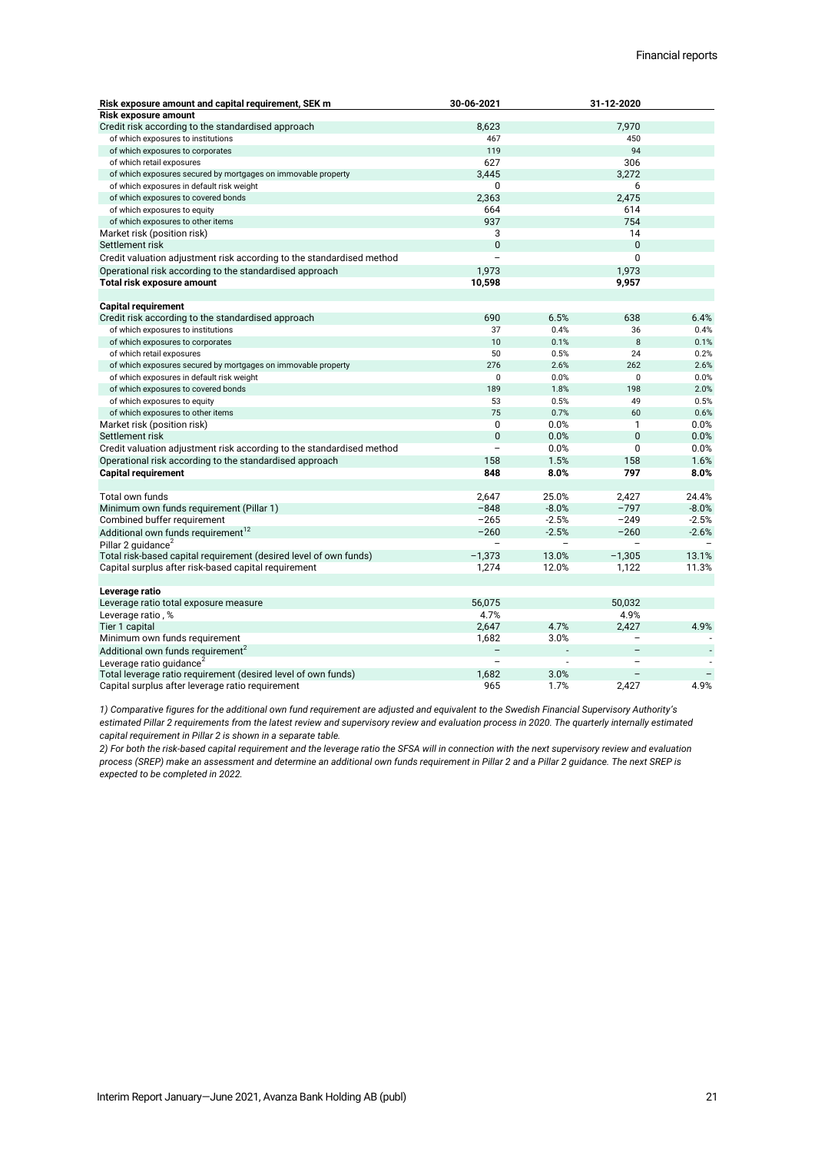| <b>Risk exposure amount</b><br>7.970<br>Credit risk according to the standardised approach<br>8,623<br>of which exposures to institutions<br>467<br>450<br>94<br>119<br>of which exposures to corporates<br>627<br>of which retail exposures<br>306<br>3,445<br>of which exposures secured by mortgages on immovable property<br>3,272<br><sup>0</sup><br>6<br>of which exposures in default risk weight<br>2,363<br>2,475<br>of which exposures to covered bonds<br>664<br>614<br>of which exposures to equity<br>937<br>754<br>of which exposures to other items<br>3<br>14<br>Market risk (position risk)<br>0<br>$\mathbf{0}$<br>Settlement risk<br>$\Omega$<br>Credit valuation adjustment risk according to the standardised method<br>$\overline{\phantom{0}}$<br>1,973<br>1,973<br>Operational risk according to the standardised approach<br>10,598<br>9,957<br>Total risk exposure amount<br><b>Capital requirement</b><br>690<br>6.5%<br>638<br>Credit risk according to the standardised approach<br>6.4%<br>0.4%<br>0.4%<br>of which exposures to institutions<br>37<br>36<br>8<br>10<br>0.1%<br>of which exposures to corporates<br>0.1%<br>of which retail exposures<br>50<br>0.5%<br>24<br>0.2%<br>276<br>262<br>2.6%<br>of which exposures secured by mortgages on immovable property<br>2.6%<br>$\mathbf 0$<br>0.0%<br>$\mathbf 0$<br>0.0%<br>of which exposures in default risk weight<br>189<br>198<br>2.0%<br>of which exposures to covered bonds<br>1.8%<br>53<br>0.5%<br>49<br>0.5%<br>of which exposures to equity<br>75<br>60<br>of which exposures to other items<br>0.7%<br>0.6%<br>0<br>0.0%<br>Market risk (position risk)<br>0.0%<br>1<br>$\overline{0}$<br>0.0%<br>$\mathbf{0}$<br>0.0%<br>Settlement risk<br>$\Omega$<br>Credit valuation adjustment risk according to the standardised method<br>$\overline{\phantom{0}}$<br>0.0%<br>0.0%<br>158<br>1.5%<br>158<br>1.6%<br>Operational risk according to the standardised approach<br>797<br>848<br>8.0%<br>8.0%<br><b>Capital requirement</b><br>Total own funds<br>2,647<br>25.0%<br>2,427<br>24.4%<br>$-848$<br>$-8.0%$<br>$-797$<br>Minimum own funds requirement (Pillar 1)<br>$-8.0%$<br>$-265$<br>$-2.5%$<br>$-249$<br>Combined buffer requirement<br>$-2.5%$<br>Additional own funds requirement <sup>12</sup><br>$-260$<br>$-2.5%$<br>$-260$<br>$-2.6%$<br>Pillar 2 quidance <sup>2</sup><br>$-1,373$<br>$-1,305$<br>Total risk-based capital requirement (desired level of own funds)<br>13.0%<br>13.1%<br>1,274<br>1,122<br>11.3%<br>Capital surplus after risk-based capital requirement<br>12.0%<br>Leverage ratio<br>56,075<br>50.032<br>Leverage ratio total exposure measure<br>4.7%<br>4.9%<br>Leverage ratio, %<br>Tier 1 capital<br>2,647<br>4.7%<br>2,427<br>4.9%<br>Minimum own funds requirement<br>1,682<br>3.0%<br>Additional own funds requirement <sup>2</sup><br>$\overline{a}$<br>Leverage ratio quidance <sup>2</sup><br>Total leverage ratio requirement (desired level of own funds)<br>1,682<br>3.0% | Risk exposure amount and capital requirement, SEK m | 30-06-2021 |      | 31-12-2020 |      |
|-----------------------------------------------------------------------------------------------------------------------------------------------------------------------------------------------------------------------------------------------------------------------------------------------------------------------------------------------------------------------------------------------------------------------------------------------------------------------------------------------------------------------------------------------------------------------------------------------------------------------------------------------------------------------------------------------------------------------------------------------------------------------------------------------------------------------------------------------------------------------------------------------------------------------------------------------------------------------------------------------------------------------------------------------------------------------------------------------------------------------------------------------------------------------------------------------------------------------------------------------------------------------------------------------------------------------------------------------------------------------------------------------------------------------------------------------------------------------------------------------------------------------------------------------------------------------------------------------------------------------------------------------------------------------------------------------------------------------------------------------------------------------------------------------------------------------------------------------------------------------------------------------------------------------------------------------------------------------------------------------------------------------------------------------------------------------------------------------------------------------------------------------------------------------------------------------------------------------------------------------------------------------------------------------------------------------------------------------------------------------------------------------------------------------------------------------------------------------------------------------------------------------------------------------------------------------------------------------------------------------------------------------------------------------------------------------------------------------------------------------------------------------------------------------------------------------------------------------------------------------------------------------------------------------------------------------------------------------------------------------------------------------|-----------------------------------------------------|------------|------|------------|------|
|                                                                                                                                                                                                                                                                                                                                                                                                                                                                                                                                                                                                                                                                                                                                                                                                                                                                                                                                                                                                                                                                                                                                                                                                                                                                                                                                                                                                                                                                                                                                                                                                                                                                                                                                                                                                                                                                                                                                                                                                                                                                                                                                                                                                                                                                                                                                                                                                                                                                                                                                                                                                                                                                                                                                                                                                                                                                                                                                                                                                                       |                                                     |            |      |            |      |
|                                                                                                                                                                                                                                                                                                                                                                                                                                                                                                                                                                                                                                                                                                                                                                                                                                                                                                                                                                                                                                                                                                                                                                                                                                                                                                                                                                                                                                                                                                                                                                                                                                                                                                                                                                                                                                                                                                                                                                                                                                                                                                                                                                                                                                                                                                                                                                                                                                                                                                                                                                                                                                                                                                                                                                                                                                                                                                                                                                                                                       |                                                     |            |      |            |      |
|                                                                                                                                                                                                                                                                                                                                                                                                                                                                                                                                                                                                                                                                                                                                                                                                                                                                                                                                                                                                                                                                                                                                                                                                                                                                                                                                                                                                                                                                                                                                                                                                                                                                                                                                                                                                                                                                                                                                                                                                                                                                                                                                                                                                                                                                                                                                                                                                                                                                                                                                                                                                                                                                                                                                                                                                                                                                                                                                                                                                                       |                                                     |            |      |            |      |
|                                                                                                                                                                                                                                                                                                                                                                                                                                                                                                                                                                                                                                                                                                                                                                                                                                                                                                                                                                                                                                                                                                                                                                                                                                                                                                                                                                                                                                                                                                                                                                                                                                                                                                                                                                                                                                                                                                                                                                                                                                                                                                                                                                                                                                                                                                                                                                                                                                                                                                                                                                                                                                                                                                                                                                                                                                                                                                                                                                                                                       |                                                     |            |      |            |      |
|                                                                                                                                                                                                                                                                                                                                                                                                                                                                                                                                                                                                                                                                                                                                                                                                                                                                                                                                                                                                                                                                                                                                                                                                                                                                                                                                                                                                                                                                                                                                                                                                                                                                                                                                                                                                                                                                                                                                                                                                                                                                                                                                                                                                                                                                                                                                                                                                                                                                                                                                                                                                                                                                                                                                                                                                                                                                                                                                                                                                                       |                                                     |            |      |            |      |
|                                                                                                                                                                                                                                                                                                                                                                                                                                                                                                                                                                                                                                                                                                                                                                                                                                                                                                                                                                                                                                                                                                                                                                                                                                                                                                                                                                                                                                                                                                                                                                                                                                                                                                                                                                                                                                                                                                                                                                                                                                                                                                                                                                                                                                                                                                                                                                                                                                                                                                                                                                                                                                                                                                                                                                                                                                                                                                                                                                                                                       |                                                     |            |      |            |      |
|                                                                                                                                                                                                                                                                                                                                                                                                                                                                                                                                                                                                                                                                                                                                                                                                                                                                                                                                                                                                                                                                                                                                                                                                                                                                                                                                                                                                                                                                                                                                                                                                                                                                                                                                                                                                                                                                                                                                                                                                                                                                                                                                                                                                                                                                                                                                                                                                                                                                                                                                                                                                                                                                                                                                                                                                                                                                                                                                                                                                                       |                                                     |            |      |            |      |
|                                                                                                                                                                                                                                                                                                                                                                                                                                                                                                                                                                                                                                                                                                                                                                                                                                                                                                                                                                                                                                                                                                                                                                                                                                                                                                                                                                                                                                                                                                                                                                                                                                                                                                                                                                                                                                                                                                                                                                                                                                                                                                                                                                                                                                                                                                                                                                                                                                                                                                                                                                                                                                                                                                                                                                                                                                                                                                                                                                                                                       |                                                     |            |      |            |      |
|                                                                                                                                                                                                                                                                                                                                                                                                                                                                                                                                                                                                                                                                                                                                                                                                                                                                                                                                                                                                                                                                                                                                                                                                                                                                                                                                                                                                                                                                                                                                                                                                                                                                                                                                                                                                                                                                                                                                                                                                                                                                                                                                                                                                                                                                                                                                                                                                                                                                                                                                                                                                                                                                                                                                                                                                                                                                                                                                                                                                                       |                                                     |            |      |            |      |
|                                                                                                                                                                                                                                                                                                                                                                                                                                                                                                                                                                                                                                                                                                                                                                                                                                                                                                                                                                                                                                                                                                                                                                                                                                                                                                                                                                                                                                                                                                                                                                                                                                                                                                                                                                                                                                                                                                                                                                                                                                                                                                                                                                                                                                                                                                                                                                                                                                                                                                                                                                                                                                                                                                                                                                                                                                                                                                                                                                                                                       |                                                     |            |      |            |      |
|                                                                                                                                                                                                                                                                                                                                                                                                                                                                                                                                                                                                                                                                                                                                                                                                                                                                                                                                                                                                                                                                                                                                                                                                                                                                                                                                                                                                                                                                                                                                                                                                                                                                                                                                                                                                                                                                                                                                                                                                                                                                                                                                                                                                                                                                                                                                                                                                                                                                                                                                                                                                                                                                                                                                                                                                                                                                                                                                                                                                                       |                                                     |            |      |            |      |
|                                                                                                                                                                                                                                                                                                                                                                                                                                                                                                                                                                                                                                                                                                                                                                                                                                                                                                                                                                                                                                                                                                                                                                                                                                                                                                                                                                                                                                                                                                                                                                                                                                                                                                                                                                                                                                                                                                                                                                                                                                                                                                                                                                                                                                                                                                                                                                                                                                                                                                                                                                                                                                                                                                                                                                                                                                                                                                                                                                                                                       |                                                     |            |      |            |      |
|                                                                                                                                                                                                                                                                                                                                                                                                                                                                                                                                                                                                                                                                                                                                                                                                                                                                                                                                                                                                                                                                                                                                                                                                                                                                                                                                                                                                                                                                                                                                                                                                                                                                                                                                                                                                                                                                                                                                                                                                                                                                                                                                                                                                                                                                                                                                                                                                                                                                                                                                                                                                                                                                                                                                                                                                                                                                                                                                                                                                                       |                                                     |            |      |            |      |
|                                                                                                                                                                                                                                                                                                                                                                                                                                                                                                                                                                                                                                                                                                                                                                                                                                                                                                                                                                                                                                                                                                                                                                                                                                                                                                                                                                                                                                                                                                                                                                                                                                                                                                                                                                                                                                                                                                                                                                                                                                                                                                                                                                                                                                                                                                                                                                                                                                                                                                                                                                                                                                                                                                                                                                                                                                                                                                                                                                                                                       |                                                     |            |      |            |      |
|                                                                                                                                                                                                                                                                                                                                                                                                                                                                                                                                                                                                                                                                                                                                                                                                                                                                                                                                                                                                                                                                                                                                                                                                                                                                                                                                                                                                                                                                                                                                                                                                                                                                                                                                                                                                                                                                                                                                                                                                                                                                                                                                                                                                                                                                                                                                                                                                                                                                                                                                                                                                                                                                                                                                                                                                                                                                                                                                                                                                                       |                                                     |            |      |            |      |
|                                                                                                                                                                                                                                                                                                                                                                                                                                                                                                                                                                                                                                                                                                                                                                                                                                                                                                                                                                                                                                                                                                                                                                                                                                                                                                                                                                                                                                                                                                                                                                                                                                                                                                                                                                                                                                                                                                                                                                                                                                                                                                                                                                                                                                                                                                                                                                                                                                                                                                                                                                                                                                                                                                                                                                                                                                                                                                                                                                                                                       |                                                     |            |      |            |      |
|                                                                                                                                                                                                                                                                                                                                                                                                                                                                                                                                                                                                                                                                                                                                                                                                                                                                                                                                                                                                                                                                                                                                                                                                                                                                                                                                                                                                                                                                                                                                                                                                                                                                                                                                                                                                                                                                                                                                                                                                                                                                                                                                                                                                                                                                                                                                                                                                                                                                                                                                                                                                                                                                                                                                                                                                                                                                                                                                                                                                                       |                                                     |            |      |            |      |
|                                                                                                                                                                                                                                                                                                                                                                                                                                                                                                                                                                                                                                                                                                                                                                                                                                                                                                                                                                                                                                                                                                                                                                                                                                                                                                                                                                                                                                                                                                                                                                                                                                                                                                                                                                                                                                                                                                                                                                                                                                                                                                                                                                                                                                                                                                                                                                                                                                                                                                                                                                                                                                                                                                                                                                                                                                                                                                                                                                                                                       |                                                     |            |      |            |      |
|                                                                                                                                                                                                                                                                                                                                                                                                                                                                                                                                                                                                                                                                                                                                                                                                                                                                                                                                                                                                                                                                                                                                                                                                                                                                                                                                                                                                                                                                                                                                                                                                                                                                                                                                                                                                                                                                                                                                                                                                                                                                                                                                                                                                                                                                                                                                                                                                                                                                                                                                                                                                                                                                                                                                                                                                                                                                                                                                                                                                                       |                                                     |            |      |            |      |
|                                                                                                                                                                                                                                                                                                                                                                                                                                                                                                                                                                                                                                                                                                                                                                                                                                                                                                                                                                                                                                                                                                                                                                                                                                                                                                                                                                                                                                                                                                                                                                                                                                                                                                                                                                                                                                                                                                                                                                                                                                                                                                                                                                                                                                                                                                                                                                                                                                                                                                                                                                                                                                                                                                                                                                                                                                                                                                                                                                                                                       |                                                     |            |      |            |      |
|                                                                                                                                                                                                                                                                                                                                                                                                                                                                                                                                                                                                                                                                                                                                                                                                                                                                                                                                                                                                                                                                                                                                                                                                                                                                                                                                                                                                                                                                                                                                                                                                                                                                                                                                                                                                                                                                                                                                                                                                                                                                                                                                                                                                                                                                                                                                                                                                                                                                                                                                                                                                                                                                                                                                                                                                                                                                                                                                                                                                                       |                                                     |            |      |            |      |
|                                                                                                                                                                                                                                                                                                                                                                                                                                                                                                                                                                                                                                                                                                                                                                                                                                                                                                                                                                                                                                                                                                                                                                                                                                                                                                                                                                                                                                                                                                                                                                                                                                                                                                                                                                                                                                                                                                                                                                                                                                                                                                                                                                                                                                                                                                                                                                                                                                                                                                                                                                                                                                                                                                                                                                                                                                                                                                                                                                                                                       |                                                     |            |      |            |      |
|                                                                                                                                                                                                                                                                                                                                                                                                                                                                                                                                                                                                                                                                                                                                                                                                                                                                                                                                                                                                                                                                                                                                                                                                                                                                                                                                                                                                                                                                                                                                                                                                                                                                                                                                                                                                                                                                                                                                                                                                                                                                                                                                                                                                                                                                                                                                                                                                                                                                                                                                                                                                                                                                                                                                                                                                                                                                                                                                                                                                                       |                                                     |            |      |            |      |
|                                                                                                                                                                                                                                                                                                                                                                                                                                                                                                                                                                                                                                                                                                                                                                                                                                                                                                                                                                                                                                                                                                                                                                                                                                                                                                                                                                                                                                                                                                                                                                                                                                                                                                                                                                                                                                                                                                                                                                                                                                                                                                                                                                                                                                                                                                                                                                                                                                                                                                                                                                                                                                                                                                                                                                                                                                                                                                                                                                                                                       |                                                     |            |      |            |      |
|                                                                                                                                                                                                                                                                                                                                                                                                                                                                                                                                                                                                                                                                                                                                                                                                                                                                                                                                                                                                                                                                                                                                                                                                                                                                                                                                                                                                                                                                                                                                                                                                                                                                                                                                                                                                                                                                                                                                                                                                                                                                                                                                                                                                                                                                                                                                                                                                                                                                                                                                                                                                                                                                                                                                                                                                                                                                                                                                                                                                                       |                                                     |            |      |            |      |
|                                                                                                                                                                                                                                                                                                                                                                                                                                                                                                                                                                                                                                                                                                                                                                                                                                                                                                                                                                                                                                                                                                                                                                                                                                                                                                                                                                                                                                                                                                                                                                                                                                                                                                                                                                                                                                                                                                                                                                                                                                                                                                                                                                                                                                                                                                                                                                                                                                                                                                                                                                                                                                                                                                                                                                                                                                                                                                                                                                                                                       |                                                     |            |      |            |      |
|                                                                                                                                                                                                                                                                                                                                                                                                                                                                                                                                                                                                                                                                                                                                                                                                                                                                                                                                                                                                                                                                                                                                                                                                                                                                                                                                                                                                                                                                                                                                                                                                                                                                                                                                                                                                                                                                                                                                                                                                                                                                                                                                                                                                                                                                                                                                                                                                                                                                                                                                                                                                                                                                                                                                                                                                                                                                                                                                                                                                                       |                                                     |            |      |            |      |
|                                                                                                                                                                                                                                                                                                                                                                                                                                                                                                                                                                                                                                                                                                                                                                                                                                                                                                                                                                                                                                                                                                                                                                                                                                                                                                                                                                                                                                                                                                                                                                                                                                                                                                                                                                                                                                                                                                                                                                                                                                                                                                                                                                                                                                                                                                                                                                                                                                                                                                                                                                                                                                                                                                                                                                                                                                                                                                                                                                                                                       |                                                     |            |      |            |      |
|                                                                                                                                                                                                                                                                                                                                                                                                                                                                                                                                                                                                                                                                                                                                                                                                                                                                                                                                                                                                                                                                                                                                                                                                                                                                                                                                                                                                                                                                                                                                                                                                                                                                                                                                                                                                                                                                                                                                                                                                                                                                                                                                                                                                                                                                                                                                                                                                                                                                                                                                                                                                                                                                                                                                                                                                                                                                                                                                                                                                                       |                                                     |            |      |            |      |
|                                                                                                                                                                                                                                                                                                                                                                                                                                                                                                                                                                                                                                                                                                                                                                                                                                                                                                                                                                                                                                                                                                                                                                                                                                                                                                                                                                                                                                                                                                                                                                                                                                                                                                                                                                                                                                                                                                                                                                                                                                                                                                                                                                                                                                                                                                                                                                                                                                                                                                                                                                                                                                                                                                                                                                                                                                                                                                                                                                                                                       |                                                     |            |      |            |      |
|                                                                                                                                                                                                                                                                                                                                                                                                                                                                                                                                                                                                                                                                                                                                                                                                                                                                                                                                                                                                                                                                                                                                                                                                                                                                                                                                                                                                                                                                                                                                                                                                                                                                                                                                                                                                                                                                                                                                                                                                                                                                                                                                                                                                                                                                                                                                                                                                                                                                                                                                                                                                                                                                                                                                                                                                                                                                                                                                                                                                                       |                                                     |            |      |            |      |
|                                                                                                                                                                                                                                                                                                                                                                                                                                                                                                                                                                                                                                                                                                                                                                                                                                                                                                                                                                                                                                                                                                                                                                                                                                                                                                                                                                                                                                                                                                                                                                                                                                                                                                                                                                                                                                                                                                                                                                                                                                                                                                                                                                                                                                                                                                                                                                                                                                                                                                                                                                                                                                                                                                                                                                                                                                                                                                                                                                                                                       |                                                     |            |      |            |      |
|                                                                                                                                                                                                                                                                                                                                                                                                                                                                                                                                                                                                                                                                                                                                                                                                                                                                                                                                                                                                                                                                                                                                                                                                                                                                                                                                                                                                                                                                                                                                                                                                                                                                                                                                                                                                                                                                                                                                                                                                                                                                                                                                                                                                                                                                                                                                                                                                                                                                                                                                                                                                                                                                                                                                                                                                                                                                                                                                                                                                                       |                                                     |            |      |            |      |
|                                                                                                                                                                                                                                                                                                                                                                                                                                                                                                                                                                                                                                                                                                                                                                                                                                                                                                                                                                                                                                                                                                                                                                                                                                                                                                                                                                                                                                                                                                                                                                                                                                                                                                                                                                                                                                                                                                                                                                                                                                                                                                                                                                                                                                                                                                                                                                                                                                                                                                                                                                                                                                                                                                                                                                                                                                                                                                                                                                                                                       |                                                     |            |      |            |      |
|                                                                                                                                                                                                                                                                                                                                                                                                                                                                                                                                                                                                                                                                                                                                                                                                                                                                                                                                                                                                                                                                                                                                                                                                                                                                                                                                                                                                                                                                                                                                                                                                                                                                                                                                                                                                                                                                                                                                                                                                                                                                                                                                                                                                                                                                                                                                                                                                                                                                                                                                                                                                                                                                                                                                                                                                                                                                                                                                                                                                                       |                                                     |            |      |            |      |
|                                                                                                                                                                                                                                                                                                                                                                                                                                                                                                                                                                                                                                                                                                                                                                                                                                                                                                                                                                                                                                                                                                                                                                                                                                                                                                                                                                                                                                                                                                                                                                                                                                                                                                                                                                                                                                                                                                                                                                                                                                                                                                                                                                                                                                                                                                                                                                                                                                                                                                                                                                                                                                                                                                                                                                                                                                                                                                                                                                                                                       |                                                     |            |      |            |      |
|                                                                                                                                                                                                                                                                                                                                                                                                                                                                                                                                                                                                                                                                                                                                                                                                                                                                                                                                                                                                                                                                                                                                                                                                                                                                                                                                                                                                                                                                                                                                                                                                                                                                                                                                                                                                                                                                                                                                                                                                                                                                                                                                                                                                                                                                                                                                                                                                                                                                                                                                                                                                                                                                                                                                                                                                                                                                                                                                                                                                                       |                                                     |            |      |            |      |
|                                                                                                                                                                                                                                                                                                                                                                                                                                                                                                                                                                                                                                                                                                                                                                                                                                                                                                                                                                                                                                                                                                                                                                                                                                                                                                                                                                                                                                                                                                                                                                                                                                                                                                                                                                                                                                                                                                                                                                                                                                                                                                                                                                                                                                                                                                                                                                                                                                                                                                                                                                                                                                                                                                                                                                                                                                                                                                                                                                                                                       |                                                     |            |      |            |      |
|                                                                                                                                                                                                                                                                                                                                                                                                                                                                                                                                                                                                                                                                                                                                                                                                                                                                                                                                                                                                                                                                                                                                                                                                                                                                                                                                                                                                                                                                                                                                                                                                                                                                                                                                                                                                                                                                                                                                                                                                                                                                                                                                                                                                                                                                                                                                                                                                                                                                                                                                                                                                                                                                                                                                                                                                                                                                                                                                                                                                                       |                                                     |            |      |            |      |
|                                                                                                                                                                                                                                                                                                                                                                                                                                                                                                                                                                                                                                                                                                                                                                                                                                                                                                                                                                                                                                                                                                                                                                                                                                                                                                                                                                                                                                                                                                                                                                                                                                                                                                                                                                                                                                                                                                                                                                                                                                                                                                                                                                                                                                                                                                                                                                                                                                                                                                                                                                                                                                                                                                                                                                                                                                                                                                                                                                                                                       |                                                     |            |      |            |      |
|                                                                                                                                                                                                                                                                                                                                                                                                                                                                                                                                                                                                                                                                                                                                                                                                                                                                                                                                                                                                                                                                                                                                                                                                                                                                                                                                                                                                                                                                                                                                                                                                                                                                                                                                                                                                                                                                                                                                                                                                                                                                                                                                                                                                                                                                                                                                                                                                                                                                                                                                                                                                                                                                                                                                                                                                                                                                                                                                                                                                                       |                                                     |            |      |            |      |
|                                                                                                                                                                                                                                                                                                                                                                                                                                                                                                                                                                                                                                                                                                                                                                                                                                                                                                                                                                                                                                                                                                                                                                                                                                                                                                                                                                                                                                                                                                                                                                                                                                                                                                                                                                                                                                                                                                                                                                                                                                                                                                                                                                                                                                                                                                                                                                                                                                                                                                                                                                                                                                                                                                                                                                                                                                                                                                                                                                                                                       |                                                     |            |      |            |      |
|                                                                                                                                                                                                                                                                                                                                                                                                                                                                                                                                                                                                                                                                                                                                                                                                                                                                                                                                                                                                                                                                                                                                                                                                                                                                                                                                                                                                                                                                                                                                                                                                                                                                                                                                                                                                                                                                                                                                                                                                                                                                                                                                                                                                                                                                                                                                                                                                                                                                                                                                                                                                                                                                                                                                                                                                                                                                                                                                                                                                                       |                                                     |            |      |            |      |
|                                                                                                                                                                                                                                                                                                                                                                                                                                                                                                                                                                                                                                                                                                                                                                                                                                                                                                                                                                                                                                                                                                                                                                                                                                                                                                                                                                                                                                                                                                                                                                                                                                                                                                                                                                                                                                                                                                                                                                                                                                                                                                                                                                                                                                                                                                                                                                                                                                                                                                                                                                                                                                                                                                                                                                                                                                                                                                                                                                                                                       |                                                     |            |      |            |      |
|                                                                                                                                                                                                                                                                                                                                                                                                                                                                                                                                                                                                                                                                                                                                                                                                                                                                                                                                                                                                                                                                                                                                                                                                                                                                                                                                                                                                                                                                                                                                                                                                                                                                                                                                                                                                                                                                                                                                                                                                                                                                                                                                                                                                                                                                                                                                                                                                                                                                                                                                                                                                                                                                                                                                                                                                                                                                                                                                                                                                                       |                                                     |            |      |            |      |
|                                                                                                                                                                                                                                                                                                                                                                                                                                                                                                                                                                                                                                                                                                                                                                                                                                                                                                                                                                                                                                                                                                                                                                                                                                                                                                                                                                                                                                                                                                                                                                                                                                                                                                                                                                                                                                                                                                                                                                                                                                                                                                                                                                                                                                                                                                                                                                                                                                                                                                                                                                                                                                                                                                                                                                                                                                                                                                                                                                                                                       |                                                     |            |      |            |      |
|                                                                                                                                                                                                                                                                                                                                                                                                                                                                                                                                                                                                                                                                                                                                                                                                                                                                                                                                                                                                                                                                                                                                                                                                                                                                                                                                                                                                                                                                                                                                                                                                                                                                                                                                                                                                                                                                                                                                                                                                                                                                                                                                                                                                                                                                                                                                                                                                                                                                                                                                                                                                                                                                                                                                                                                                                                                                                                                                                                                                                       |                                                     |            |      |            |      |
|                                                                                                                                                                                                                                                                                                                                                                                                                                                                                                                                                                                                                                                                                                                                                                                                                                                                                                                                                                                                                                                                                                                                                                                                                                                                                                                                                                                                                                                                                                                                                                                                                                                                                                                                                                                                                                                                                                                                                                                                                                                                                                                                                                                                                                                                                                                                                                                                                                                                                                                                                                                                                                                                                                                                                                                                                                                                                                                                                                                                                       |                                                     |            |      |            |      |
|                                                                                                                                                                                                                                                                                                                                                                                                                                                                                                                                                                                                                                                                                                                                                                                                                                                                                                                                                                                                                                                                                                                                                                                                                                                                                                                                                                                                                                                                                                                                                                                                                                                                                                                                                                                                                                                                                                                                                                                                                                                                                                                                                                                                                                                                                                                                                                                                                                                                                                                                                                                                                                                                                                                                                                                                                                                                                                                                                                                                                       | Capital surplus after leverage ratio requirement    | 965        | 1.7% | 2.427      | 4.9% |

*1) Comparative figures for the additional own fund requirement are adjusted and equivalent to the Swedish Financial Supervisory Authority's*  estimated Pillar 2 requirements from the latest review and supervisory review and evaluation process in 2020. The quarterly internally estimated *capital requirement in Pillar 2 is shown in a separate table.*

*2) For both the risk-based capital requirement and the leverage ratio the SFSA will in connection with the next supervisory review and evaluation process (SREP) make an assessment and determine an additional own funds requirement in Pillar 2 and a Pillar 2 guidance. The next SREP is expected to be completed in 2022.*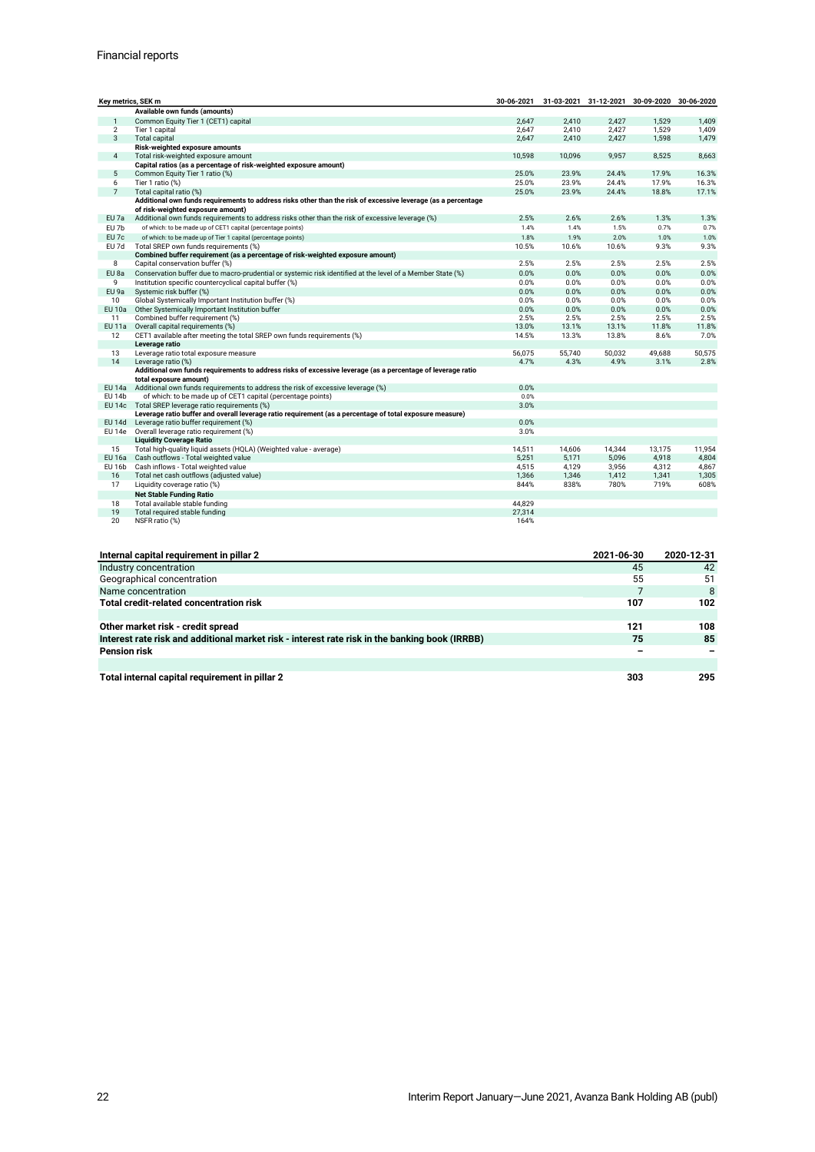| Key metrics, SEK m |                                                                                                               |        |        | 30-06-2021 31-03-2021 31-12-2021 30-09-2020 30-06-2020 |        |        |
|--------------------|---------------------------------------------------------------------------------------------------------------|--------|--------|--------------------------------------------------------|--------|--------|
|                    | Available own funds (amounts)                                                                                 |        |        |                                                        |        |        |
| $\overline{1}$     | Common Equity Tier 1 (CET1) capital                                                                           | 2,647  | 2,410  | 2,427                                                  | 1,529  | 1,409  |
| $\overline{2}$     | Tier 1 capital                                                                                                | 2.647  | 2.410  | 2.427                                                  | 1,529  | 1,409  |
| 3                  | Total capital                                                                                                 | 2,647  | 2,410  | 2,427                                                  | 1,598  | 1,479  |
|                    | Risk-weighted exposure amounts                                                                                |        |        |                                                        |        |        |
| $\overline{4}$     | Total risk-weighted exposure amount                                                                           | 10.598 | 10.096 | 9.957                                                  | 8,525  | 8,663  |
|                    | Capital ratios (as a percentage of risk-weighted exposure amount)                                             |        |        |                                                        |        |        |
| 5                  | Common Equity Tier 1 ratio (%)                                                                                | 25.0%  | 23.9%  | 24.4%                                                  | 17.9%  | 16.3%  |
| 6                  | Tier 1 ratio (%)                                                                                              | 25.0%  | 23.9%  | 24.4%                                                  | 17.9%  | 16.3%  |
| $7\overline{ }$    | Total capital ratio (%)                                                                                       | 25.0%  | 23.9%  | 24.4%                                                  | 18.8%  | 17.1%  |
|                    | Additional own funds requirements to address risks other than the risk of excessive leverage (as a percentage |        |        |                                                        |        |        |
|                    | of risk-weighted exposure amount)                                                                             |        |        |                                                        |        |        |
| EU 7a              | Additional own funds requirements to address risks other than the risk of excessive leverage (%)              | 2.5%   | 2.6%   | 2.6%                                                   | 1.3%   | 1.3%   |
| EU 7b              | of which: to be made up of CET1 capital (percentage points)                                                   | 1.4%   | 1.4%   | 1.5%                                                   | 0.7%   | 0.7%   |
| EU 7c              | of which: to be made up of Tier 1 capital (percentage points)                                                 | 1.8%   | 1.9%   | 2.0%                                                   | 1.0%   | 1.0%   |
| EU 7d              | Total SREP own funds requirements (%)                                                                         | 10.5%  | 10.6%  | 10.6%                                                  | 9.3%   | 9.3%   |
|                    | Combined buffer requirement (as a percentage of risk-weighted exposure amount)                                |        |        |                                                        |        |        |
| 8                  | Capital conservation buffer (%)                                                                               | 2.5%   | 2.5%   | 2.5%                                                   | 2.5%   | 2.5%   |
| EU 8a              | Conservation buffer due to macro-prudential or systemic risk identified at the level of a Member State (%)    | 0.0%   | 0.0%   | 0.0%                                                   | 0.0%   | 0.0%   |
| 9                  | Institution specific countercyclical capital buffer (%)                                                       | 0.0%   | 0.0%   | 0.0%                                                   | 0.0%   | 0.0%   |
| EU 9a              | Systemic risk buffer (%)                                                                                      | 0.0%   | 0.0%   | 0.0%                                                   | 0.0%   | 0.0%   |
| 10                 | Global Systemically Important Institution buffer (%)                                                          | 0.0%   | 0.0%   | 0.0%                                                   | 0.0%   | 0.0%   |
|                    | EU 10a Other Systemically Important Institution buffer                                                        | 0.0%   | 0.0%   | 0.0%                                                   | 0.0%   | 0.0%   |
| 11                 | Combined buffer requirement (%)                                                                               | 2.5%   | 2.5%   | 2.5%                                                   | 2.5%   | 2.5%   |
|                    | EU 11a Overall capital requirements (%)                                                                       | 13.0%  | 13.1%  | 13.1%                                                  | 11.8%  | 11.8%  |
| 12                 | CET1 available after meeting the total SREP own funds requirements (%)                                        | 14.5%  | 13.3%  | 13.8%                                                  | 8.6%   | 7.0%   |
|                    | Leverage ratio                                                                                                |        |        |                                                        |        |        |
| 13                 | Leverage ratio total exposure measure                                                                         | 56,075 | 55,740 | 50,032                                                 | 49,688 | 50,575 |
| 14                 | Leverage ratio (%)                                                                                            | 4.7%   | 4.3%   | 4.9%                                                   | 3.1%   | 2.8%   |
|                    | Additional own funds requirements to address risks of excessive leverage (as a percentage of leverage ratio   |        |        |                                                        |        |        |
|                    | total exposure amount)                                                                                        |        |        |                                                        |        |        |
|                    | EU 14a Additional own funds requirements to address the risk of excessive leverage (%)                        | 0.0%   |        |                                                        |        |        |
| EU 14b             | of which: to be made up of CET1 capital (percentage points)                                                   | 0.0%   |        |                                                        |        |        |
|                    | EU 14c Total SREP leverage ratio requirements (%)                                                             | 3.0%   |        |                                                        |        |        |
|                    | Leverage ratio buffer and overall leverage ratio reguirement (as a percentage of total exposure measure)      |        |        |                                                        |        |        |
|                    | EU 14d Leverage ratio buffer requirement (%)                                                                  | 0.0%   |        |                                                        |        |        |
|                    | EU 14e Overall leverage ratio requirement (%)                                                                 | 3.0%   |        |                                                        |        |        |
|                    | <b>Liquidity Coverage Ratio</b>                                                                               |        |        |                                                        |        |        |
| 15                 | Total high-quality liquid assets (HQLA) (Weighted value - average)                                            | 14,511 | 14,606 | 14,344                                                 | 13,175 | 11,954 |
|                    | EU 16a Cash outflows - Total weighted value                                                                   | 5,251  | 5,171  | 5,096                                                  | 4,918  | 4,804  |
|                    | EU 16b Cash inflows - Total weighted value                                                                    | 4.515  | 4,129  | 3,956                                                  | 4,312  | 4,867  |
| 16                 | Total net cash outflows (adjusted value)                                                                      | 1,366  | 1,346  | 1,412                                                  | 1,341  | 1,305  |
| 17                 | Liquidity coverage ratio (%)                                                                                  | 844%   | 838%   | 780%                                                   | 719%   | 608%   |
|                    | <b>Net Stable Funding Ratio</b>                                                                               |        |        |                                                        |        |        |
| 18                 | Total available stable funding                                                                                | 44,829 |        |                                                        |        |        |
| 19                 | Total required stable funding                                                                                 | 27,314 |        |                                                        |        |        |
| 20                 | NSFR ratio (%)                                                                                                | 164%   |        |                                                        |        |        |
|                    |                                                                                                               |        |        |                                                        |        |        |

| Internal capital requirement in pillar 2                                                       | 2021-06-30 | 2020-12-31 |
|------------------------------------------------------------------------------------------------|------------|------------|
| Industry concentration                                                                         | 45         | 42         |
| Geographical concentration                                                                     | 55         | 51         |
| Name concentration                                                                             |            | 8          |
| Total credit-related concentration risk                                                        | 107        | 102        |
|                                                                                                |            |            |
| Other market risk - credit spread                                                              | 121        | 108        |
| Interest rate risk and additional market risk - interest rate risk in the banking book (IRRBB) | 75         | 85         |
| <b>Pension risk</b>                                                                            | -          |            |
|                                                                                                |            |            |
| Total internal capital requirement in pillar 2                                                 | 303        | 295        |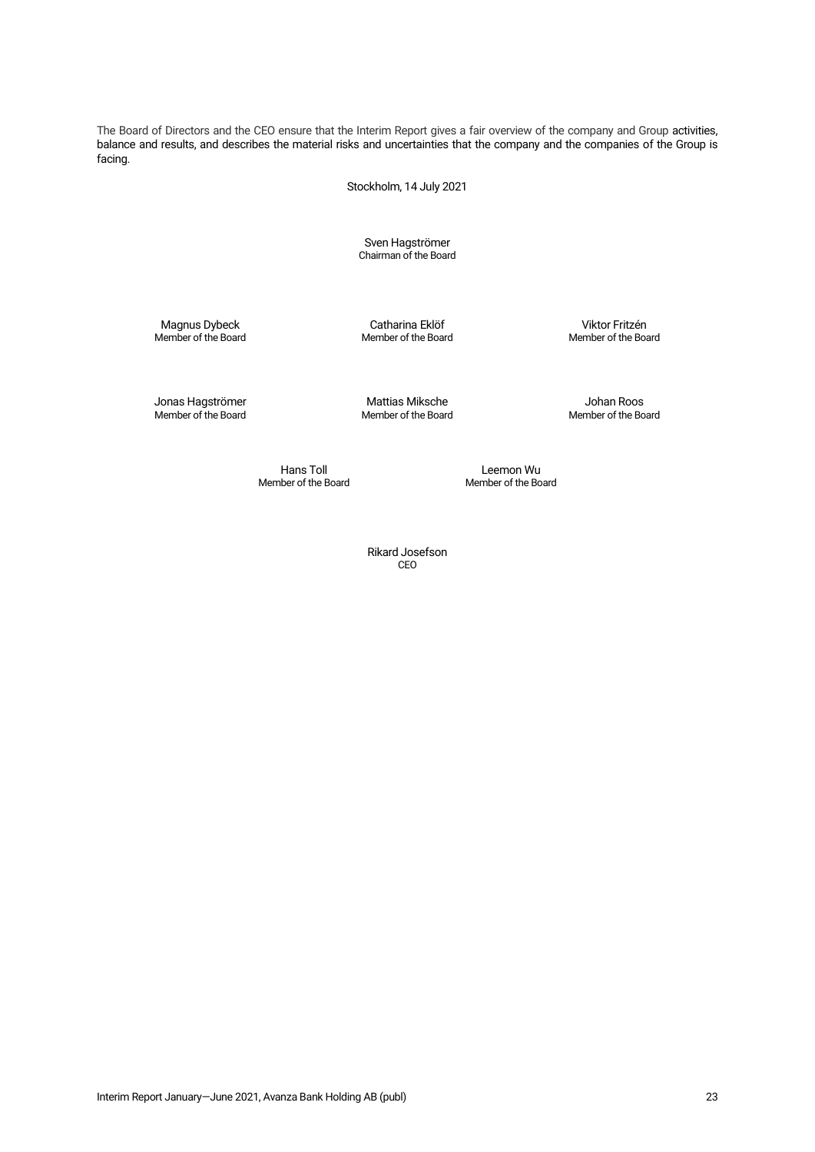The Board of Directors and the CEO ensure that the Interim Report gives a fair overview of the company and Group activities, balance and results, and describes the material risks and uncertainties that the company and the companies of the Group is facing.

Stockholm, 14 July 2021

Sven Hagströmer Chairman of the Board

Magnus Dybeck Catharina Eklöf Catharina Eklöf Viktor Fritzén<br>Member of the Board Member of the Board Member of the Board

Member of the Board

Jonas Hagströmer Mattias Miksche Johan Roos

Member of the Board

Hans Toll **Example 2** Leemon Wu<br>Member of the Board **Example 2** Member of the Bo

Member of the Board

Rikard Josefson CEO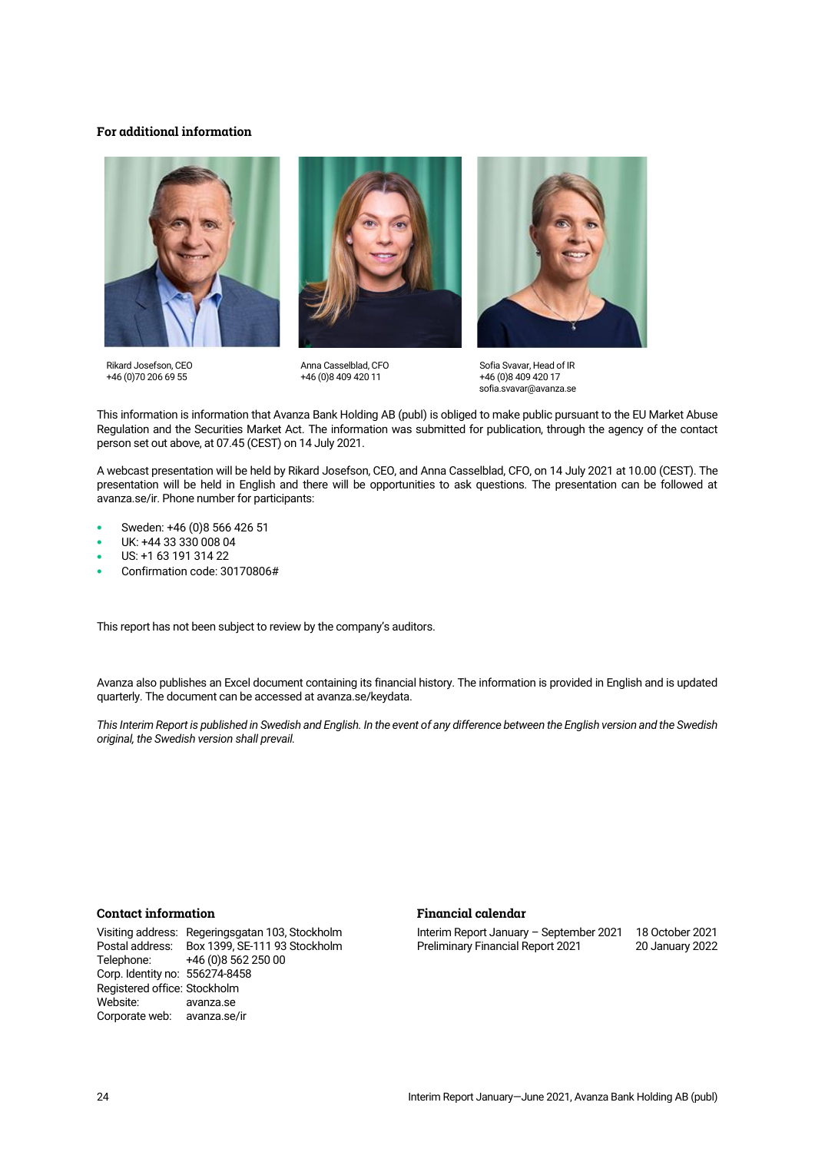# **For additional information**







Anna Casselblad, CFO +46 (0)8 409 420 11



Sofia Svavar, Head of IR +46 (0)8 409 420 17 sofia.svavar@avanza.se

This information is information that Avanza Bank Holding AB (publ) is obliged to make public pursuant to the EU Market Abuse Regulation and the Securities Market Act. The information was submitted for publication, through the agency of the contact person set out above, at 07.45 (CEST) on 14 July 2021.

A webcast presentation will be held by Rikard Josefson, CEO, and Anna Casselblad, CFO, on 14 July 2021 at 10.00 (CEST). The presentation will be held in English and there will be opportunities to ask questions. The presentation can be followed at [avanza.se/ir.](https://avanza.se/ir) Phone number for participants:

- Sweden: +46 (0)8 566 426 51
- UK: +44 33 330 008 04
- US: +1 63 191 314 22
- Confirmation code: 30170806#

This report has not been subject to review by the company's auditors.

Avanza also publishes an Excel document containing its financial history. The information is provided in English and is updated quarterly. The document can be accessed a[t avanza.se/keydata.](http://avanza.se/keydata)

*This Interim Report is published in Swedish and English. In the event of any difference between the English version and the Swedish original, the Swedish version shall prevail.*

# **Contact information**

Visiting address: Regeringsgatan 103, Stockholm Postal address: Box 1399, SE-111 93 Stockholm +46 (0)8 562 250 00 Corp. Identity no: 556274-8458 Registered office: Stockholm Website: [avanza.se](https://www.avanza.se/) Corporate web: avanza.se/ir

### **Financial calendar**

Interim Report January – September 2021 18 October 2021 Preliminary Financial Report 2021 20 January 2022